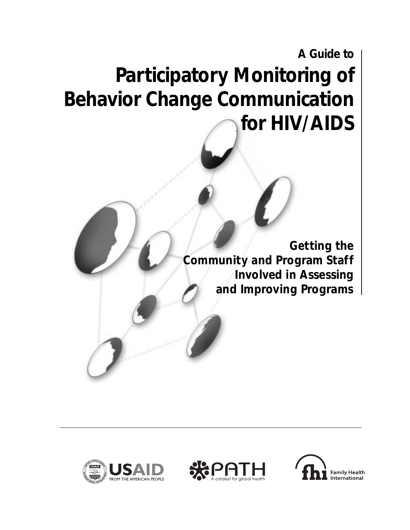# **A Guide to Participatory Monitoring of Behavior Change Communication for HIV/AIDS**

*Getting the Community and Program Staff Involved in Assessing and Improving Programs*





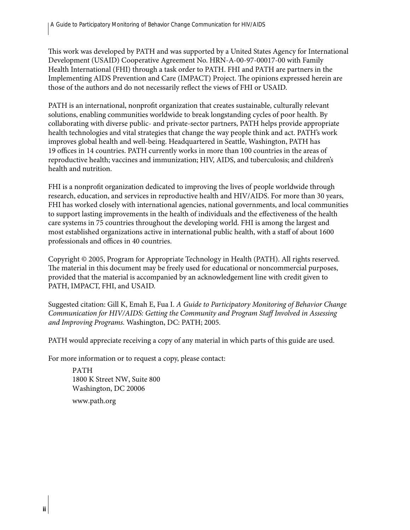This work was developed by PATH and was supported by a United States Agency for International Development (USAID) Cooperative Agreement No. HRN-A-00-97-00017-00 with Family Health International (FHI) through a task order to PATH. FHI and PATH are partners in the Implementing AIDS Prevention and Care (IMPACT) Project. The opinions expressed herein are those of the authors and do not necessarily reflect the views of FHI or USAID.

PATH is an international, nonprofit organization that creates sustainable, culturally relevant solutions, enabling communities worldwide to break longstanding cycles of poor health. By collaborating with diverse public- and private-sector partners, PATH helps provide appropriate health technologies and vital strategies that change the way people think and act. PATH's work improves global health and well-being. Headquartered in Seattle, Washington, PATH has 19 offices in 14 countries. PATH currently works in more than 100 countries in the areas of reproductive health; vaccines and immunization; HIV, AIDS, and tuberculosis; and children's health and nutrition.

FHI is a nonprofit organization dedicated to improving the lives of people worldwide through research, education, and services in reproductive health and HIV/AIDS. For more than 30 years, FHI has worked closely with international agencies, national governments, and local communities to support lasting improvements in the health of individuals and the effectiveness of the health care systems in 75 countries throughout the developing world. FHI is among the largest and most established organizations active in international public health, with a staff of about 1600 professionals and offices in 40 countries.

Copyright © 2005, Program for Appropriate Technology in Health (PATH). All rights reserved. The material in this document may be freely used for educational or noncommercial purposes, provided that the material is accompanied by an acknowledgement line with credit given to PATH, IMPACT, FHI, and USAID.

Suggested citation: Gill K, Emah E, Fua I. *A Guide to Participatory Monitoring of Behavior Change Communication for HIV/AIDS: Getting the Community and Program Staff Involved in Assessing and Improving Programs.* Washington, DC: PATH; 2005.

PATH would appreciate receiving a copy of any material in which parts of this guide are used.

For more information or to request a copy, please contact:

 PATH 1800 K Street NW, Suite 800 Washington, DC 20006 www.path.org

**ii**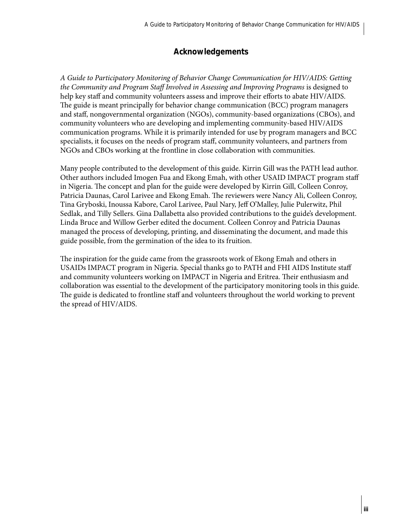#### **Acknowledgements**

*A Guide to Participatory Monitoring of Behavior Change Communication for HIV/AIDS: Getting the Community and Program Staff Involved in Assessing and Improving Programs* is designed to help key staff and community volunteers assess and improve their efforts to abate HIV/AIDS. The guide is meant principally for behavior change communication (BCC) program managers and staff, nongovernmental organization (NGOs), community-based organizations (CBOs), and community volunteers who are developing and implementing community-based HIV/AIDS communication programs. While it is primarily intended for use by program managers and BCC specialists, it focuses on the needs of program staff, community volunteers, and partners from NGOs and CBOs working at the frontline in close collaboration with communities.

Many people contributed to the development of this guide. Kirrin Gill was the PATH lead author. Other authors included Imogen Fua and Ekong Emah, with other USAID IMPACT program staff in Nigeria. The concept and plan for the guide were developed by Kirrin Gill, Colleen Conroy, Patricia Daunas, Carol Larivee and Ekong Emah. The reviewers were Nancy Ali, Colleen Conroy, Tina Gryboski, Inoussa Kabore, Carol Larivee, Paul Nary, Jeff O'Malley, Julie Pulerwitz, Phil Sedlak, and Tilly Sellers. Gina Dallabetta also provided contributions to the guide's development. Linda Bruce and Willow Gerber edited the document. Colleen Conroy and Patricia Daunas managed the process of developing, printing, and disseminating the document, and made this guide possible, from the germination of the idea to its fruition.

The inspiration for the guide came from the grassroots work of Ekong Emah and others in USAIDs IMPACT program in Nigeria. Special thanks go to PATH and FHI AIDS Institute staff and community volunteers working on IMPACT in Nigeria and Eritrea. Their enthusiasm and collaboration was essential to the development of the participatory monitoring tools in this guide. The guide is dedicated to frontline staff and volunteers throughout the world working to prevent the spread of HIV/AIDS.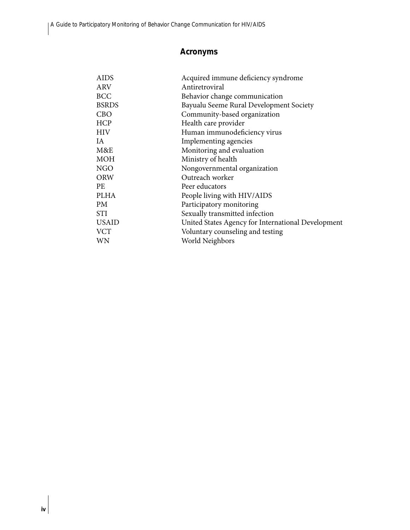### **Acronyms**

| <b>AIDS</b>  | Acquired immune deficiency syndrome                |
|--------------|----------------------------------------------------|
| <b>ARV</b>   | Antiretroviral                                     |
| <b>BCC</b>   | Behavior change communication                      |
| <b>BSRDS</b> | Bayualu Seeme Rural Development Society            |
| <b>CBO</b>   | Community-based organization                       |
| <b>HCP</b>   | Health care provider                               |
| <b>HIV</b>   | Human immunodeficiency virus                       |
| IA.          | Implementing agencies                              |
| M&E          | Monitoring and evaluation                          |
| <b>MOH</b>   | Ministry of health                                 |
| <b>NGO</b>   | Nongovernmental organization                       |
| <b>ORW</b>   | Outreach worker                                    |
| <b>PE</b>    | Peer educators                                     |
| PLHA         | People living with HIV/AIDS                        |
| PM           | Participatory monitoring                           |
| <b>STI</b>   | Sexually transmitted infection                     |
| <b>USAID</b> | United States Agency for International Development |
| <b>VCT</b>   | Voluntary counseling and testing                   |
| WN           | World Neighbors                                    |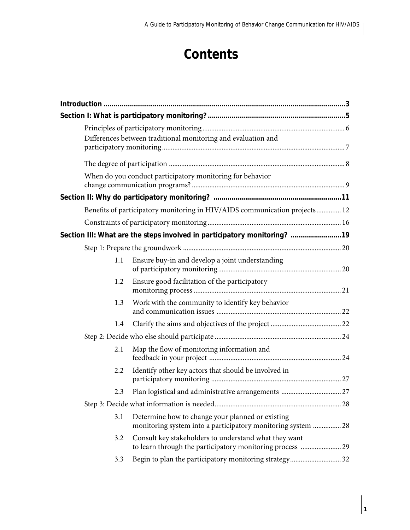## **Contents**

|     | Differences between traditional monitoring and evaluation and                                                    |
|-----|------------------------------------------------------------------------------------------------------------------|
|     |                                                                                                                  |
|     | When do you conduct participatory monitoring for behavior                                                        |
|     |                                                                                                                  |
|     | Benefits of participatory monitoring in HIV/AIDS communication projects 12                                       |
|     |                                                                                                                  |
|     | Section III: What are the steps involved in participatory monitoring? 19                                         |
|     |                                                                                                                  |
| 1.1 | Ensure buy-in and develop a joint understanding                                                                  |
| 1.2 | Ensure good facilitation of the participatory                                                                    |
| 1.3 | Work with the community to identify key behavior                                                                 |
| 1.4 |                                                                                                                  |
|     |                                                                                                                  |
| 2.1 | Map the flow of monitoring information and                                                                       |
| 2.2 | Identify other key actors that should be involved in                                                             |
| 2.3 |                                                                                                                  |
|     |                                                                                                                  |
| 3.1 | Determine how to change your planned or existing<br>monitoring system into a participatory monitoring system  28 |
| 3.2 | Consult key stakeholders to understand what they want                                                            |
| 3.3 | Begin to plan the participatory monitoring strategy 32                                                           |

**1**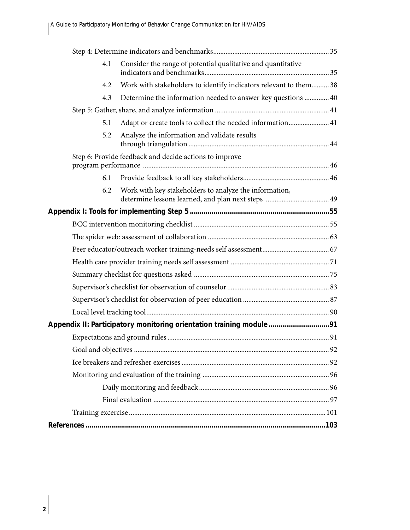| 4.1 | Consider the range of potential qualitative and quantitative        |  |  |
|-----|---------------------------------------------------------------------|--|--|
| 4.2 | Work with stakeholders to identify indicators relevant to them 38   |  |  |
| 4.3 | Determine the information needed to answer key questions  40        |  |  |
|     |                                                                     |  |  |
| 5.1 | Adapt or create tools to collect the needed information 41          |  |  |
| 5.2 | Analyze the information and validate results                        |  |  |
|     | Step 6: Provide feedback and decide actions to improve              |  |  |
| 6.1 |                                                                     |  |  |
| 6.2 | Work with key stakeholders to analyze the information,              |  |  |
|     |                                                                     |  |  |
|     |                                                                     |  |  |
|     |                                                                     |  |  |
|     |                                                                     |  |  |
|     |                                                                     |  |  |
|     |                                                                     |  |  |
|     |                                                                     |  |  |
|     |                                                                     |  |  |
|     |                                                                     |  |  |
|     | Appendix II: Participatory monitoring orientation training module91 |  |  |
|     |                                                                     |  |  |
|     |                                                                     |  |  |
|     |                                                                     |  |  |
|     |                                                                     |  |  |
|     |                                                                     |  |  |
|     |                                                                     |  |  |
|     |                                                                     |  |  |
|     |                                                                     |  |  |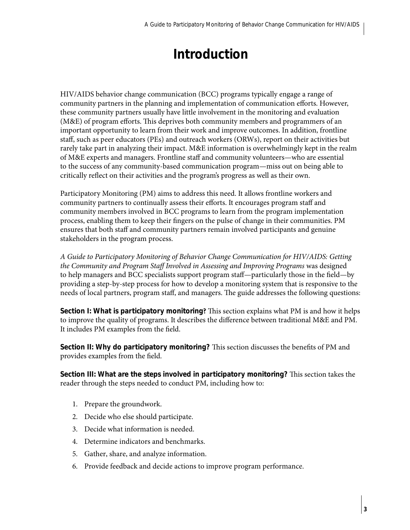## **Introduction**

HIV/AIDS behavior change communication (BCC) programs typically engage a range of community partners in the planning and implementation of communication efforts. However, these community partners usually have little involvement in the monitoring and evaluation  $(M&E)$  of program efforts. This deprives both community members and programmers of an important opportunity to learn from their work and improve outcomes. In addition, frontline staff, such as peer educators (PEs) and outreach workers (ORWs), report on their activities but rarely take part in analyzing their impact. M&E information is overwhelmingly kept in the realm of M&E experts and managers. Frontline staff and community volunteers—who are essential to the success of any community-based communication program—miss out on being able to critically reflect on their activities and the program's progress as well as their own.

Participatory Monitoring (PM) aims to address this need. It allows frontline workers and community partners to continually assess their efforts. It encourages program staff and community members involved in BCC programs to learn from the program implementation process, enabling them to keep their fingers on the pulse of change in their communities. PM ensures that both staff and community partners remain involved participants and genuine stakeholders in the program process.

*A Guide to Participatory Monitoring of Behavior Change Communication for HIV/AIDS: Getting the Community and Program Staff Involved in Assessing and Improving Programs* was designed to help managers and BCC specialists support program staff—particularly those in the field—by providing a step-by-step process for how to develop a monitoring system that is responsive to the needs of local partners, program staff, and managers. The guide addresses the following questions:

**Section I: What is participatory monitoring?** This section explains what PM is and how it helps to improve the quality of programs. It describes the difference between traditional M&E and PM. It includes PM examples from the field.

**Section II: Why do participatory monitoring?** This section discusses the benefits of PM and provides examples from the field.

**Section III: What are the steps involved in participatory monitoring?** This section takes the reader through the steps needed to conduct PM, including how to:

- 1. Prepare the groundwork.
- 2. Decide who else should participate.
- 3. Decide what information is needed.
- 4. Determine indicators and benchmarks.
- 5. Gather, share, and analyze information.
- 6. Provide feedback and decide actions to improve program performance.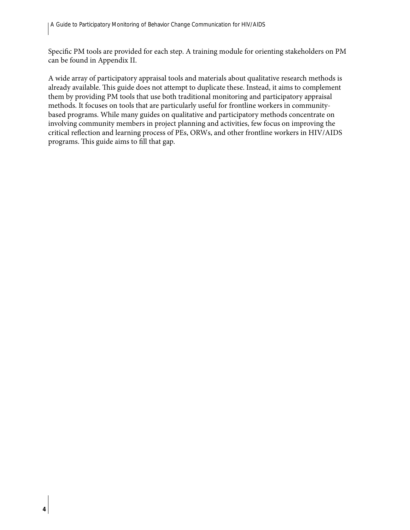Specific PM tools are provided for each step. A training module for orienting stakeholders on PM can be found in Appendix II.

A wide array of participatory appraisal tools and materials about qualitative research methods is already available. This guide does not attempt to duplicate these. Instead, it aims to complement them by providing PM tools that use both traditional monitoring and participatory appraisal methods. It focuses on tools that are particularly useful for frontline workers in communitybased programs. While many guides on qualitative and participatory methods concentrate on involving community members in project planning and activities, few focus on improving the critical reflection and learning process of PEs, ORWs, and other frontline workers in HIV/AIDS programs. This guide aims to fill that gap.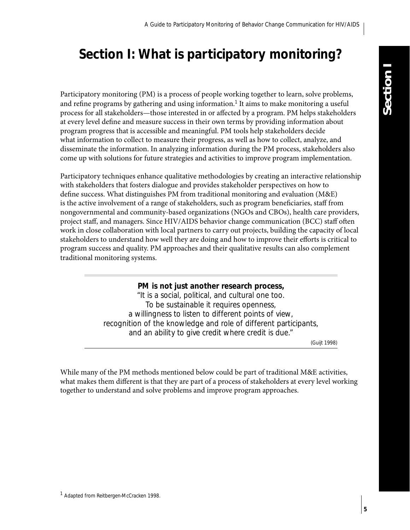## **Section I: What is participatory monitoring?**

Participatory monitoring (PM) is a process of people working together to learn, solve problems, and refine programs by gathering and using information.<sup>1</sup> It aims to make monitoring a useful process for all stakeholders—those interested in or affected by a program. PM helps stakeholders at every level define and measure success in their own terms by providing information about program progress that is accessible and meaningful. PM tools help stakeholders decide what information to collect to measure their progress, as well as how to collect, analyze, and disseminate the information. In analyzing information during the PM process, stakeholders also come up with solutions for future strategies and activities to improve program implementation.

Participatory techniques enhance qualitative methodologies by creating an interactive relationship with stakeholders that fosters dialogue and provides stakeholder perspectives on how to define success. What distinguishes PM from traditional monitoring and evaluation (M&E) is the active involvement of a range of stakeholders, such as program beneficiaries, staff from nongovernmental and community-based organizations (NGOs and CBOs), health care providers, project staff, and managers. Since HIV/AIDS behavior change communication (BCC) staff often work in close collaboration with local partners to carry out projects, building the capacity of local stakeholders to understand how well they are doing and how to improve their efforts is critical to program success and quality. PM approaches and their qualitative results can also complement traditional monitoring systems.

#### **PM is not just another research process,**

*"It is a social, political, and cultural one too. To be sustainable it requires openness, a willingness to listen to different points of view, recognition of the knowledge and role of different participants, and an ability to give credit where credit is due."* 

(Guijt 1998)

While many of the PM methods mentioned below could be part of traditional M&E activities, what makes them different is that they are part of a process of stakeholders at every level working together to understand and solve problems and improve program approaches.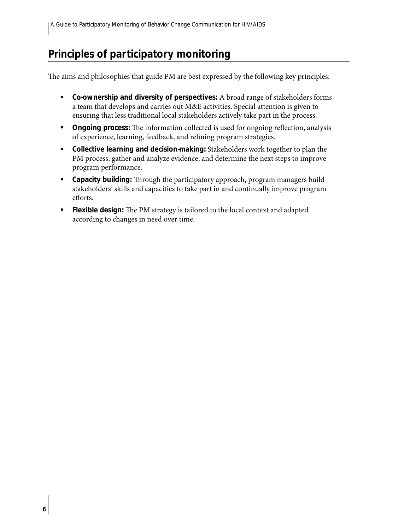## **Principles of participatory monitoring**

The aims and philosophies that guide PM are best expressed by the following key principles:

- ! **Co-ownership and diversity of perspectives:** A broad range of stakeholders forms a team that develops and carries out M&E activities. Special attention is given to ensuring that less traditional local stakeholders actively take part in the process.
- **Ongoing process:** The information collected is used for ongoing reflection, analysis of experience, learning, feedback, and refining program strategies.
- ! **Collective learning and decision-making:** Stakeholders work together to plan the PM process, gather and analyze evidence, and determine the next steps to improve program performance.
- **Capacity building:** Through the participatory approach, program managers build stakeholders' skills and capacities to take part in and continually improve program efforts.
- **Flexible design:** The PM strategy is tailored to the local context and adapted according to changes in need over time.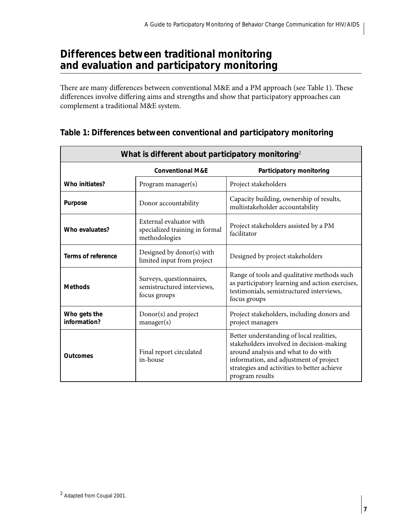## **Differences between traditional monitoring and evaluation and participatory monitoring**

There are many differences between conventional M&E and a PM approach (see Table 1). These differences involve differing aims and strengths and show that participatory approaches can complement a traditional M&E system.

| What is different about participatory monitoring <sup>2</sup> |                                                                                                                                                                                                                                      |                                                                                                                                                                                                                                         |  |  |  |
|---------------------------------------------------------------|--------------------------------------------------------------------------------------------------------------------------------------------------------------------------------------------------------------------------------------|-----------------------------------------------------------------------------------------------------------------------------------------------------------------------------------------------------------------------------------------|--|--|--|
|                                                               | <b>Conventional M&amp;E</b>                                                                                                                                                                                                          | Participatory monitoring                                                                                                                                                                                                                |  |  |  |
| Who initiates?                                                | Program manager $(s)$                                                                                                                                                                                                                | Project stakeholders                                                                                                                                                                                                                    |  |  |  |
| Purpose                                                       | Donor accountability                                                                                                                                                                                                                 | Capacity building, ownership of results,<br>multistakeholder accountability                                                                                                                                                             |  |  |  |
| Who evaluates?                                                | External evaluator with<br>specialized training in formal<br>methodologies                                                                                                                                                           | Project stakeholders assisted by a PM<br>facilitator                                                                                                                                                                                    |  |  |  |
| Terms of reference                                            | Designed by donor(s) with<br>limited input from project                                                                                                                                                                              | Designed by project stakeholders                                                                                                                                                                                                        |  |  |  |
| <b>Methods</b>                                                | Range of tools and qualitative methods such<br>Surveys, questionnaires,<br>as participatory learning and action exercises,<br>semistructured interviews,<br>testimonials, semistructured interviews,<br>focus groups<br>focus groups |                                                                                                                                                                                                                                         |  |  |  |
| Who gets the<br>information?                                  | Donor(s) and project<br>manager(s)                                                                                                                                                                                                   | Project stakeholders, including donors and<br>project managers                                                                                                                                                                          |  |  |  |
| <b>Outcomes</b>                                               | Final report circulated<br>in-house                                                                                                                                                                                                  | Better understanding of local realities,<br>stakeholders involved in decision-making<br>around analysis and what to do with<br>information, and adjustment of project<br>strategies and activities to better achieve<br>program results |  |  |  |

#### **Table 1: Differences between conventional and participatory monitoring**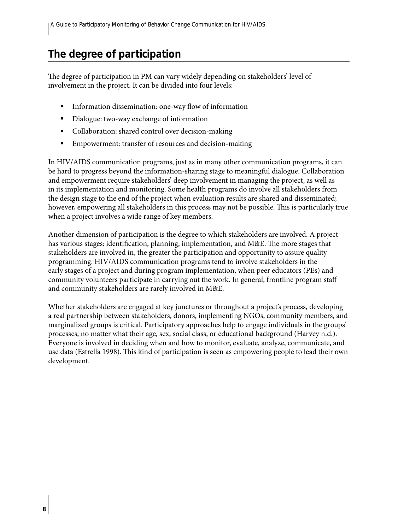## **The degree of participation**

The degree of participation in PM can vary widely depending on stakeholders' level of involvement in the project. It can be divided into four levels:

- **Information dissemination: one-way flow of information**
- ! Dialogue: two-way exchange of information
- ! Collaboration: shared control over decision-making
- ! Empowerment: transfer of resources and decision-making

In HIV/AIDS communication programs, just as in many other communication programs, it can be hard to progress beyond the information-sharing stage to meaningful dialogue. Collaboration and empowerment require stakeholders' deep involvement in managing the project, as well as in its implementation and monitoring. Some health programs do involve all stakeholders from the design stage to the end of the project when evaluation results are shared and disseminated; however, empowering all stakeholders in this process may not be possible. This is particularly true when a project involves a wide range of key members.

Another dimension of participation is the degree to which stakeholders are involved. A project has various stages: identification, planning, implementation, and M&E. The more stages that stakeholders are involved in, the greater the participation and opportunity to assure quality programming. HIV/AIDS communication programs tend to involve stakeholders in the early stages of a project and during program implementation, when peer educators (PEs) and community volunteers participate in carrying out the work. In general, frontline program staff and community stakeholders are rarely involved in M&E.

Whether stakeholders are engaged at key junctures or throughout a project's process, developing a real partnership between stakeholders, donors, implementing NGOs, community members, and marginalized groups is critical. Participatory approaches help to engage individuals in the groups' processes, no matter what their age, sex, social class, or educational background (Harvey n.d.). Everyone is involved in deciding when and how to monitor, evaluate, analyze, communicate, and use data (Estrella 1998). This kind of participation is seen as empowering people to lead their own development.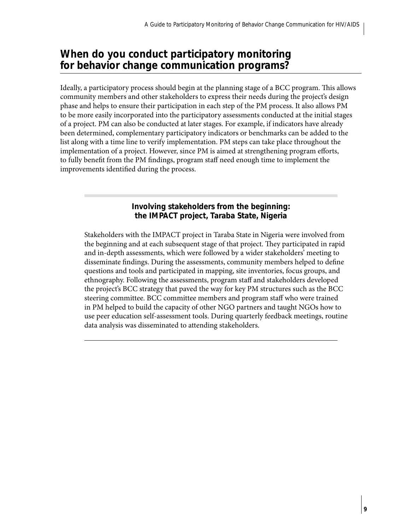## **When do you conduct participatory monitoring for behavior change communication programs?**

Ideally, a participatory process should begin at the planning stage of a BCC program. This allows community members and other stakeholders to express their needs during the project's design phase and helps to ensure their participation in each step of the PM process. It also allows PM to be more easily incorporated into the participatory assessments conducted at the initial stages of a project. PM can also be conducted at later stages. For example, if indicators have already been determined, complementary participatory indicators or benchmarks can be added to the list along with a time line to verify implementation. PM steps can take place throughout the implementation of a project. However, since PM is aimed at strengthening program efforts, to fully benefit from the PM findings, program staff need enough time to implement the improvements identified during the process.

#### **Involving stakeholders from the beginning: the IMPACT project, Taraba State, Nigeria**

Stakeholders with the IMPACT project in Taraba State in Nigeria were involved from the beginning and at each subsequent stage of that project. They participated in rapid and in-depth assessments, which were followed by a wider stakeholders' meeting to disseminate findings. During the assessments, community members helped to define questions and tools and participated in mapping, site inventories, focus groups, and ethnography. Following the assessments, program staff and stakeholders developed the project's BCC strategy that paved the way for key PM structures such as the BCC steering committee. BCC committee members and program staff who were trained in PM helped to build the capacity of other NGO partners and taught NGOs how to use peer education self-assessment tools. During quarterly feedback meetings, routine data analysis was disseminated to attending stakeholders.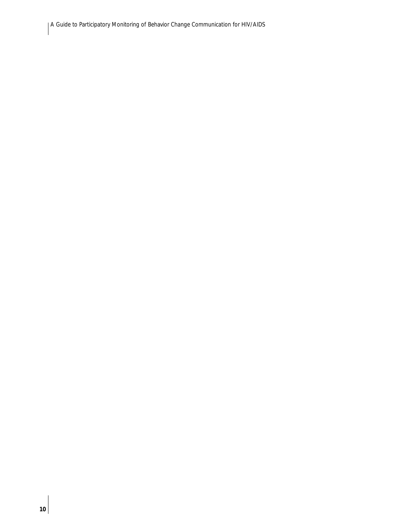A Guide to Participatory Monitoring of Behavior Change Communication for HIV/AIDS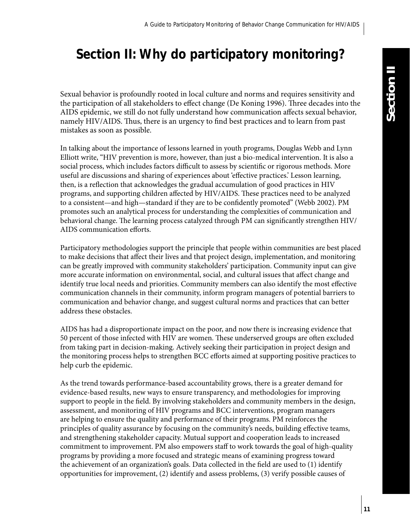## **Section II: Why do participatory monitoring?**

Sexual behavior is profoundly rooted in local culture and norms and requires sensitivity and the participation of all stakeholders to effect change (De Koning 1996). Three decades into the AIDS epidemic, we still do not fully understand how communication affects sexual behavior, namely HIV/AIDS. Thus, there is an urgency to find best practices and to learn from past mistakes as soon as possible.

In talking about the importance of lessons learned in youth programs, Douglas Webb and Lynn Elliott write, "HIV prevention is more, however, than just a bio-medical intervention. It is also a social process, which includes factors difficult to assess by scientific or rigorous methods. More useful are discussions and sharing of experiences about 'effective practices.' Lesson learning, then, is a reflection that acknowledges the gradual accumulation of good practices in HIV programs, and supporting children affected by HIV/AIDS. These practices need to be analyzed to a consistent—and high—standard if they are to be confidently promoted" (Webb 2002). PM promotes such an analytical process for understanding the complexities of communication and behavioral change. The learning process catalyzed through PM can significantly strengthen HIV/ AIDS communication efforts.

Participatory methodologies support the principle that people within communities are best placed to make decisions that affect their lives and that project design, implementation, and monitoring can be greatly improved with community stakeholders' participation. Community input can give more accurate information on environmental, social, and cultural issues that affect change and identify true local needs and priorities. Community members can also identify the most effective communication channels in their community, inform program managers of potential barriers to communication and behavior change, and suggest cultural norms and practices that can better address these obstacles.

AIDS has had a disproportionate impact on the poor, and now there is increasing evidence that 50 percent of those infected with HIV are women. These underserved groups are often excluded from taking part in decision-making. Actively seeking their participation in project design and the monitoring process helps to strengthen BCC efforts aimed at supporting positive practices to help curb the epidemic.

As the trend towards performance-based accountability grows, there is a greater demand for evidence-based results, new ways to ensure transparency, and methodologies for improving support to people in the field. By involving stakeholders and community members in the design, assessment, and monitoring of HIV programs and BCC interventions, program managers are helping to ensure the quality and performance of their programs. PM reinforces the principles of quality assurance by focusing on the community's needs, building effective teams, and strengthening stakeholder capacity. Mutual support and cooperation leads to increased commitment to improvement. PM also empowers staff to work towards the goal of high-quality programs by providing a more focused and strategic means of examining progress toward the achievement of an organization's goals. Data collected in the field are used to  $(1)$  identify opportunities for improvement, (2) identify and assess problems, (3) verify possible causes of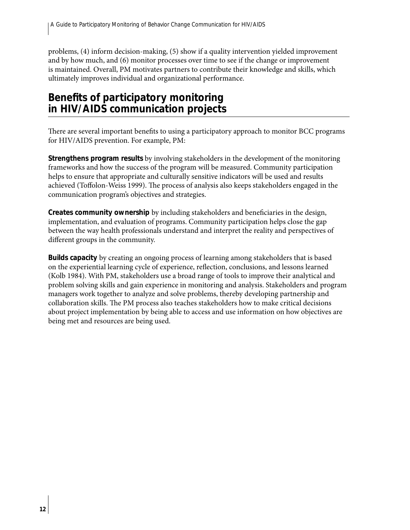problems, (4) inform decision-making, (5) show if a quality intervention yielded improvement and by how much, and (6) monitor processes over time to see if the change or improvement is maintained. Overall, PM motivates partners to contribute their knowledge and skills, which ultimately improves individual and organizational performance.

### **Benefits of participatory monitoring in HIV/AIDS communication projects**

There are several important benefits to using a participatory approach to monitor BCC programs for HIV/AIDS prevention. For example, PM:

**Strengthens program results** by involving stakeholders in the development of the monitoring frameworks and how the success of the program will be measured. Community participation helps to ensure that appropriate and culturally sensitive indicators will be used and results achieved (Toffolon-Weiss 1999). The process of analysis also keeps stakeholders engaged in the communication program's objectives and strategies.

**Creates community ownership** by including stakeholders and beneficiaries in the design, implementation, and evaluation of programs. Community participation helps close the gap between the way health professionals understand and interpret the reality and perspectives of different groups in the community.

**Builds capacity** by creating an ongoing process of learning among stakeholders that is based on the experiential learning cycle of experience, reflection, conclusions, and lessons learned (Kolb 1984). With PM, stakeholders use a broad range of tools to improve their analytical and problem solving skills and gain experience in monitoring and analysis. Stakeholders and program managers work together to analyze and solve problems, thereby developing partnership and collaboration skills. The PM process also teaches stakeholders how to make critical decisions about project implementation by being able to access and use information on how objectives are being met and resources are being used.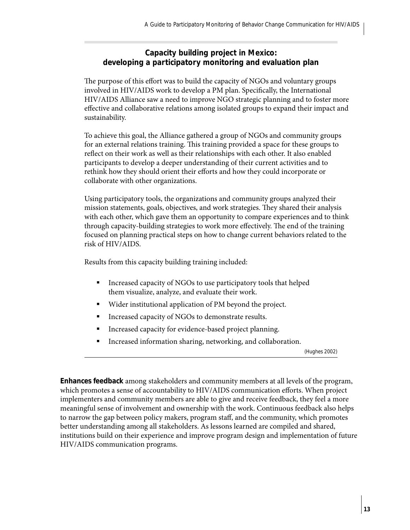#### **Capacity building project in Mexico: developing a participatory monitoring and evaluation plan**

The purpose of this effort was to build the capacity of NGOs and voluntary groups involved in HIV/AIDS work to develop a PM plan. Specifically, the International HIV/AIDS Alliance saw a need to improve NGO strategic planning and to foster more effective and collaborative relations among isolated groups to expand their impact and sustainability.

To achieve this goal, the Alliance gathered a group of NGOs and community groups for an external relations training. This training provided a space for these groups to reflect on their work as well as their relationships with each other. It also enabled participants to develop a deeper understanding of their current activities and to rethink how they should orient their efforts and how they could incorporate or collaborate with other organizations.

Using participatory tools, the organizations and community groups analyzed their mission statements, goals, objectives, and work strategies. They shared their analysis with each other, which gave them an opportunity to compare experiences and to think through capacity-building strategies to work more effectively. The end of the training focused on planning practical steps on how to change current behaviors related to the risk of HIV/AIDS.

Results from this capacity building training included:

- ! Increased capacity of NGOs to use participatory tools that helped them visualize, analyze, and evaluate their work.
- Wider institutional application of PM beyond the project.
- **IF Increased capacity of NGOs to demonstrate results.**
- ! Increased capacity for evidence-based project planning.
- ! Increased information sharing, networking, and collaboration.

(Hughes 2002)

**Enhances feedback** among stakeholders and community members at all levels of the program, which promotes a sense of accountability to HIV/AIDS communication efforts. When project implementers and community members are able to give and receive feedback, they feel a more meaningful sense of involvement and ownership with the work. Continuous feedback also helps to narrow the gap between policy makers, program staff, and the community, which promotes better understanding among all stakeholders. As lessons learned are compiled and shared, institutions build on their experience and improve program design and implementation of future HIV/AIDS communication programs.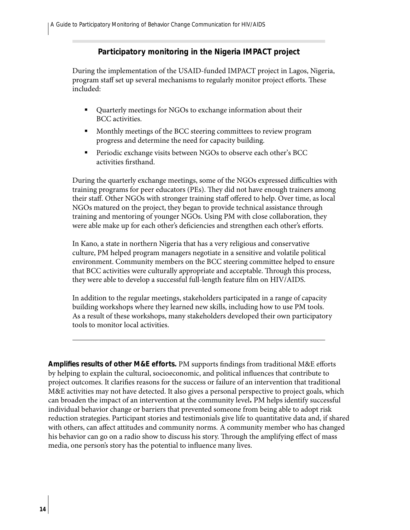#### **Participatory monitoring in the Nigeria IMPACT project**

During the implementation of the USAID-funded IMPACT project in Lagos, Nigeria, program staff set up several mechanisms to regularly monitor project efforts. These included:

- ! Quarterly meetings for NGOs to exchange information about their BCC activities.
- ! Monthly meetings of the BCC steering committees to review program progress and determine the need for capacity building.
- **Periodic exchange visits between NGOs to observe each other's BCC** activities firsthand.

During the quarterly exchange meetings, some of the NGOs expressed difficulties with training programs for peer educators (PEs). They did not have enough trainers among their staff. Other NGOs with stronger training staff offered to help. Over time, as local NGOs matured on the project, they began to provide technical assistance through training and mentoring of younger NGOs. Using PM with close collaboration, they were able make up for each other's deficiencies and strengthen each other's efforts.

In Kano, a state in northern Nigeria that has a very religious and conservative culture, PM helped program managers negotiate in a sensitive and volatile political environment. Community members on the BCC steering committee helped to ensure that BCC activities were culturally appropriate and acceptable. Through this process, they were able to develop a successful full-length feature film on HIV/AIDS.

In addition to the regular meetings, stakeholders participated in a range of capacity building workshops where they learned new skills, including how to use PM tools. As a result of these workshops, many stakeholders developed their own participatory tools to monitor local activities.

Amplifies results of other M&E efforts. PM supports findings from traditional M&E efforts by helping to explain the cultural, socioeconomic, and political influences that contribute to project outcomes. It clarifies reasons for the success or failure of an intervention that traditional M&E activities may not have detected. It also gives a personal perspective to project goals, which can broaden the impact of an intervention at the community level**.** PM helps identify successful individual behavior change or barriers that prevented someone from being able to adopt risk reduction strategies. Participant stories and testimonials give life to quantitative data and, if shared with others, can affect attitudes and community norms. A community member who has changed his behavior can go on a radio show to discuss his story. Through the amplifying effect of mass media, one person's story has the potential to influence many lives.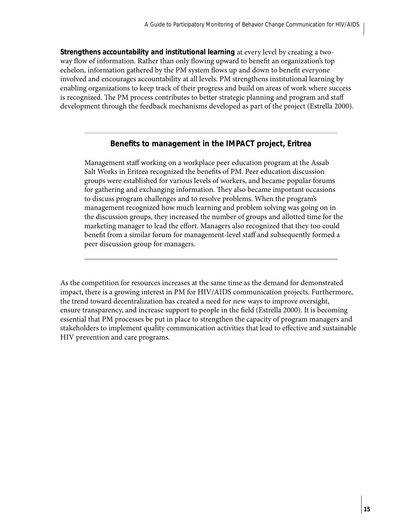**Strengthens accountability and institutional learning** at every level by creating a twoway flow of information. Rather than only flowing upward to benefit an organization's top echelon, information gathered by the PM system flows up and down to benefit everyone involved and encourages accountability at all levels. PM strengthens institutional learning by enabling organizations to keep track of their progress and build on areas of work where success is recognized. The PM process contributes to better strategic planning and program and staff development through the feedback mechanisms developed as part of the project (Estrella 2000).

#### **Benefits to management in the IMPACT project, Eritrea**

Management staff working on a workplace peer education program at the Assab Salt Works in Eritrea recognized the benefits of PM. Peer education discussion groups were established for various levels of workers, and became popular forums for gathering and exchanging information. They also became important occasions to discuss program challenges and to resolve problems. When the program's management recognized how much learning and problem solving was going on in the discussion groups, they increased the number of groups and allotted time for the marketing manager to lead the effort. Managers also recognized that they too could benefit from a similar forum for management-level staff and subsequently formed a peer discussion group for managers.

As the competition for resources increases at the same time as the demand for demonstrated impact, there is a growing interest in PM for HIV/AIDS communication projects. Furthermore, the trend toward decentralization has created a need for new ways to improve oversight, ensure transparency, and increase support to people in the field (Estrella 2000). It is becoming essential that PM processes be put in place to strengthen the capacity of program managers and stakeholders to implement quality communication activities that lead to effective and sustainable HIV prevention and care programs.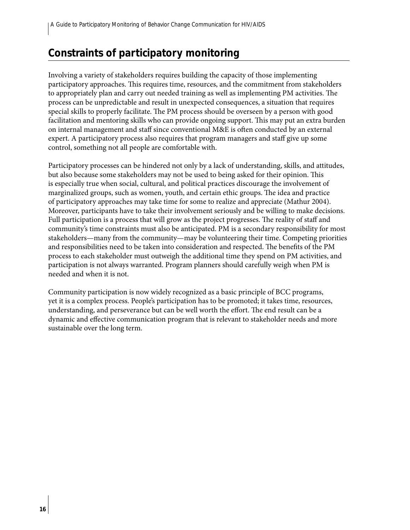## **Constraints of participatory monitoring**

Involving a variety of stakeholders requires building the capacity of those implementing participatory approaches. This requires time, resources, and the commitment from stakeholders to appropriately plan and carry out needed training as well as implementing PM activities. The process can be unpredictable and result in unexpected consequences, a situation that requires special skills to properly facilitate. The PM process should be overseen by a person with good facilitation and mentoring skills who can provide ongoing support. This may put an extra burden on internal management and staff since conventional M&E is often conducted by an external expert. A participatory process also requires that program managers and staff give up some control, something not all people are comfortable with.

Participatory processes can be hindered not only by a lack of understanding, skills, and attitudes, but also because some stakeholders may not be used to being asked for their opinion. This is especially true when social, cultural, and political practices discourage the involvement of marginalized groups, such as women, youth, and certain ethic groups. The idea and practice of participatory approaches may take time for some to realize and appreciate (Mathur 2004). Moreover, participants have to take their involvement seriously and be willing to make decisions. Full participation is a process that will grow as the project progresses. The reality of staff and community's time constraints must also be anticipated. PM is a secondary responsibility for most stakeholders—many from the community—may be volunteering their time. Competing priorities and responsibilities need to be taken into consideration and respected. The benefits of the PM process to each stakeholder must outweigh the additional time they spend on PM activities, and participation is not always warranted. Program planners should carefully weigh when PM is needed and when it is not.

Community participation is now widely recognized as a basic principle of BCC programs, yet it is a complex process. People's participation has to be promoted; it takes time, resources, understanding, and perseverance but can be well worth the effort. The end result can be a dynamic and effective communication program that is relevant to stakeholder needs and more sustainable over the long term.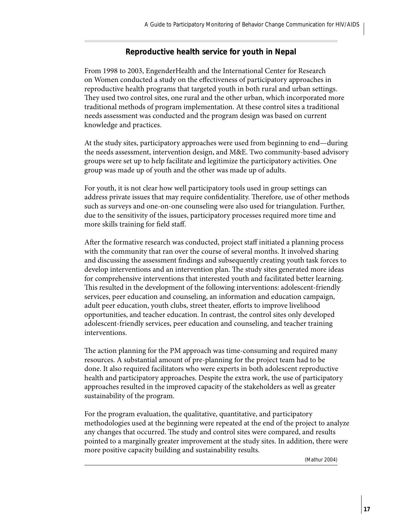#### **Reproductive health service for youth in Nepal**

From 1998 to 2003, EngenderHealth and the International Center for Research on Women conducted a study on the effectiveness of participatory approaches in reproductive health programs that targeted youth in both rural and urban settings. They used two control sites, one rural and the other urban, which incorporated more traditional methods of program implementation. At these control sites a traditional needs assessment was conducted and the program design was based on current knowledge and practices.

At the study sites, participatory approaches were used from beginning to end—during the needs assessment, intervention design, and M&E. Two community-based advisory groups were set up to help facilitate and legitimize the participatory activities. One group was made up of youth and the other was made up of adults.

For youth, it is not clear how well participatory tools used in group settings can address private issues that may require confidentiality. Therefore, use of other methods such as surveys and one-on-one counseling were also used for triangulation. Further, due to the sensitivity of the issues, participatory processes required more time and more skills training for field staff.

After the formative research was conducted, project staff initiated a planning process with the community that ran over the course of several months. It involved sharing and discussing the assessment findings and subsequently creating youth task forces to develop interventions and an intervention plan. The study sites generated more ideas for comprehensive interventions that interested youth and facilitated better learning. This resulted in the development of the following interventions: adolescent-friendly services, peer education and counseling, an information and education campaign, adult peer education, youth clubs, street theater, efforts to improve livelihood opportunities, and teacher education. In contrast, the control sites only developed adolescent-friendly services, peer education and counseling, and teacher training interventions.

The action planning for the PM approach was time-consuming and required many resources. A substantial amount of pre-planning for the project team had to be done. It also required facilitators who were experts in both adolescent reproductive health and participatory approaches. Despite the extra work, the use of participatory approaches resulted in the improved capacity of the stakeholders as well as greater sustainability of the program.

For the program evaluation, the qualitative, quantitative, and participatory methodologies used at the beginning were repeated at the end of the project to analyze any changes that occurred. The study and control sites were compared, and results pointed to a marginally greater improvement at the study sites. In addition, there were more positive capacity building and sustainability results.

(Mathur 2004)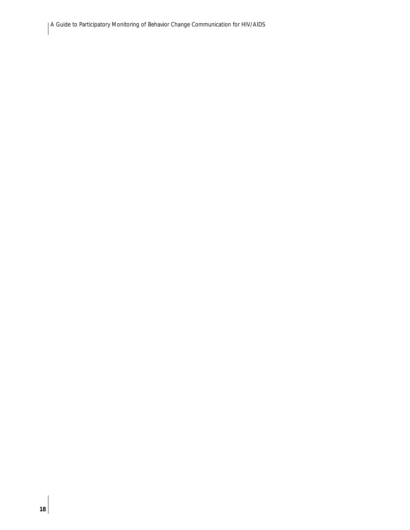A Guide to Participatory Monitoring of Behavior Change Communication for HIV/AIDS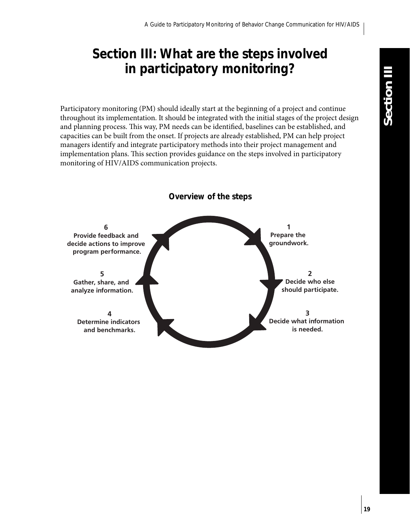## **Section III: What are the steps involved in participatory monitoring?**

Participatory monitoring (PM) should ideally start at the beginning of a project and continue throughout its implementation. It should be integrated with the initial stages of the project design and planning process. This way, PM needs can be identified, baselines can be established, and capacities can be built from the onset. If projects are already established, PM can help project managers identify and integrate participatory methods into their project management and implementation plans. This section provides guidance on the steps involved in participatory monitoring of HIV/AIDS communication projects.

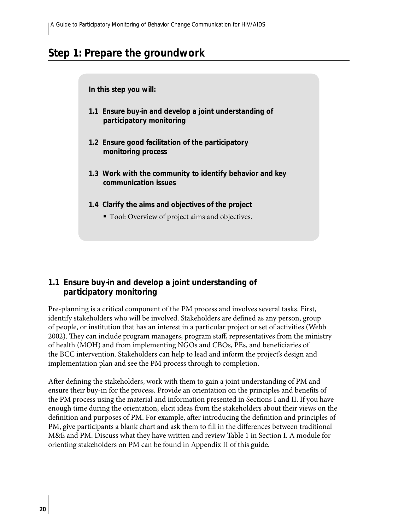### **Step 1: Prepare the groundwork**



- **communication issues**
- **1.4 Clarify the aims and objectives of the project**
	- Tool: Overview of project aims and objectives.

#### **1.1 Ensure buy-in and develop a joint understanding of participatory monitoring**

Pre-planning is a critical component of the PM process and involves several tasks. First, identify stakeholders who will be involved. Stakeholders are defined as any person, group of people, or institution that has an interest in a particular project or set of activities (Webb 2002). They can include program managers, program staff, representatives from the ministry of health (MOH) and from implementing NGOs and CBOs, PEs, and beneficiaries of the BCC intervention. Stakeholders can help to lead and inform the project's design and implementation plan and see the PM process through to completion.

After defining the stakeholders, work with them to gain a joint understanding of PM and ensure their buy-in for the process. Provide an orientation on the principles and benefits of the PM process using the material and information presented in Sections I and II. If you have enough time during the orientation, elicit ideas from the stakeholders about their views on the definition and purposes of PM. For example, after introducing the definition and principles of PM, give participants a blank chart and ask them to fill in the differences between traditional M&E and PM. Discuss what they have written and review Table 1 in Section I. A module for orienting stakeholders on PM can be found in Appendix II of this guide.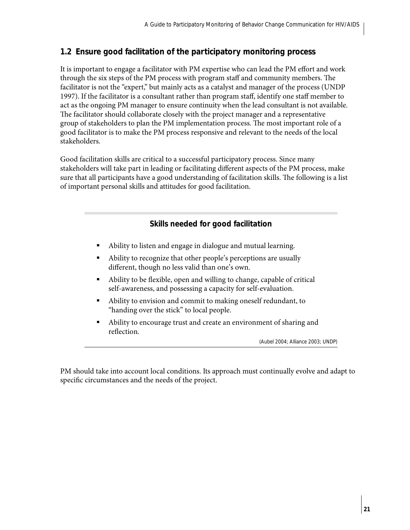#### **1.2 Ensure good facilitation of the participatory monitoring process**

It is important to engage a facilitator with PM expertise who can lead the PM effort and work through the six steps of the PM process with program staff and community members. The facilitator is not the "expert," but mainly acts as a catalyst and manager of the process (UNDP 1997). If the facilitator is a consultant rather than program staff, identify one staff member to act as the ongoing PM manager to ensure continuity when the lead consultant is not available. The facilitator should collaborate closely with the project manager and a representative group of stakeholders to plan the PM implementation process. The most important role of a good facilitator is to make the PM process responsive and relevant to the needs of the local stakeholders.

Good facilitation skills are critical to a successful participatory process. Since many stakeholders will take part in leading or facilitating different aspects of the PM process, make sure that all participants have a good understanding of facilitation skills. The following is a list of important personal skills and attitudes for good facilitation.

#### **Skills needed for good facilitation**

- ! Ability to listen and engage in dialogue and mutual learning.
- ! Ability to recognize that other people's perceptions are usually different, though no less valid than one's own.
- Ability to be flexible, open and willing to change, capable of critical self-awareness, and possessing a capacity for self-evaluation.
- ! Ability to envision and commit to making oneself redundant, to "handing over the stick" to local people.
- ! Ability to encourage trust and create an environment of sharing and reflection.

(Aubel 2004; Alliance 2003; UNDP)

PM should take into account local conditions. Its approach must continually evolve and adapt to specific circumstances and the needs of the project.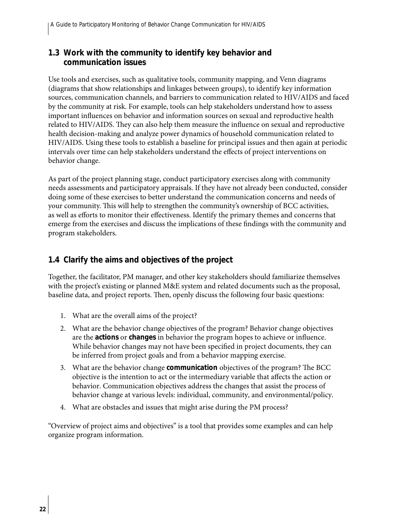#### **1.3 Work with the community to identify key behavior and communication issues**

Use tools and exercises, such as qualitative tools, community mapping, and Venn diagrams (diagrams that show relationships and linkages between groups), to identify key information sources, communication channels, and barriers to communication related to HIV/AIDS and faced by the community at risk. For example, tools can help stakeholders understand how to assess important influences on behavior and information sources on sexual and reproductive health related to HIV/AIDS. They can also help them measure the influence on sexual and reproductive health decision-making and analyze power dynamics of household communication related to HIV/AIDS. Using these tools to establish a baseline for principal issues and then again at periodic intervals over time can help stakeholders understand the effects of project interventions on behavior change.

As part of the project planning stage, conduct participatory exercises along with community needs assessments and participatory appraisals. If they have not already been conducted, consider doing some of these exercises to better understand the communication concerns and needs of your community. This will help to strengthen the community's ownership of BCC activities, as well as efforts to monitor their effectiveness. Identify the primary themes and concerns that emerge from the exercises and discuss the implications of these findings with the community and program stakeholders.

#### **1.4 Clarify the aims and objectives of the project**

Together, the facilitator, PM manager, and other key stakeholders should familiarize themselves with the project's existing or planned M&E system and related documents such as the proposal, baseline data, and project reports. Then, openly discuss the following four basic questions:

- 1. What are the overall aims of the project?
- 2. What are the behavior change objectives of the program? Behavior change objectives are the **actions** or **changes** in behavior the program hopes to achieve or influence. While behavior changes may not have been specified in project documents, they can be inferred from project goals and from a behavior mapping exercise.
- 3. What are the behavior change **communication** objectives of the program? The BCC objective is the intention to act or the intermediary variable that affects the action or behavior. Communication objectives address the changes that assist the process of behavior change at various levels: individual, community, and environmental/policy.
- 4. What are obstacles and issues that might arise during the PM process?

"Overview of project aims and objectives" is a tool that provides some examples and can help organize program information.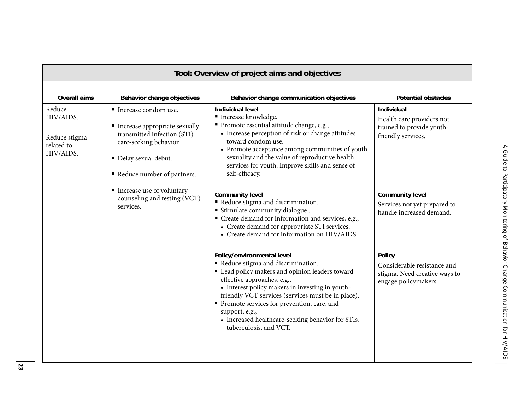| Tool: Overview of project aims and objectives                   |                                                                                                                                                                            |                                                                                                                                                                                                                                                                                                                                                                                                         |                                                                                                |  |  |
|-----------------------------------------------------------------|----------------------------------------------------------------------------------------------------------------------------------------------------------------------------|---------------------------------------------------------------------------------------------------------------------------------------------------------------------------------------------------------------------------------------------------------------------------------------------------------------------------------------------------------------------------------------------------------|------------------------------------------------------------------------------------------------|--|--|
| Overall aims                                                    | Behavior change objectives                                                                                                                                                 | Behavior change communication objectives                                                                                                                                                                                                                                                                                                                                                                | <b>Potential obstacles</b>                                                                     |  |  |
| Reduce<br>HIV/AIDS.<br>Reduce stigma<br>related to<br>HIV/AIDS. | Increase condom use.<br><b>Increase appropriate sexually</b><br>transmitted infection (STI)<br>care-seeking behavior.<br>Delay sexual debut.<br>Reduce number of partners. | Individual level<br>Increase knowledge.<br>Promote essential attitude change, e.g.,<br>• Increase perception of risk or change attitudes<br>toward condom use.<br>• Promote acceptance among communities of youth<br>sexuality and the value of reproductive health<br>services for youth. Improve skills and sense of<br>self-efficacy.                                                                | Individual<br>Health care providers not<br>trained to provide youth-<br>friendly services.     |  |  |
|                                                                 | Increase use of voluntary<br>counseling and testing (VCT)<br>services.                                                                                                     | <b>Community level</b><br>Reduce stigma and discrimination.<br><b>Stimulate community dialogue.</b><br>" Create demand for information and services, e.g.,<br>• Create demand for appropriate STI services.<br>• Create demand for information on HIV/AIDS.                                                                                                                                             | <b>Community level</b><br>Services not yet prepared to<br>handle increased demand.             |  |  |
|                                                                 |                                                                                                                                                                            | Policy/environmental level<br>Reduce stigma and discrimination.<br>Lead policy makers and opinion leaders toward<br>effective approaches, e.g.,<br>• Interest policy makers in investing in youth-<br>friendly VCT services (services must be in place).<br>Promote services for prevention, care, and<br>support, e.g.,<br>• Increased healthcare-seeking behavior for STIs,<br>tuberculosis, and VCT. | Policy<br>Considerable resistance and<br>stigma. Need creative ways to<br>engage policymakers. |  |  |

┍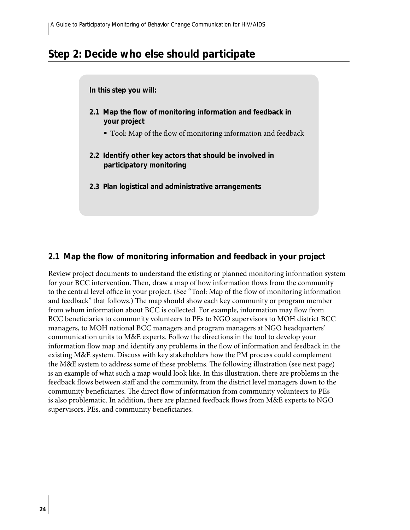### **Step 2: Decide who else should participate**

#### **In this step you will:**

- **2.1 Map the flow of monitoring information and feedback in your project** 
	- Tool: Map of the flow of monitoring information and feedback
- **2.2 Identify other key actors that should be involved in participatory monitoring**
- **2.3 Plan logistical and administrative arrangements**

### **2.1 Map the flow of monitoring information and feedback in your project**

Review project documents to understand the existing or planned monitoring information system for your BCC intervention. Then, draw a map of how information flows from the community to the central level office in your project. (See "Tool: Map of the flow of monitoring information and feedback" that follows.) The map should show each key community or program member from whom information about BCC is collected. For example, information may flow from BCC beneficiaries to community volunteers to PEs to NGO supervisors to MOH district BCC managers, to MOH national BCC managers and program managers at NGO headquarters' communication units to M&E experts. Follow the directions in the tool to develop your information flow map and identify any problems in the flow of information and feedback in the existing M&E system. Discuss with key stakeholders how the PM process could complement the M&E system to address some of these problems. The following illustration (see next page) is an example of what such a map would look like. In this illustration, there are problems in the feedback flows between staff and the community, from the district level managers down to the community beneficiaries. The direct flow of information from community volunteers to PEs is also problematic. In addition, there are planned feedback flows from M&E experts to NGO supervisors, PEs, and community beneficiaries.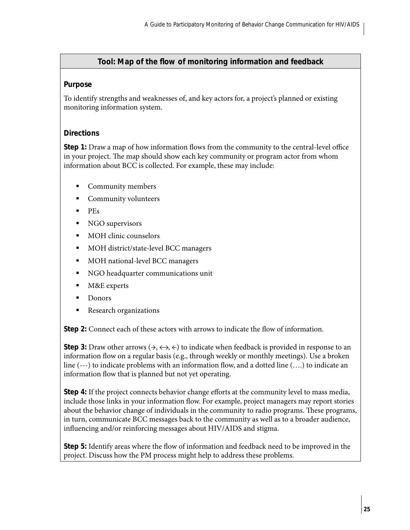#### Tool: Map of the flow of monitoring information and feedback

#### **Purpose**

To identify strengths and weaknesses of, and key actors for, a project's planned or existing monitoring information system.

#### **Directions**

**Step 1:** Draw a map of how information flows from the community to the central-level office in your project. The map should show each key community or program actor from whom information about BCC is collected. For example, these may include:

- Community members
- Community volunteers
- ! PEs
- NGO supervisors
- MOH clinic counselors
- ! MOH district/state-level BCC managers
- ! MOH national-level BCC managers
- ! NGO headquarter communications unit
- M&E experts
- ! Donors
- Research organizations

**Step 2:** Connect each of these actors with arrows to indicate the flow of information.

**Step 3:** Draw other arrows  $(\rightarrow, \leftrightarrow, \leftrightarrow)$  to indicate when feedback is provided in response to an information flow on a regular basis (e.g., through weekly or monthly meetings). Use a broken line  $(--)$  to indicate problems with an information flow, and a dotted line  $(...)$  to indicate an information flow that is planned but not yet operating.

**Step 4:** If the project connects behavior change efforts at the community level to mass media, include those links in your information flow. For example, project managers may report stories about the behavior change of individuals in the community to radio programs. These programs, in turn, communicate BCC messages back to the community as well as to a broader audience, influencing and/or reinforcing messages about HIV/AIDS and stigma.

**Step 5:** Identify areas where the flow of information and feedback need to be improved in the project. Discuss how the PM process might help to address these problems.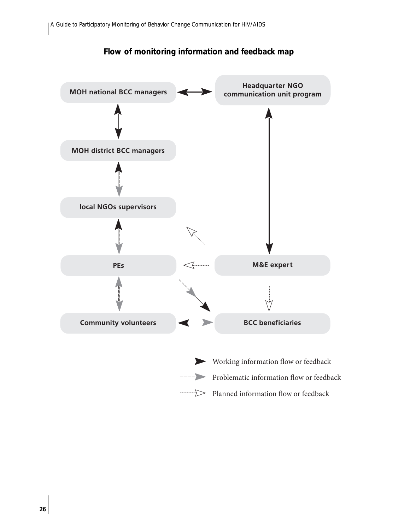

#### **Flow of monitoring information and feedback map**

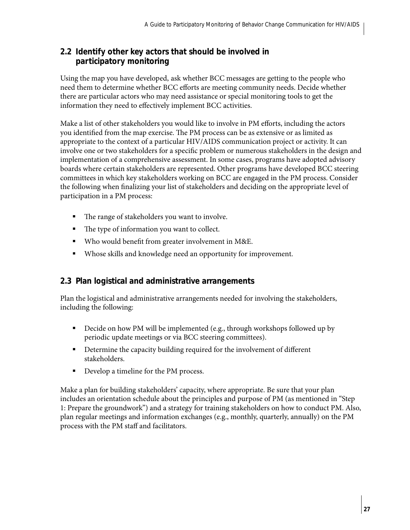#### **2.2 Identify other key actors that should be involved in participatory monitoring**

Using the map you have developed, ask whether BCC messages are getting to the people who need them to determine whether BCC efforts are meeting community needs. Decide whether there are particular actors who may need assistance or special monitoring tools to get the information they need to effectively implement BCC activities.

Make a list of other stakeholders you would like to involve in PM efforts, including the actors you identified from the map exercise. The PM process can be as extensive or as limited as appropriate to the context of a particular HIV/AIDS communication project or activity. It can involve one or two stakeholders for a specific problem or numerous stakeholders in the design and implementation of a comprehensive assessment. In some cases, programs have adopted advisory boards where certain stakeholders are represented. Other programs have developed BCC steering committees in which key stakeholders working on BCC are engaged in the PM process. Consider the following when finalizing your list of stakeholders and deciding on the appropriate level of participation in a PM process:

- The range of stakeholders you want to involve.
- The type of information you want to collect.
- Who would benefit from greater involvement in M&E.
- ! Whose skills and knowledge need an opportunity for improvement.

#### **2.3 Plan logistical and administrative arrangements**

Plan the logistical and administrative arrangements needed for involving the stakeholders, including the following:

- **•** Decide on how PM will be implemented (e.g., through workshops followed up by periodic update meetings or via BCC steering committees).
- Determine the capacity building required for the involvement of different stakeholders.
- ! Develop a timeline for the PM process.

Make a plan for building stakeholders' capacity, where appropriate. Be sure that your plan includes an orientation schedule about the principles and purpose of PM (as mentioned in "Step 1: Prepare the groundwork") and a strategy for training stakeholders on how to conduct PM. Also, plan regular meetings and information exchanges (e.g., monthly, quarterly, annually) on the PM process with the PM staff and facilitators.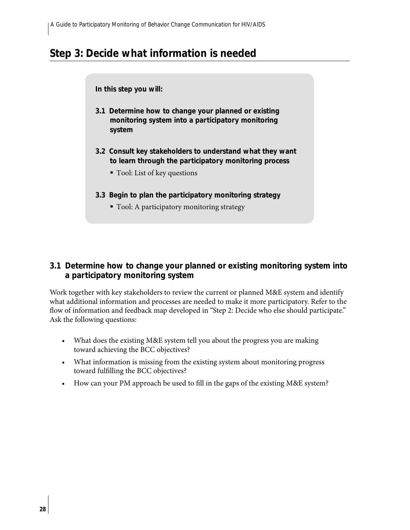## **Step 3: Decide what information is needed**

**In this step you will:**

- **3.1 Determine how to change your planned or existing monitoring system into a participatory monitoring system**
- **3.2 Consult key stakeholders to understand what they want to learn through the participatory monitoring process**
	- Tool: List of key questions
- **3.3 Begin to plan the participatory monitoring strategy**
	- Tool: A participatory monitoring strategy

#### **3.1 Determine how to change your planned or existing monitoring system into a participatory monitoring system**

Work together with key stakeholders to review the current or planned M&E system and identify what additional information and processes are needed to make it more participatory. Refer to the flow of information and feedback map developed in "Step 2: Decide who else should participate." Ask the following questions:

- What does the existing M&E system tell you about the progress you are making toward achieving the BCC objectives?
- What information is missing from the existing system about monitoring progress toward fulfilling the BCC objectives?
- How can your PM approach be used to fill in the gaps of the existing M&E system?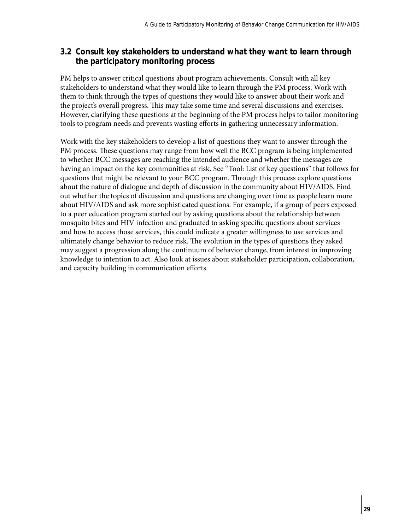#### **3.2 Consult key stakeholders to understand what they want to learn through the participatory monitoring process**

PM helps to answer critical questions about program achievements. Consult with all key stakeholders to understand what they would like to learn through the PM process. Work with them to think through the types of questions they would like to answer about their work and the project's overall progress. This may take some time and several discussions and exercises. However, clarifying these questions at the beginning of the PM process helps to tailor monitoring tools to program needs and prevents wasting efforts in gathering unnecessary information.

Work with the key stakeholders to develop a list of questions they want to answer through the PM process. These questions may range from how well the BCC program is being implemented to whether BCC messages are reaching the intended audience and whether the messages are having an impact on the key communities at risk. See "Tool: List of key questions" that follows for questions that might be relevant to your BCC program. Through this process explore questions about the nature of dialogue and depth of discussion in the community about HIV/AIDS. Find out whether the topics of discussion and questions are changing over time as people learn more about HIV/AIDS and ask more sophisticated questions. For example, if a group of peers exposed to a peer education program started out by asking questions about the relationship between mosquito bites and HIV infection and graduated to asking specific questions about services and how to access those services, this could indicate a greater willingness to use services and ultimately change behavior to reduce risk. The evolution in the types of questions they asked may suggest a progression along the continuum of behavior change, from interest in improving knowledge to intention to act. Also look at issues about stakeholder participation, collaboration, and capacity building in communication efforts.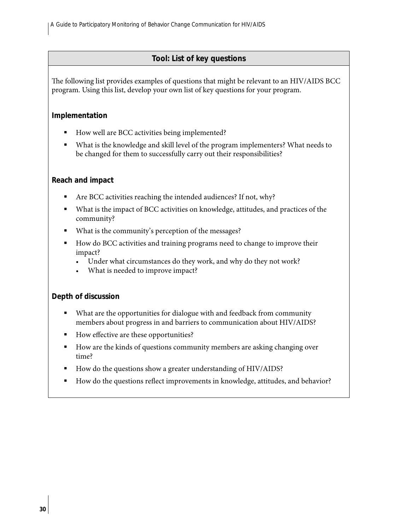#### **Tool: List of key questions**

The following list provides examples of questions that might be relevant to an HIV/AIDS BCC program. Using this list, develop your own list of key questions for your program.

#### **Implementation**

- ! How well are BCC activities being implemented?
- ! What is the knowledge and skill level of the program implementers? What needs to be changed for them to successfully carry out their responsibilities?

#### **Reach and impact**

- ! Are BCC activities reaching the intended audiences? If not, why?
- What is the impact of BCC activities on knowledge, attitudes, and practices of the community?
- ! What is the community's perception of the messages?
- ! How do BCC activities and training programs need to change to improve their impact?
	- Under what circumstances do they work, and why do they not work?
	- What is needed to improve impact?

#### **Depth of discussion**

- What are the opportunities for dialogue with and feedback from community members about progress in and barriers to communication about HIV/AIDS?
- " How effective are these opportunities?
- ! How are the kinds of questions community members are asking changing over time?
- ! How do the questions show a greater understanding of HIV/AIDS?
- " How do the questions reflect improvements in knowledge, attitudes, and behavior?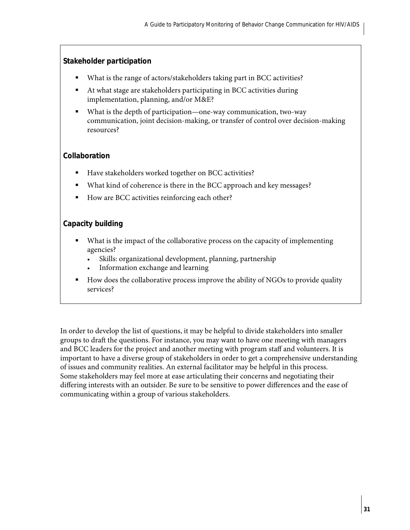#### **Stakeholder participation**

- ! What is the range of actors/stakeholders taking part in BCC activities?
- At what stage are stakeholders participating in BCC activities during implementation, planning, and/or M&E?
- ! What is the depth of participation—one-way communication, two-way communication, joint decision-making, or transfer of control over decision-making resources?

#### **Collaboration**

- ! Have stakeholders worked together on BCC activities?
- ! What kind of coherence is there in the BCC approach and key messages?
- ! How are BCC activities reinforcing each other?

#### **Capacity building**

- What is the impact of the collaborative process on the capacity of implementing agencies?
	- Skills: organizational development, planning, partnership
	- Information exchange and learning
- ! How does the collaborative process improve the ability of NGOs to provide quality services?

In order to develop the list of questions, it may be helpful to divide stakeholders into smaller groups to draft the questions. For instance, you may want to have one meeting with managers and BCC leaders for the project and another meeting with program staff and volunteers. It is important to have a diverse group of stakeholders in order to get a comprehensive understanding of issues and community realities. An external facilitator may be helpful in this process. Some stakeholders may feel more at ease articulating their concerns and negotiating their differing interests with an outsider. Be sure to be sensitive to power differences and the ease of communicating within a group of various stakeholders.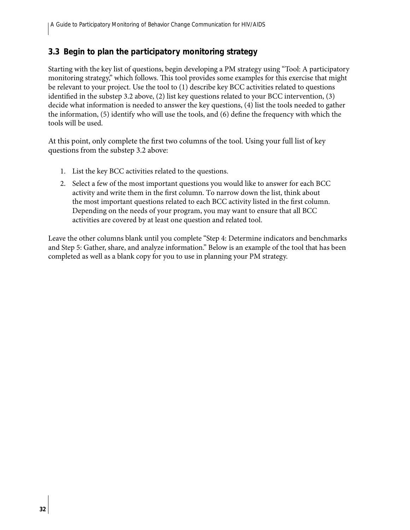#### **3.3 Begin to plan the participatory monitoring strategy**

Starting with the key list of questions, begin developing a PM strategy using "Tool: A participatory monitoring strategy," which follows. This tool provides some examples for this exercise that might be relevant to your project. Use the tool to (1) describe key BCC activities related to questions identified in the substep 3.2 above,  $(2)$  list key questions related to your BCC intervention,  $(3)$ decide what information is needed to answer the key questions, (4) list the tools needed to gather the information, (5) identify who will use the tools, and (6) define the frequency with which the tools will be used.

At this point, only complete the first two columns of the tool. Using your full list of key questions from the substep 3.2 above:

- 1. List the key BCC activities related to the questions.
- 2. Select a few of the most important questions you would like to answer for each BCC activity and write them in the first column. To narrow down the list, think about the most important questions related to each BCC activity listed in the first column. Depending on the needs of your program, you may want to ensure that all BCC activities are covered by at least one question and related tool.

Leave the other columns blank until you complete "Step 4: Determine indicators and benchmarks and Step 5: Gather, share, and analyze information." Below is an example of the tool that has been completed as well as a blank copy for you to use in planning your PM strategy.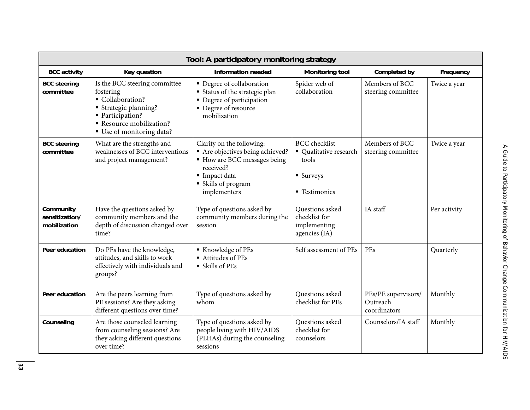| Tool: A participatory monitoring strategy   |                                                                                                                                                                |                                                                                                                                                                  |                                                                                       |                                                 |              |
|---------------------------------------------|----------------------------------------------------------------------------------------------------------------------------------------------------------------|------------------------------------------------------------------------------------------------------------------------------------------------------------------|---------------------------------------------------------------------------------------|-------------------------------------------------|--------------|
| <b>BCC</b> activity                         | Key question                                                                                                                                                   | Information needed                                                                                                                                               | Monitoring tool                                                                       | Completed by                                    | Frequency    |
| <b>BCC</b> steering<br>committee            | Is the BCC steering committee<br>fostering<br>Collaboration?<br>■ Strategic planning?<br>■ Participation?<br>Resource mobilization?<br>Use of monitoring data? | • Degree of collaboration<br>Status of the strategic plan<br>• Degree of participation<br>• Degree of resource<br>mobilization                                   | Spider web of<br>collaboration                                                        | Members of BCC<br>steering committee            | Twice a year |
| <b>BCC</b> steering<br>committee            | What are the strengths and<br>weaknesses of BCC interventions<br>and project management?                                                                       | Clarity on the following:<br>Are objectives being achieved?<br>• How are BCC messages being<br>received?<br>■ Impact data<br>• Skills of program<br>implementers | <b>BCC</b> checklist<br>• Qualitative research<br>tools<br>• Surveys<br>■ Testimonies | Members of BCC<br>steering committee            | Twice a year |
| Community<br>sensitization/<br>mobilization | Have the questions asked by<br>community members and the<br>depth of discussion changed over<br>time?                                                          | Type of questions asked by<br>community members during the<br>session                                                                                            | <b>Ouestions</b> asked<br>checklist for<br>implementing<br>agencies (IA)              | IA staff                                        | Per activity |
| Peer education                              | Do PEs have the knowledge,<br>attitudes, and skills to work<br>effectively with individuals and<br>groups?                                                     | Knowledge of PEs<br>■ Attitudes of PEs<br>• Skills of PEs                                                                                                        | Self assessment of PEs                                                                | PEs                                             | Quarterly    |
| Peer education                              | Are the peers learning from<br>PE sessions? Are they asking<br>different questions over time?                                                                  | Type of questions asked by<br>whom                                                                                                                               | Questions asked<br>checklist for PEs                                                  | PEs/PE supervisors/<br>Outreach<br>coordinators | Monthly      |
| Counseling                                  | Are those counseled learning<br>from counseling sessions? Are<br>they asking different questions<br>over time?                                                 | Type of questions asked by<br>people living with HIV/AIDS<br>(PLHAs) during the counseling<br>sessions                                                           | Questions asked<br>checklist for<br>counselors                                        | Counselors/IA staff                             | Monthly      |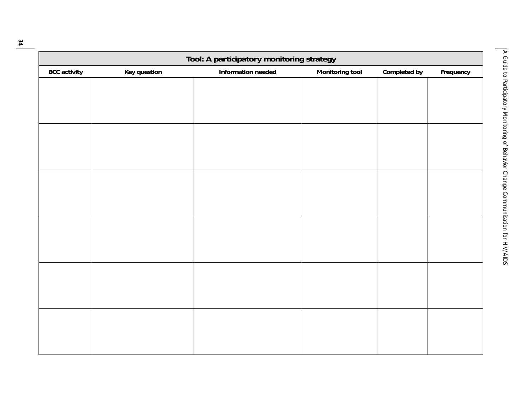| Tool: A participatory monitoring strategy |              |                    |                 |              |           |
|-------------------------------------------|--------------|--------------------|-----------------|--------------|-----------|
| <b>BCC</b> activity                       | Key question | Information needed | Monitoring tool | Completed by | Frequency |
|                                           |              |                    |                 |              |           |
|                                           |              |                    |                 |              |           |
|                                           |              |                    |                 |              |           |
|                                           |              |                    |                 |              |           |
|                                           |              |                    |                 |              |           |
|                                           |              |                    |                 |              |           |
|                                           |              |                    |                 |              |           |
|                                           |              |                    |                 |              |           |
|                                           |              |                    |                 |              |           |
|                                           |              |                    |                 |              |           |
|                                           |              |                    |                 |              |           |
|                                           |              |                    |                 |              |           |
|                                           |              |                    |                 |              |           |
|                                           |              |                    |                 |              |           |
|                                           |              |                    |                 |              |           |
|                                           |              |                    |                 |              |           |
|                                           |              |                    |                 |              |           |
|                                           |              |                    |                 |              |           |
|                                           |              |                    |                 |              |           |
|                                           |              |                    |                 |              |           |
|                                           |              |                    |                 |              |           |
|                                           |              |                    |                 |              |           |
|                                           |              |                    |                 |              |           |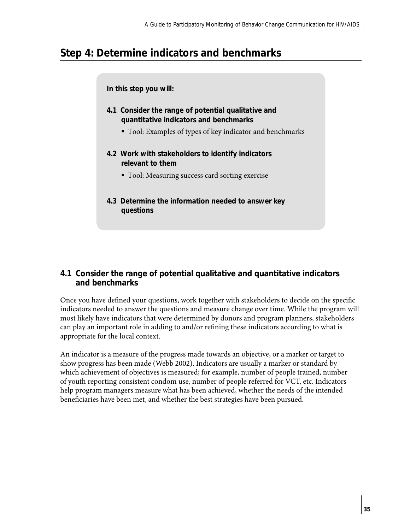## **Step 4: Determine indicators and benchmarks**

**In this step you will:**

- **4.1 Consider the range of potential qualitative and quantitative indicators and benchmarks**
	- ! Tool: Examples of types of key indicator and benchmarks
- **4.2 Work with stakeholders to identify indicators relevant to them**
	- ! Tool: Measuring success card sorting exercise
- **4.3 Determine the information needed to answer key questions**

## **4.1 Consider the range of potential qualitative and quantitative indicators and benchmarks**

Once you have defined your questions, work together with stakeholders to decide on the specific indicators needed to answer the questions and measure change over time. While the program will most likely have indicators that were determined by donors and program planners, stakeholders can play an important role in adding to and/or refining these indicators according to what is appropriate for the local context.

An indicator is a measure of the progress made towards an objective, or a marker or target to show progress has been made (Webb 2002). Indicators are usually a marker or standard by which achievement of objectives is measured; for example, number of people trained, number of youth reporting consistent condom use, number of people referred for VCT, etc. Indicators help program managers measure what has been achieved, whether the needs of the intended beneficiaries have been met, and whether the best strategies have been pursued.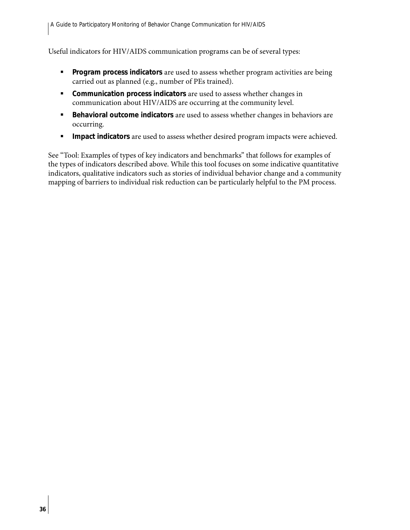Useful indicators for HIV/AIDS communication programs can be of several types:

- **Program process indicators** are used to assess whether program activities are being carried out as planned (e.g., number of PEs trained).
- ! **Communication process indicators** are used to assess whether changes in communication about HIV/AIDS are occurring at the community level.
- ! **Behavioral outcome indicators** are used to assess whether changes in behaviors are occurring.
- **Impact indicators** are used to assess whether desired program impacts were achieved.

See "Tool: Examples of types of key indicators and benchmarks" that follows for examples of the types of indicators described above. While this tool focuses on some indicative quantitative indicators, qualitative indicators such as stories of individual behavior change and a community mapping of barriers to individual risk reduction can be particularly helpful to the PM process.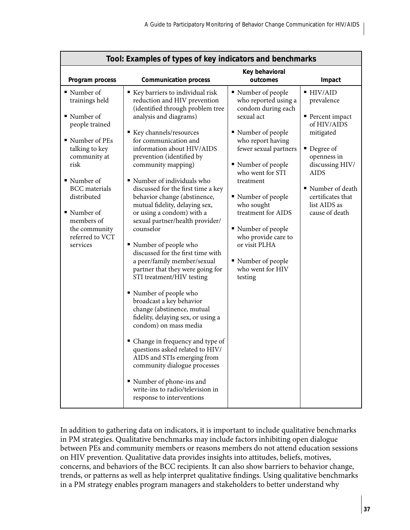| Tool: Examples of types of key indicators and benchmarks                                                                                                                                                                                                     |                                                                                                                                                                                                                                                                                                                                                                                                                                                                                                                                                                                                                                                                                                                                                                                                                                                                                                                                                                                                                                        |                                                                                                                                                                                                                                                                                                                                                                                      |                                                                                                                                                                                                                                  |  |  |  |
|--------------------------------------------------------------------------------------------------------------------------------------------------------------------------------------------------------------------------------------------------------------|----------------------------------------------------------------------------------------------------------------------------------------------------------------------------------------------------------------------------------------------------------------------------------------------------------------------------------------------------------------------------------------------------------------------------------------------------------------------------------------------------------------------------------------------------------------------------------------------------------------------------------------------------------------------------------------------------------------------------------------------------------------------------------------------------------------------------------------------------------------------------------------------------------------------------------------------------------------------------------------------------------------------------------------|--------------------------------------------------------------------------------------------------------------------------------------------------------------------------------------------------------------------------------------------------------------------------------------------------------------------------------------------------------------------------------------|----------------------------------------------------------------------------------------------------------------------------------------------------------------------------------------------------------------------------------|--|--|--|
| Program process                                                                                                                                                                                                                                              | <b>Communication process</b>                                                                                                                                                                                                                                                                                                                                                                                                                                                                                                                                                                                                                                                                                                                                                                                                                                                                                                                                                                                                           | Key behavioral<br>outcomes                                                                                                                                                                                                                                                                                                                                                           | Impact                                                                                                                                                                                                                           |  |  |  |
| ■ Number of<br>trainings held<br>■ Number of<br>people trained<br>Number of PEs<br>talking to key<br>community at<br>risk<br>■ Number of<br><b>BCC</b> materials<br>distributed<br>■ Number of<br>members of<br>the community<br>referred to VCT<br>services | ■ Key barriers to individual risk<br>reduction and HIV prevention<br>(identified through problem tree<br>analysis and diagrams)<br>Key channels/resources<br>for communication and<br>information about HIV/AIDS<br>prevention (identified by<br>community mapping)<br>Number of individuals who<br>discussed for the first time a key<br>behavior change (abstinence,<br>mutual fidelity, delaying sex,<br>or using a condom) with a<br>sexual partner/health provider/<br>counselor<br>Number of people who<br>discussed for the first time with<br>a peer/family member/sexual<br>partner that they were going for<br>STI treatment/HIV testing<br>Number of people who<br>broadcast a key behavior<br>change (abstinence, mutual<br>fidelity, delaying sex, or using a<br>condom) on mass media<br>• Change in frequency and type of<br>questions asked related to HIV/<br>AIDS and STIs emerging from<br>community dialogue processes<br>Number of phone-ins and<br>write-ins to radio/television in<br>response to interventions | Number of people<br>who reported using a<br>condom during each<br>sexual act<br>■ Number of people<br>who report having<br>fewer sexual partners<br>■ Number of people<br>who went for STI<br>treatment<br>■ Number of people<br>who sought<br>treatment for AIDS<br>■ Number of people<br>who provide care to<br>or visit PLHA<br>■ Number of people<br>who went for HIV<br>testing | $\blacksquare$ HIV/AID<br>prevalence<br>■ Percent impact<br>of HIV/AIDS<br>mitigated<br>• Degree of<br>openness in<br>discussing HIV/<br><b>AIDS</b><br>■ Number of death<br>certificates that<br>list AIDS as<br>cause of death |  |  |  |

In addition to gathering data on indicators, it is important to include qualitative benchmarks in PM strategies. Qualitative benchmarks may include factors inhibiting open dialogue between PEs and community members or reasons members do not attend education sessions on HIV prevention. Qualitative data provides insights into attitudes, beliefs, motives, concerns, and behaviors of the BCC recipients. It can also show barriers to behavior change, trends, or patterns as well as help interpret qualitative findings. Using qualitative benchmarks in a PM strategy enables program managers and stakeholders to better understand why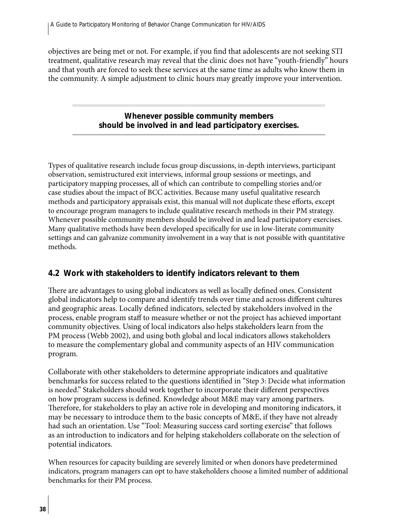objectives are being met or not. For example, if you find that adolescents are not seeking STI treatment, qualitative research may reveal that the clinic does not have "youth-friendly" hours and that youth are forced to seek these services at the same time as adults who know them in the community. A simple adjustment to clinic hours may greatly improve your intervention.

#### **Whenever possible community members should be involved in and lead participatory exercises.**

Types of qualitative research include focus group discussions, in-depth interviews, participant observation, semistructured exit interviews, informal group sessions or meetings, and participatory mapping processes, all of which can contribute to compelling stories and/or case studies about the impact of BCC activities. Because many useful qualitative research methods and participatory appraisals exist, this manual will not duplicate these efforts, except to encourage program managers to include qualitative research methods in their PM strategy. Whenever possible community members should be involved in and lead participatory exercises. Many qualitative methods have been developed specifically for use in low-literate community settings and can galvanize community involvement in a way that is not possible with quantitative methods.

## **4.2 Work with stakeholders to identify indicators relevant to them**

There are advantages to using global indicators as well as locally defined ones. Consistent global indicators help to compare and identify trends over time and across different cultures and geographic areas. Locally defined indicators, selected by stakeholders involved in the process, enable program staff to measure whether or not the project has achieved important community objectives. Using of local indicators also helps stakeholders learn from the PM process (Webb 2002), and using both global and local indicators allows stakeholders to measure the complementary global and community aspects of an HIV communication program.

Collaborate with other stakeholders to determine appropriate indicators and qualitative benchmarks for success related to the questions identified in "Step 3: Decide what information is needed." Stakeholders should work together to incorporate their different perspectives on how program success is defined. Knowledge about M&E may vary among partners. Therefore, for stakeholders to play an active role in developing and monitoring indicators, it may be necessary to introduce them to the basic concepts of M&E, if they have not already had such an orientation. Use "Tool: Measuring success card sorting exercise" that follows as an introduction to indicators and for helping stakeholders collaborate on the selection of potential indicators.

When resources for capacity building are severely limited or when donors have predetermined indicators, program managers can opt to have stakeholders choose a limited number of additional benchmarks for their PM process.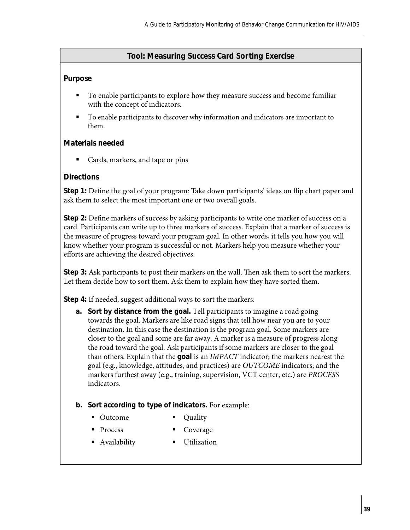## **Tool: Measuring Success Card Sorting Exercise**

## **Purpose**

- ! To enable participants to explore how they measure success and become familiar with the concept of indicators.
- ! To enable participants to discover why information and indicators are important to them.

## **Materials needed**

Cards, markers, and tape or pins

## **Directions**

**Step 1:** Define the goal of your program: Take down participants' ideas on flip chart paper and ask them to select the most important one or two overall goals.

**Step 2:** Define markers of success by asking participants to write one marker of success on a card. Participants can write up to three markers of success. Explain that a marker of success is the measure of progress toward your program goal. In other words, it tells you how you will know whether your program is successful or not. Markers help you measure whether your efforts are achieving the desired objectives.

**Step 3:** Ask participants to post their markers on the wall. Then ask them to sort the markers. Let them decide how to sort them. Ask them to explain how they have sorted them.

**Step 4:** If needed, suggest additional ways to sort the markers:

- **a. Sort by distance from the goal.** Tell participants to imagine a road going towards the goal. Markers are like road signs that tell how near you are to your destination. In this case the destination is the program goal. Some markers are closer to the goal and some are far away. A marker is a measure of progress along the road toward the goal. Ask participants if some markers are closer to the goal than others. Explain that the **goal** is an *IMPACT* indicator; the markers nearest the goal (e.g., knowledge, attitudes, and practices) are *OUTCOME* indicators; and the markers furthest away (e.g., training, supervision, VCT center, etc.) are *PROCESS*  indicators.
- **b. Sort according to type of indicators.** For example:
	- Outcome Quality
	- Process Coverage
	- **Example 18 Availability C**utilization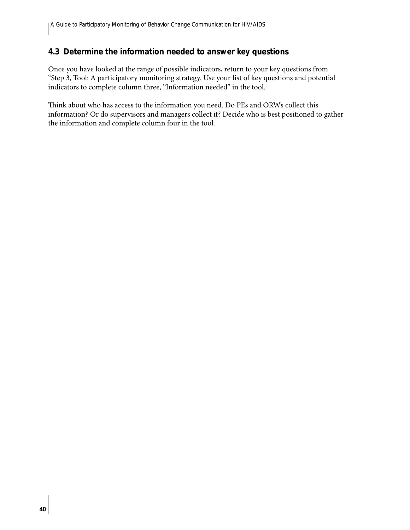## **4.3 Determine the information needed to answer key questions**

Once you have looked at the range of possible indicators, return to your key questions from "Step 3, Tool: A participatory monitoring strategy. Use your list of key questions and potential indicators to complete column three, "Information needed" in the tool.

Think about who has access to the information you need. Do PEs and ORWs collect this information? Or do supervisors and managers collect it? Decide who is best positioned to gather the information and complete column four in the tool.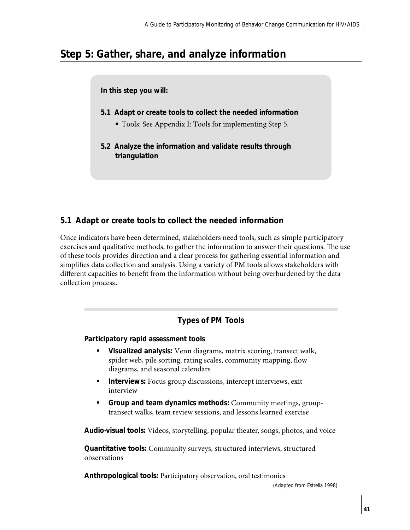## **Step 5: Gather, share, and analyze information**

**In this step you will:**

- **5.1 Adapt or create tools to collect the needed information**
	- ! Tools: See Appendix I: Tools for implementing Step 5.
- **5.2 Analyze the information and validate results through triangulation**

## **5.1 Adapt or create tools to collect the needed information**

Once indicators have been determined, stakeholders need tools, such as simple participatory exercises and qualitative methods, to gather the information to answer their questions. The use of these tools provides direction and a clear process for gathering essential information and simplifies data collection and analysis. Using a variety of PM tools allows stakeholders with different capacities to benefit from the information without being overburdened by the data collection process**.** 

**Types of PM Tools Participatory rapid assessment tools** ! **Visualized analysis:** Venn diagrams, matrix scoring, transect walk, spider web, pile sorting, rating scales, community mapping, flow diagrams, and seasonal calendars **Interviews:** Focus group discussions, intercept interviews, exit interview ! **Group and team dynamics methods:** Community meetings, grouptransect walks, team review sessions, and lessons learned exercise **Audio-visual tools:** Videos, storytelling, popular theater, songs, photos, and voice **Quantitative tools:** Community surveys, structured interviews, structured observations **Anthropological tools:** Participatory observation, oral testimonies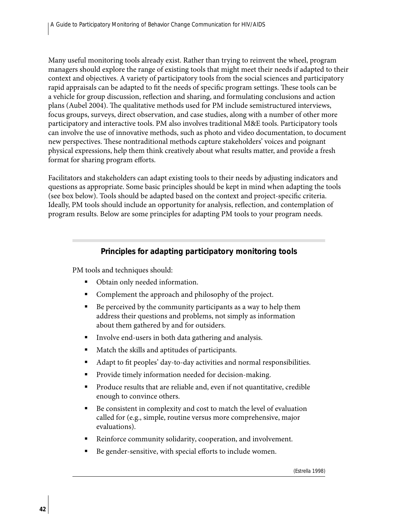Many useful monitoring tools already exist. Rather than trying to reinvent the wheel, program managers should explore the range of existing tools that might meet their needs if adapted to their context and objectives. A variety of participatory tools from the social sciences and participatory rapid appraisals can be adapted to fit the needs of specific program settings. These tools can be a vehicle for group discussion, reflection and sharing, and formulating conclusions and action plans (Aubel 2004). The qualitative methods used for PM include semistructured interviews, focus groups, surveys, direct observation, and case studies, along with a number of other more participatory and interactive tools. PM also involves traditional M&E tools. Participatory tools can involve the use of innovative methods, such as photo and video documentation, to document new perspectives. These nontraditional methods capture stakeholders' voices and poignant physical expressions, help them think creatively about what results matter, and provide a fresh format for sharing program efforts.

Facilitators and stakeholders can adapt existing tools to their needs by adjusting indicators and questions as appropriate. Some basic principles should be kept in mind when adapting the tools (see box below). Tools should be adapted based on the context and project-specific criteria. Ideally, PM tools should include an opportunity for analysis, reflection, and contemplation of program results. Below are some principles for adapting PM tools to your program needs.

## **Principles for adapting participatory monitoring tools**

PM tools and techniques should:

- Obtain only needed information.
- ! Complement the approach and philosophy of the project.
- ! Be perceived by the community participants as a way to help them address their questions and problems, not simply as information about them gathered by and for outsiders.
- ! Involve end-users in both data gathering and analysis.
- ! Match the skills and aptitudes of participants.
- ! Adapt to fi t peoples' day-to-day activities and normal responsibilities.
- ! Provide timely information needed for decision-making.
- ! Produce results that are reliable and, even if not quantitative, credible enough to convince others.
- Be consistent in complexity and cost to match the level of evaluation called for (e.g., simple, routine versus more comprehensive, major evaluations).
- ! Reinforce community solidarity, cooperation, and involvement.
- Be gender-sensitive, with special efforts to include women.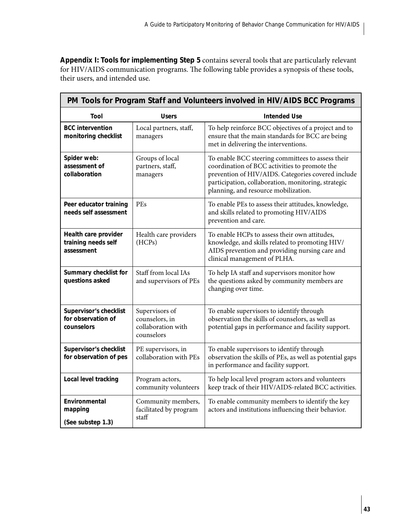**Appendix I: Tools for implementing Step 5** contains several tools that are particularly relevant for HIV/AIDS communication programs. The following table provides a synopsis of these tools, their users, and intended use.

| PM Tools for Program Staff and Volunteers involved in HIV/AIDS BCC Programs |                                                                      |                                                                                                                                                                                                                                                         |  |  |  |
|-----------------------------------------------------------------------------|----------------------------------------------------------------------|---------------------------------------------------------------------------------------------------------------------------------------------------------------------------------------------------------------------------------------------------------|--|--|--|
| Tool                                                                        | <b>Users</b>                                                         | <b>Intended Use</b>                                                                                                                                                                                                                                     |  |  |  |
| <b>BCC</b> intervention<br>monitoring checklist                             | Local partners, staff,<br>managers                                   | To help reinforce BCC objectives of a project and to<br>ensure that the main standards for BCC are being<br>met in delivering the interventions.                                                                                                        |  |  |  |
| Spider web:<br>assessment of<br>collaboration                               | Groups of local<br>partners, staff,<br>managers                      | To enable BCC steering committees to assess their<br>coordination of BCC activities to promote the<br>prevention of HIV/AIDS. Categories covered include<br>participation, collaboration, monitoring, strategic<br>planning, and resource mobilization. |  |  |  |
| Peer educator training<br>needs self assessment                             | PEs                                                                  | To enable PEs to assess their attitudes, knowledge,<br>and skills related to promoting HIV/AIDS<br>prevention and care.                                                                                                                                 |  |  |  |
| Health care provider<br>training needs self<br>assessment                   | Health care providers<br>(HCPs)                                      | To enable HCPs to assess their own attitudes,<br>knowledge, and skills related to promoting HIV/<br>AIDS prevention and providing nursing care and<br>clinical management of PLHA.                                                                      |  |  |  |
| Summary checklist for<br>questions asked                                    | Staff from local IAs<br>and supervisors of PEs                       | To help IA staff and supervisors monitor how<br>the questions asked by community members are<br>changing over time.                                                                                                                                     |  |  |  |
| Supervisor's checklist<br>for observation of<br>counselors                  | Supervisors of<br>counselors, in<br>collaboration with<br>counselors | To enable supervisors to identify through<br>observation the skills of counselors, as well as<br>potential gaps in performance and facility support.                                                                                                    |  |  |  |
| Supervisor's checklist<br>for observation of pes                            | PE supervisors, in<br>collaboration with PEs                         | To enable supervisors to identify through<br>observation the skills of PEs, as well as potential gaps<br>in performance and facility support.                                                                                                           |  |  |  |
| Local level tracking                                                        | Program actors,<br>community volunteers                              | To help local level program actors and volunteers<br>keep track of their HIV/AIDS-related BCC activities.                                                                                                                                               |  |  |  |
| Environmental<br>mapping<br>(See substep 1.3)                               | Community members,<br>facilitated by program<br>staff                | To enable community members to identify the key<br>actors and institutions influencing their behavior.                                                                                                                                                  |  |  |  |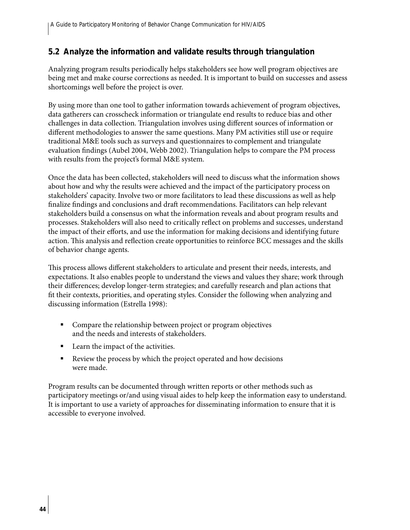## **5.2 Analyze the information and validate results through triangulation**

Analyzing program results periodically helps stakeholders see how well program objectives are being met and make course corrections as needed. It is important to build on successes and assess shortcomings well before the project is over.

By using more than one tool to gather information towards achievement of program objectives, data gatherers can crosscheck information or triangulate end results to reduce bias and other challenges in data collection. Triangulation involves using different sources of information or different methodologies to answer the same questions. Many PM activities still use or require traditional M&E tools such as surveys and questionnaires to complement and triangulate evaluation findings (Aubel 2004, Webb 2002). Triangulation helps to compare the PM process with results from the project's formal M&E system.

Once the data has been collected, stakeholders will need to discuss what the information shows about how and why the results were achieved and the impact of the participatory process on stakeholders' capacity. Involve two or more facilitators to lead these discussions as well as help finalize findings and conclusions and draft recommendations. Facilitators can help relevant stakeholders build a consensus on what the information reveals and about program results and processes. Stakeholders will also need to critically reflect on problems and successes, understand the impact of their efforts, and use the information for making decisions and identifying future action. This analysis and reflection create opportunities to reinforce BCC messages and the skills of behavior change agents.

This process allows different stakeholders to articulate and present their needs, interests, and expectations. It also enables people to understand the views and values they share; work through their differences; develop longer-term strategies; and carefully research and plan actions that fi t their contexts, priorities, and operating styles. Consider the following when analyzing and discussing information (Estrella 1998):

- ! Compare the relationship between project or program objectives and the needs and interests of stakeholders.
- Learn the impact of the activities.
- ! Review the process by which the project operated and how decisions were made.

Program results can be documented through written reports or other methods such as participatory meetings or/and using visual aides to help keep the information easy to understand. It is important to use a variety of approaches for disseminating information to ensure that it is accessible to everyone involved.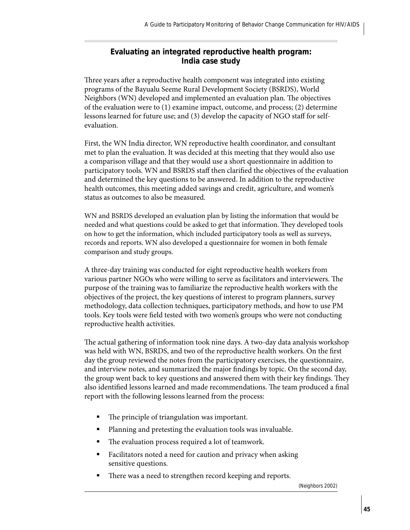## **Evaluating an integrated reproductive health program: India case study**

Three years after a reproductive health component was integrated into existing programs of the Bayualu Seeme Rural Development Society (BSRDS), World Neighbors (WN) developed and implemented an evaluation plan. The objectives of the evaluation were to (1) examine impact, outcome, and process; (2) determine lessons learned for future use; and (3) develop the capacity of NGO staff for selfevaluation.

First, the WN India director, WN reproductive health coordinator, and consultant met to plan the evaluation. It was decided at this meeting that they would also use a comparison village and that they would use a short questionnaire in addition to participatory tools. WN and BSRDS staff then clarified the objectives of the evaluation and determined the key questions to be answered. In addition to the reproductive health outcomes, this meeting added savings and credit, agriculture, and women's status as outcomes to also be measured.

WN and BSRDS developed an evaluation plan by listing the information that would be needed and what questions could be asked to get that information. They developed tools on how to get the information, which included participatory tools as well as surveys, records and reports. WN also developed a questionnaire for women in both female comparison and study groups.

A three-day training was conducted for eight reproductive health workers from various partner NGOs who were willing to serve as facilitators and interviewers. The purpose of the training was to familiarize the reproductive health workers with the objectives of the project, the key questions of interest to program planners, survey methodology, data collection techniques, participatory methods, and how to use PM tools. Key tools were field tested with two women's groups who were not conducting reproductive health activities.

The actual gathering of information took nine days. A two-day data analysis workshop was held with WN, BSRDS, and two of the reproductive health workers. On the first day the group reviewed the notes from the participatory exercises, the questionnaire, and interview notes, and summarized the major findings by topic. On the second day, the group went back to key questions and answered them with their key findings. They also identified lessons learned and made recommendations. The team produced a final report with the following lessons learned from the process:

- The principle of triangulation was important.
- ! Planning and pretesting the evaluation tools was invaluable.
- The evaluation process required a lot of teamwork.
- Facilitators noted a need for caution and privacy when asking sensitive questions.
- There was a need to strengthen record keeping and reports.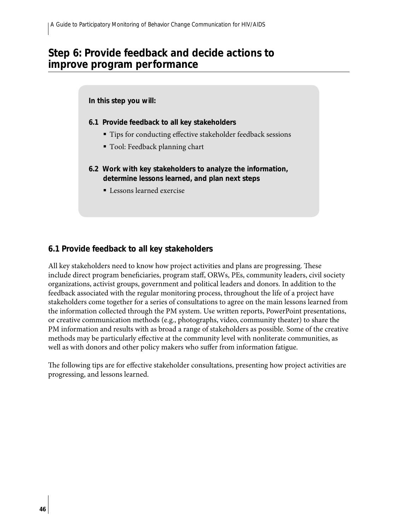## **Step 6: Provide feedback and decide actions to improve program performance**

#### **In this step you will:**

- **6.1 Provide feedback to all key stakeholders** 
	- **Tips for conducting effective stakeholder feedback sessions**
	- ! Tool: Feedback planning chart
- **6.2 Work with key stakeholders to analyze the information, determine lessons learned, and plan next steps**
	- **Exercise** Lessons learned exercise

## **6.1 Provide feedback to all key stakeholders**

All key stakeholders need to know how project activities and plans are progressing. These include direct program beneficiaries, program staff, ORWs, PEs, community leaders, civil society organizations, activist groups, government and political leaders and donors. In addition to the feedback associated with the regular monitoring process, throughout the life of a project have stakeholders come together for a series of consultations to agree on the main lessons learned from the information collected through the PM system. Use written reports, PowerPoint presentations, or creative communication methods (e.g., photographs, video, community theater) to share the PM information and results with as broad a range of stakeholders as possible. Some of the creative methods may be particularly effective at the community level with nonliterate communities, as well as with donors and other policy makers who suffer from information fatigue.

The following tips are for effective stakeholder consultations, presenting how project activities are progressing, and lessons learned.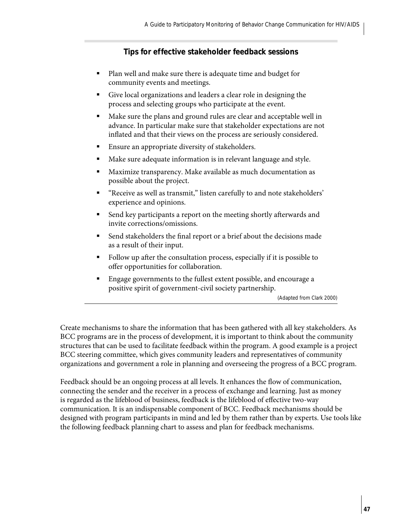## **Tips for effective stakeholder feedback sessions**

- ! Plan well and make sure there is adequate time and budget for community events and meetings.
- ! Give local organizations and leaders a clear role in designing the process and selecting groups who participate at the event.
- ! Make sure the plans and ground rules are clear and acceptable well in advance. In particular make sure that stakeholder expectations are not inflated and that their views on the process are seriously considered.
- Ensure an appropriate diversity of stakeholders.
- ! Make sure adequate information is in relevant language and style.
- ! Maximize transparency. Make available as much documentation as possible about the project.
- ! "Receive as well as transmit," listen carefully to and note stakeholders' experience and opinions.
- Send key participants a report on the meeting shortly afterwards and invite corrections/omissions.
- Send stakeholders the final report or a brief about the decisions made as a result of their input.
- Follow up after the consultation process, especially if it is possible to offer opportunities for collaboration.
- ! Engage governments to the fullest extent possible, and encourage a positive spirit of government-civil society partnership.

(Adapted from Clark 2000)

Create mechanisms to share the information that has been gathered with all key stakeholders. As BCC programs are in the process of development, it is important to think about the community structures that can be used to facilitate feedback within the program. A good example is a project BCC steering committee, which gives community leaders and representatives of community organizations and government a role in planning and overseeing the progress of a BCC program.

Feedback should be an ongoing process at all levels. It enhances the flow of communication, connecting the sender and the receiver in a process of exchange and learning. Just as money is regarded as the lifeblood of business, feedback is the lifeblood of effective two-way communication. It is an indispensable component of BCC. Feedback mechanisms should be designed with program participants in mind and led by them rather than by experts. Use tools like the following feedback planning chart to assess and plan for feedback mechanisms.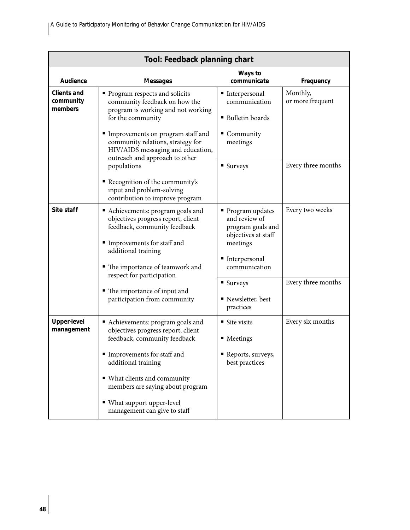| Tool: Feedback planning chart              |                                                                                                                                               |                                                                              |                              |  |  |
|--------------------------------------------|-----------------------------------------------------------------------------------------------------------------------------------------------|------------------------------------------------------------------------------|------------------------------|--|--|
| Audience                                   | <b>Messages</b>                                                                                                                               | Ways to<br>communicate                                                       | Frequency                    |  |  |
| <b>Clients and</b><br>community<br>members | Program respects and solicits<br>community feedback on how the<br>program is working and not working<br>for the community                     | ■ Interpersonal<br>communication<br><b>Bulletin boards</b>                   | Monthly,<br>or more frequent |  |  |
|                                            | Improvements on program staff and<br>community relations, strategy for<br>HIV/AIDS messaging and education,<br>outreach and approach to other | $\blacksquare$ Community<br>meetings                                         |                              |  |  |
|                                            | populations                                                                                                                                   | ■ Surveys                                                                    | Every three months           |  |  |
|                                            | Recognition of the community's<br>input and problem-solving<br>contribution to improve program                                                |                                                                              |                              |  |  |
| Site staff                                 | Achievements: program goals and<br>objectives progress report, client<br>feedback, community feedback                                         | Program updates<br>and review of<br>program goals and<br>objectives at staff | Every two weeks              |  |  |
|                                            | Improvements for staff and<br>additional training                                                                                             | meetings                                                                     |                              |  |  |
|                                            | ■ The importance of teamwork and<br>respect for participation                                                                                 | ■ Interpersonal<br>communication                                             |                              |  |  |
|                                            | • The importance of input and                                                                                                                 | ■ Surveys                                                                    | Every three months           |  |  |
|                                            | participation from community                                                                                                                  | ■ Newsletter, best<br>practices                                              |                              |  |  |
| <b>Upper-level</b><br>management           | Achievements: program goals and<br>objectives progress report, client                                                                         | ■ Site visits                                                                | Every six months             |  |  |
|                                            | feedback, community feedback                                                                                                                  | ■ Meetings                                                                   |                              |  |  |
|                                            | Improvements for staff and<br>additional training                                                                                             | Reports, surveys,<br>best practices                                          |                              |  |  |
|                                            | ■ What clients and community<br>members are saying about program                                                                              |                                                                              |                              |  |  |
|                                            | ■ What support upper-level<br>management can give to staff                                                                                    |                                                                              |                              |  |  |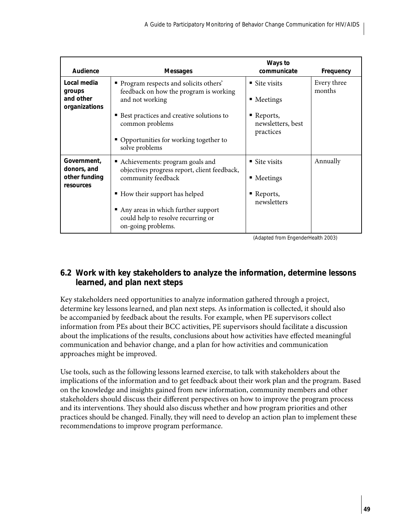| Audience                                                 | <b>Messages</b>                                                                                                                                                                                                                             | Ways to<br>communicate                                                      | Frequency             |
|----------------------------------------------------------|---------------------------------------------------------------------------------------------------------------------------------------------------------------------------------------------------------------------------------------------|-----------------------------------------------------------------------------|-----------------------|
| Local media<br>groups<br>and other<br>organizations      | • Program respects and solicits others'<br>feedback on how the program is working<br>and not working                                                                                                                                        | $\blacksquare$ Site visits<br>■ Meetings                                    | Every three<br>months |
|                                                          | Best practices and creative solutions to<br>common problems<br>• Opportunities for working together to<br>solve problems                                                                                                                    | Reports,<br>٠<br>newsletters, best<br>practices                             |                       |
| Government,<br>donors, and<br>other funding<br>resources | ■ Achievements: program goals and<br>objectives progress report, client feedback,<br>community feedback<br>■ How their support has helped<br>Any areas in which further support<br>could help to resolve recurring or<br>on-going problems. | $\blacksquare$ Site visits<br>Meetings<br>٠<br>Reports,<br>٠<br>newsletters | Annually              |

(Adapted from EngenderHealth 2003)

## **6.2 Work with key stakeholders to analyze the information, determine lessons learned, and plan next steps**

Key stakeholders need opportunities to analyze information gathered through a project, determine key lessons learned, and plan next steps. As information is collected, it should also be accompanied by feedback about the results. For example, when PE supervisors collect information from PEs about their BCC activities, PE supervisors should facilitate a discussion about the implications of the results, conclusions about how activities have effected meaningful communication and behavior change, and a plan for how activities and communication approaches might be improved.

Use tools, such as the following lessons learned exercise, to talk with stakeholders about the implications of the information and to get feedback about their work plan and the program. Based on the knowledge and insights gained from new information, community members and other stakeholders should discuss their different perspectives on how to improve the program process and its interventions. They should also discuss whether and how program priorities and other practices should be changed. Finally, they will need to develop an action plan to implement these recommendations to improve program performance.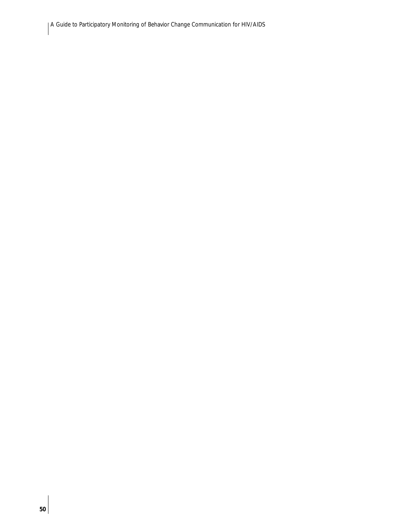A Guide to Participatory Monitoring of Behavior Change Communication for HIV/AIDS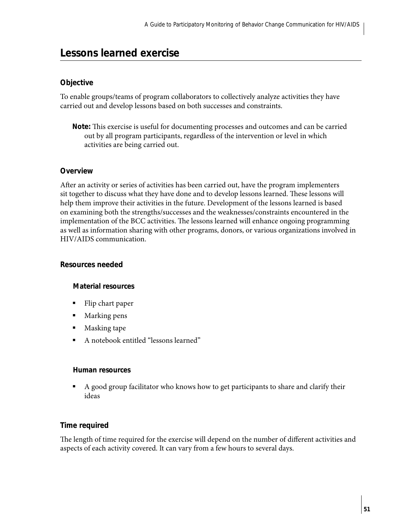## **Lessons learned exercise**

### **Objective**

To enable groups/teams of program collaborators to collectively analyze activities they have carried out and develop lessons based on both successes and constraints.

**Note:** This exercise is useful for documenting processes and outcomes and can be carried out by all program participants, regardless of the intervention or level in which activities are being carried out.

#### **Overview**

After an activity or series of activities has been carried out, have the program implementers sit together to discuss what they have done and to develop lessons learned. These lessons will help them improve their activities in the future. Development of the lessons learned is based on examining both the strengths/successes and the weaknesses/constraints encountered in the implementation of the BCC activities. The lessons learned will enhance ongoing programming as well as information sharing with other programs, donors, or various organizations involved in HIV/AIDS communication.

#### **Resources needed**

#### **Material resources**

- ! Flip chart paper
- ! Marking pens
- **I** Masking tape
- ! A notebook entitled "lessons learned"

#### **Human resources**

! A good group facilitator who knows how to get participants to share and clarify their ideas

## **Time required**

The length of time required for the exercise will depend on the number of different activities and aspects of each activity covered. It can vary from a few hours to several days.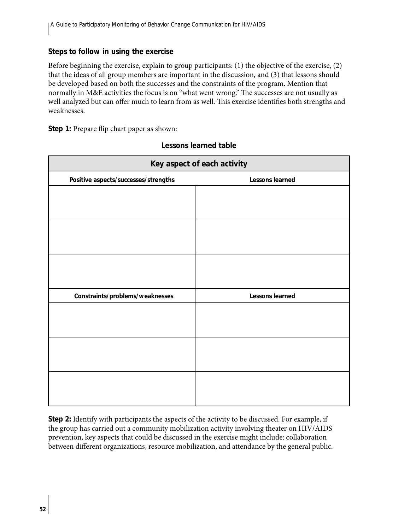#### **Steps to follow in using the exercise**

Before beginning the exercise, explain to group participants: (1) the objective of the exercise, (2) that the ideas of all group members are important in the discussion, and (3) that lessons should be developed based on both the successes and the constraints of the program. Mention that normally in M&E activities the focus is on "what went wrong." The successes are not usually as well analyzed but can offer much to learn from as well. This exercise identifies both strengths and weaknesses.

**Step 1:** Prepare flip chart paper as shown:

| Key aspect of each activity          |                 |  |  |  |
|--------------------------------------|-----------------|--|--|--|
| Positive aspects/successes/strengths | Lessons learned |  |  |  |
|                                      |                 |  |  |  |
|                                      |                 |  |  |  |
|                                      |                 |  |  |  |
|                                      |                 |  |  |  |
|                                      |                 |  |  |  |
|                                      |                 |  |  |  |
| Constraints/problems/weaknesses      | Lessons learned |  |  |  |
|                                      |                 |  |  |  |
|                                      |                 |  |  |  |
|                                      |                 |  |  |  |
|                                      |                 |  |  |  |
|                                      |                 |  |  |  |
|                                      |                 |  |  |  |

#### **Lessons learned table**

**Step 2:** Identify with participants the aspects of the activity to be discussed. For example, if the group has carried out a community mobilization activity involving theater on HIV/AIDS prevention, key aspects that could be discussed in the exercise might include: collaboration between different organizations, resource mobilization, and attendance by the general public.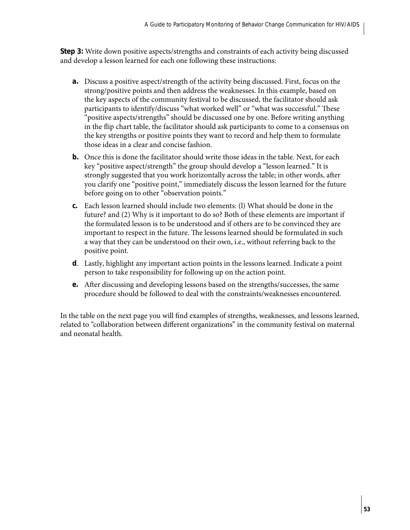**Step 3:** Write down positive aspects/strengths and constraints of each activity being discussed and develop a lesson learned for each one following these instructions:

- **a.** Discuss a positive aspect/strength of the activity being discussed. First, focus on the strong/positive points and then address the weaknesses. In this example, based on the key aspects of the community festival to be discussed, the facilitator should ask participants to identify/discuss "what worked well" or "what was successful." These "positive aspects/strengths" should be discussed one by one. Before writing anything in the flip chart table, the facilitator should ask participants to come to a consensus on the key strengths or positive points they want to record and help them to formulate those ideas in a clear and concise fashion.
- **b.** Once this is done the facilitator should write those ideas in the table. Next, for each key "positive aspect/strength" the group should develop a "lesson learned." It is strongly suggested that you work horizontally across the table; in other words, after you clarify one "positive point," immediately discuss the lesson learned for the future before going on to other "observation points."
- **c.** Each lesson learned should include two elements: (l) What should be done in the future? and (2) Why is it important to do so? Both of these elements are important if the formulated lesson is to be understood and if others are to be convinced they are important to respect in the future. The lessons learned should be formulated in such a way that they can be understood on their own, i.e., without referring back to the positive point.
- **d**. Lastly, highlight any important action points in the lessons learned. Indicate a point person to take responsibility for following up on the action point.
- **e.** After discussing and developing lessons based on the strengths/successes, the same procedure should be followed to deal with the constraints/weaknesses encountered.

In the table on the next page you will find examples of strengths, weaknesses, and lessons learned, related to "collaboration between different organizations" in the community festival on maternal and neonatal health.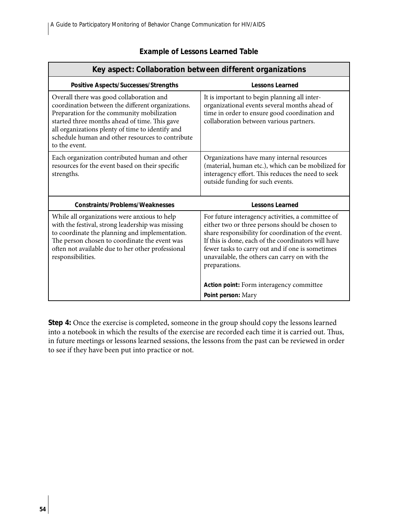| Key aspect: Collaboration between different organizations                                                                                                                                                                                                                                                             |                                                                                                                                                                                                                                                                                                                                          |  |  |  |
|-----------------------------------------------------------------------------------------------------------------------------------------------------------------------------------------------------------------------------------------------------------------------------------------------------------------------|------------------------------------------------------------------------------------------------------------------------------------------------------------------------------------------------------------------------------------------------------------------------------------------------------------------------------------------|--|--|--|
| Positive Aspects/Successes/Strengths                                                                                                                                                                                                                                                                                  | <b>Lessons Learned</b>                                                                                                                                                                                                                                                                                                                   |  |  |  |
| Overall there was good collaboration and<br>coordination between the different organizations.<br>Preparation for the community mobilization<br>started three months ahead of time. This gave<br>all organizations plenty of time to identify and<br>schedule human and other resources to contribute<br>to the event. | It is important to begin planning all inter-<br>organizational events several months ahead of<br>time in order to ensure good coordination and<br>collaboration between various partners.                                                                                                                                                |  |  |  |
| Each organization contributed human and other<br>resources for the event based on their specific<br>strengths.                                                                                                                                                                                                        | Organizations have many internal resources<br>(material, human etc.), which can be mobilized for<br>interagency effort. This reduces the need to seek<br>outside funding for such events.                                                                                                                                                |  |  |  |
| Constraints/Problems/Weaknesses                                                                                                                                                                                                                                                                                       | <b>Lessons Learned</b>                                                                                                                                                                                                                                                                                                                   |  |  |  |
| While all organizations were anxious to help<br>with the festival, strong leadership was missing<br>to coordinate the planning and implementation.<br>The person chosen to coordinate the event was<br>often not available due to her other professional<br>responsibilities.                                         | For future interagency activities, a committee of<br>either two or three persons should be chosen to<br>share responsibility for coordination of the event.<br>If this is done, each of the coordinators will have<br>fewer tasks to carry out and if one is sometimes<br>unavailable, the others can carry on with the<br>preparations. |  |  |  |
|                                                                                                                                                                                                                                                                                                                       | Action point: Form interagency committee                                                                                                                                                                                                                                                                                                 |  |  |  |
|                                                                                                                                                                                                                                                                                                                       | Point person: Mary                                                                                                                                                                                                                                                                                                                       |  |  |  |

## **Example of Lessons Learned Table**

**Step 4:** Once the exercise is completed, someone in the group should copy the lessons learned into a notebook in which the results of the exercise are recorded each time it is carried out. Thus, in future meetings or lessons learned sessions, the lessons from the past can be reviewed in order to see if they have been put into practice or not.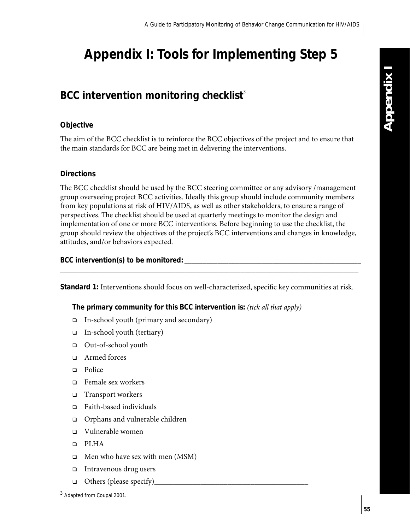# **Appendix I: Tools for Implementing Step 5**

## **BCC intervention monitoring checklist**<sup>3</sup>

### **Objective**

The aim of the BCC checklist is to reinforce the BCC objectives of the project and to ensure that the main standards for BCC are being met in delivering the interventions.

#### **Directions**

The BCC checklist should be used by the BCC steering committee or any advisory /management group overseeing project BCC activities. Ideally this group should include community members from key populations at risk of HIV/AIDS, as well as other stakeholders, to ensure a range of perspectives. The checklist should be used at quarterly meetings to monitor the design and implementation of one or more BCC interventions. Before beginning to use the checklist, the group should review the objectives of the project's BCC interventions and changes in knowledge, attitudes, and/or behaviors expected.

#### **BCC intervention(s) to be monitored:** \_\_\_\_\_\_\_\_\_\_\_\_\_\_\_\_\_\_\_\_\_\_\_\_\_\_\_\_\_\_\_\_\_\_\_\_\_\_\_\_\_\_\_\_\_\_\_\_

Standard 1: Interventions should focus on well-characterized, specific key communities at risk.

\_\_\_\_\_\_\_\_\_\_\_\_\_\_\_\_\_\_\_\_\_\_\_\_\_\_\_\_\_\_\_\_\_\_\_\_\_\_\_\_\_\_\_\_\_\_\_\_\_\_\_\_\_\_\_\_\_\_\_\_\_\_\_\_\_\_\_\_\_\_\_\_\_\_\_\_\_\_\_\_\_

**The primary community for this BCC intervention is:** *(tick all that apply)*

- $\Box$  In-school youth (primary and secondary)
- $\Box$  In-school youth (tertiary)
- $\Box$  Out-of-school youth
- $\Box$  Armed forces
- $\Box$  Police
- $\Box$  Female sex workers
- □ Transport workers
- $\Box$  Faith-based individuals
- Orphans and vulnerable children
- $\Box$  Vulnerable women
- $\Box$  PLHA
- $\Box$  Men who have sex with men (MSM)
- $\Box$  Intravenous drug users
- $\Box$  Others (please specify)

<sup>3</sup> Adapted from Coupal 2001.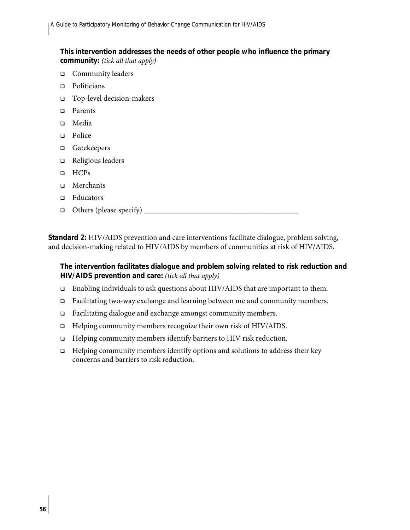#### This intervention addresses the needs of other people who influence the primary **community:** *(tick all that apply)*

- □ Community leaders
- **n** Politicians
- □ Top-level decision-makers
- Parents
- n Media
- n Police
- $\Box$  Gatekeepers
- $\Box$  Religious leaders
- **u** HCPs
- **D** Merchants
- $\Box$  Educators
- $\Box$  Others (please specify)

**Standard 2:** HIV/AIDS prevention and care interventions facilitate dialogue, problem solving, and decision-making related to HIV/AIDS by members of communities at risk of HIV/AIDS.

#### **The intervention facilitates dialogue and problem solving related to risk reduction and HIV/AIDS prevention and care:** *(tick all that apply)*

- $\Box$  Enabling individuals to ask questions about HIV/AIDS that are important to them.
- □ Facilitating two-way exchange and learning between me and community members.
- $\Box$  Facilitating dialogue and exchange amongst community members.
- $\Box$  Helping community members recognize their own risk of HIV/AIDS.
- $\Box$  Helping community members identify barriers to HIV risk reduction.
- $\Box$  Helping community members identify options and solutions to address their key concerns and barriers to risk reduction.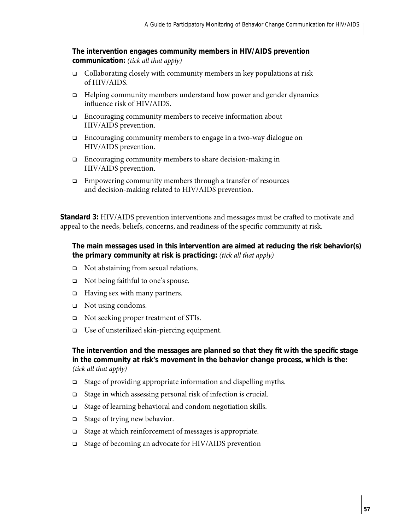**The intervention engages community members in HIV/AIDS prevention communication:** *(tick all that apply)*

- $\Box$  Collaborating closely with community members in key populations at risk of HIV/AIDS.
- $\Box$  Helping community members understand how power and gender dynamics influence risk of HIV/AIDS.
- $\Box$  Encouraging community members to receive information about HIV/AIDS prevention.
- $\Box$  Encouraging community members to engage in a two-way dialogue on HIV/AIDS prevention.
- $\Box$  Encouraging community members to share decision-making in HIV/AIDS prevention.
- $\Box$  Empowering community members through a transfer of resources and decision-making related to HIV/AIDS prevention.

**Standard 3:** HIV/AIDS prevention interventions and messages must be crafted to motivate and appeal to the needs, beliefs, concerns, and readiness of the specific community at risk.

#### **The main messages used in this intervention are aimed at reducing the risk behavior(s) the primary community at risk is practicing:** *(tick all that apply)*

- $\Box$  Not abstaining from sexual relations.
- $\Box$  Not being faithful to one's spouse.
- $\Box$  Having sex with many partners.
- $\Box$  Not using condoms.
- Not seeking proper treatment of STIs.
- $\Box$  Use of unsterilized skin-piercing equipment.

The intervention and the messages are planned so that they fit with the specific stage **in the community at risk's movement in the behavior change process, which is the:**  *(tick all that apply)*

- $\Box$  Stage of providing appropriate information and dispelling myths.
- $\Box$  Stage in which assessing personal risk of infection is crucial.
- $\Box$  Stage of learning behavioral and condom negotiation skills.
- $\Box$  Stage of trying new behavior.
- $\Box$  Stage at which reinforcement of messages is appropriate.
- $\Box$  Stage of becoming an advocate for HIV/AIDS prevention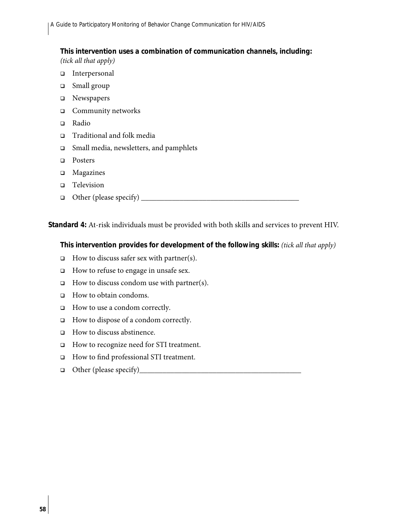#### **This intervention uses a combination of communication channels, including:**  *(tick all that apply)*

Interpersonal

- $\Box$  Small group
- □ Newspapers
- $\Box$  Community networks
- a Radio
- $\Box$  Traditional and folk media
- $\Box$  Small media, newsletters, and pamphlets
- □ Posters
- □ Magazines
- $\Box$  Television
- # Other (please specify) \_\_\_\_\_\_\_\_\_\_\_\_\_\_\_\_\_\_\_\_\_\_\_\_\_\_\_\_\_\_\_\_\_\_\_\_\_\_\_\_\_

**Standard 4:** At-risk individuals must be provided with both skills and services to prevent HIV.

#### **This intervention provides for development of the following skills:** *(tick all that apply)*

- $\Box$  How to discuss safer sex with partner(s).
- $\Box$  How to refuse to engage in unsafe sex.
- $\Box$  How to discuss condom use with partner(s).
- $\Box$  How to obtain condoms.
- $\Box$  How to use a condom correctly.
- □ How to dispose of a condom correctly.
- $\Box$  How to discuss abstinence.
- $\Box$  How to recognize need for STI treatment.
- $\Box$  How to find professional STI treatment.
- # Other (please specify)\_\_\_\_\_\_\_\_\_\_\_\_\_\_\_\_\_\_\_\_\_\_\_\_\_\_\_\_\_\_\_\_\_\_\_\_\_\_\_\_\_\_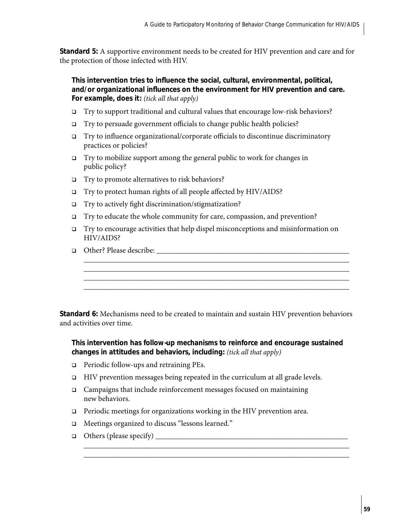**Standard 5:** A supportive environment needs to be created for HIV prevention and care and for the protection of those infected with HIV.

This intervention tries to influence the social, cultural, environmental, political, and/or organizational influences on the environment for HIV prevention and care. **For example, does it:** *(tick all that apply)*

- □ Try to support traditional and cultural values that encourage low-risk behaviors?
- $\Box$  Try to persuade government officials to change public health policies?
- $\Box$  Try to influence organizational/corporate officials to discontinue discriminatory practices or policies?
- $\Box$  Try to mobilize support among the general public to work for changes in public policy?
- $\Box$  Try to promote alternatives to risk behaviors?
- $\Box$  Try to protect human rights of all people affected by HIV/AIDS?
- $\Box$  Try to actively fight discrimination/stigmatization?
- $\Box$  Try to educate the whole community for care, compassion, and prevention?
- $\Box$  Try to encourage activities that help dispel misconceptions and misinformation on HIV/AIDS?

\_\_\_\_\_\_\_\_\_\_\_\_\_\_\_\_\_\_\_\_\_\_\_\_\_\_\_\_\_\_\_\_\_\_\_\_\_\_\_\_\_\_\_\_\_\_\_\_\_\_\_\_\_\_\_\_\_\_\_\_\_\_\_\_\_\_\_\_\_ \_\_\_\_\_\_\_\_\_\_\_\_\_\_\_\_\_\_\_\_\_\_\_\_\_\_\_\_\_\_\_\_\_\_\_\_\_\_\_\_\_\_\_\_\_\_\_\_\_\_\_\_\_\_\_\_\_\_\_\_\_\_\_\_\_\_\_\_\_ \_\_\_\_\_\_\_\_\_\_\_\_\_\_\_\_\_\_\_\_\_\_\_\_\_\_\_\_\_\_\_\_\_\_\_\_\_\_\_\_\_\_\_\_\_\_\_\_\_\_\_\_\_\_\_\_\_\_\_\_\_\_\_\_\_\_\_\_\_ \_\_\_\_\_\_\_\_\_\_\_\_\_\_\_\_\_\_\_\_\_\_\_\_\_\_\_\_\_\_\_\_\_\_\_\_\_\_\_\_\_\_\_\_\_\_\_\_\_\_\_\_\_\_\_\_\_\_\_\_\_\_\_\_\_\_\_\_\_

 $\Box$  Other? Please describe:

**Standard 6:** Mechanisms need to be created to maintain and sustain HIV prevention behaviors and activities over time.

**This intervention has follow-up mechanisms to reinforce and encourage sustained changes in attitudes and behaviors, including:** *(tick all that apply)*

\_\_\_\_\_\_\_\_\_\_\_\_\_\_\_\_\_\_\_\_\_\_\_\_\_\_\_\_\_\_\_\_\_\_\_\_\_\_\_\_\_\_\_\_\_\_\_\_\_\_\_\_\_\_\_\_\_\_\_\_\_\_\_\_\_\_\_\_\_ \_\_\_\_\_\_\_\_\_\_\_\_\_\_\_\_\_\_\_\_\_\_\_\_\_\_\_\_\_\_\_\_\_\_\_\_\_\_\_\_\_\_\_\_\_\_\_\_\_\_\_\_\_\_\_\_\_\_\_\_\_\_\_\_\_\_\_\_\_

- $\Box$  Periodic follow-ups and retraining PEs.
- $\Box$  HIV prevention messages being repeated in the curriculum at all grade levels.
- $\Box$  Campaigns that include reinforcement messages focused on maintaining new behaviors.
- $\Box$  Periodic meetings for organizations working in the HIV prevention area.
- □ Meetings organized to discuss "lessons learned."
- # Others (please specify) \_\_\_\_\_\_\_\_\_\_\_\_\_\_\_\_\_\_\_\_\_\_\_\_\_\_\_\_\_\_\_\_\_\_\_\_\_\_\_\_\_\_\_\_\_\_\_\_\_\_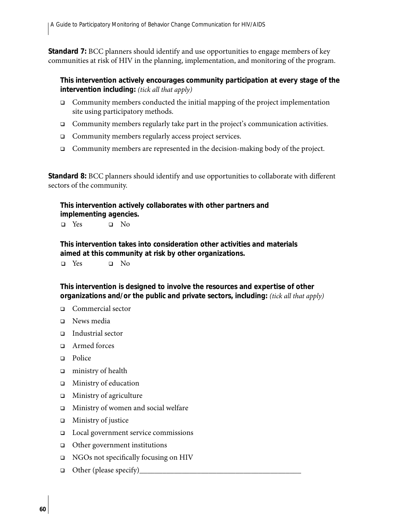**Standard 7:** BCC planners should identify and use opportunities to engage members of key communities at risk of HIV in the planning, implementation, and monitoring of the program.

**This intervention actively encourages community participation at every stage of the intervention including:** *(tick all that apply)*

- $\Box$  Community members conducted the initial mapping of the project implementation site using participatory methods.
- $\Box$  Community members regularly take part in the project's communication activities.
- $\Box$  Community members regularly access project services.
- $\Box$  Community members are represented in the decision-making body of the project.

**Standard 8:** BCC planners should identify and use opportunities to collaborate with different sectors of the community.

**This intervention actively collaborates with other partners and implementing agencies.**

 $\Box$  Yes  $\Box$  No

**This intervention takes into consideration other activities and materials aimed at this community at risk by other organizations.**

 $\Box$  Yes  $\Box$  No

**This intervention is designed to involve the resources and expertise of other organizations and/or the public and private sectors, including:** *(tick all that apply)*

- $\Box$  Commercial sector
- □ News media
- □ Industrial sector
- $\Box$  Armed forces
- $\Box$  Police
- $\Box$  ministry of health
- $\Box$  Ministry of education
- $\Box$  Ministry of agriculture
- $\Box$  Ministry of women and social welfare
- $\Box$  Ministry of justice
- $\Box$  Local government service commissions
- $\Box$  Other government institutions
- $\Box$  NGOs not specifically focusing on HIV
- # Other (please specify)\_\_\_\_\_\_\_\_\_\_\_\_\_\_\_\_\_\_\_\_\_\_\_\_\_\_\_\_\_\_\_\_\_\_\_\_\_\_\_\_\_\_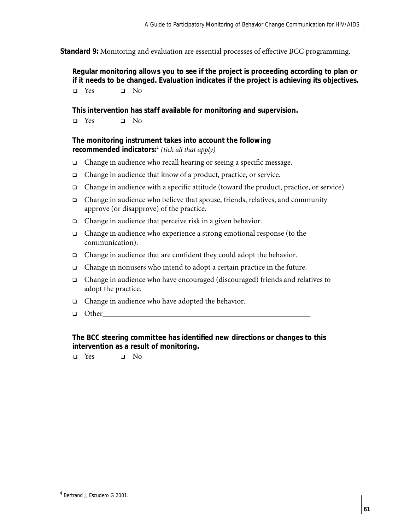**Standard 9:** Monitoring and evaluation are essential processes of effective BCC programming.

**Regular monitoring allows you to see if the project is proceeding according to plan or if it needs to be changed. Evaluation indicates if the project is achieving its objectives.**  $\Box$  Yes  $\Box$  No

**This intervention has staff available for monitoring and supervision.**

 $\Box$  Yes  $\Box$  No

**The monitoring instrument takes into account the following recommended indicators:**<sup>4</sup> *(tick all that apply)*

- $\Box$  Change in audience who recall hearing or seeing a specific message.
- $\Box$  Change in audience that know of a product, practice, or service.
- $\Box$  Change in audience with a specific attitude (toward the product, practice, or service).
- $\Box$  Change in audience who believe that spouse, friends, relatives, and community approve (or disapprove) of the practice.
- $\Box$  Change in audience that perceive risk in a given behavior.
- $\Box$  Change in audience who experience a strong emotional response (to the communication).
- $\Box$  Change in audience that are confident they could adopt the behavior.
- $\Box$  Change in nonusers who intend to adopt a certain practice in the future.
- $\Box$  Change in audience who have encouraged (discouraged) friends and relatives to adopt the practice.
- $\Box$  Change in audience who have adopted the behavior.
- $\Box$  Other

The BCC steering committee has identified new directions or changes to this **intervention as a result of monitoring.**

 $\Box$  Yes  $\Box$  No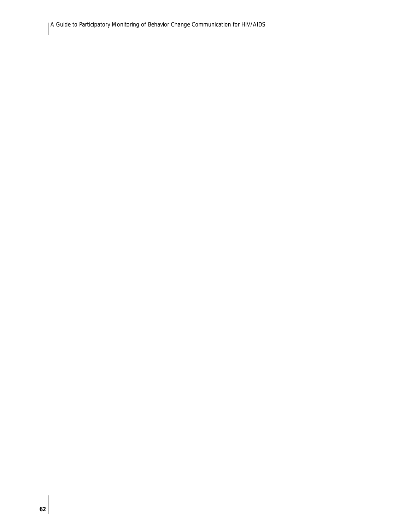A Guide to Participatory Monitoring of Behavior Change Communication for HIV/AIDS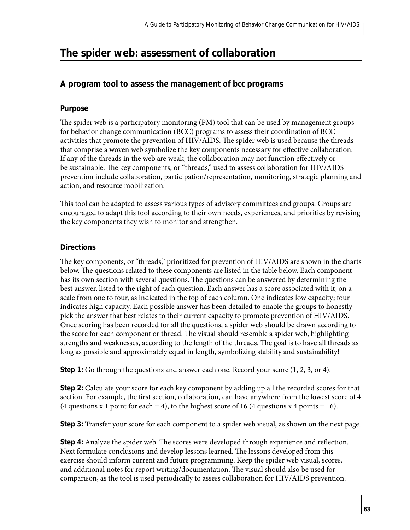## **The spider web: assessment of collaboration**

## **A program tool to assess the management of bcc programs**

## **Purpose**

The spider web is a participatory monitoring (PM) tool that can be used by management groups for behavior change communication (BCC) programs to assess their coordination of BCC activities that promote the prevention of HIV/AIDS. The spider web is used because the threads that comprise a woven web symbolize the key components necessary for effective collaboration. If any of the threads in the web are weak, the collaboration may not function effectively or be sustainable. The key components, or "threads," used to assess collaboration for HIV/AIDS prevention include collaboration, participation/representation, monitoring, strategic planning and action, and resource mobilization.

This tool can be adapted to assess various types of advisory committees and groups. Groups are encouraged to adapt this tool according to their own needs, experiences, and priorities by revising the key components they wish to monitor and strengthen.

## **Directions**

The key components, or "threads," prioritized for prevention of HIV/AIDS are shown in the charts below. The questions related to these components are listed in the table below. Each component has its own section with several questions. The questions can be answered by determining the best answer, listed to the right of each question. Each answer has a score associated with it, on a scale from one to four, as indicated in the top of each column. One indicates low capacity; four indicates high capacity. Each possible answer has been detailed to enable the groups to honestly pick the answer that best relates to their current capacity to promote prevention of HIV/AIDS. Once scoring has been recorded for all the questions, a spider web should be drawn according to the score for each component or thread. The visual should resemble a spider web, highlighting strengths and weaknesses, according to the length of the threads. The goal is to have all threads as long as possible and approximately equal in length, symbolizing stability and sustainability!

**Step 1:** Go through the questions and answer each one. Record your score (1, 2, 3, or 4).

**Step 2:** Calculate your score for each key component by adding up all the recorded scores for that section. For example, the first section, collaboration, can have anywhere from the lowest score of 4 (4 questions x 1 point for each = 4), to the highest score of 16 (4 questions x 4 points = 16).

**Step 3:** Transfer your score for each component to a spider web visual, as shown on the next page.

**Step 4:** Analyze the spider web. The scores were developed through experience and reflection. Next formulate conclusions and develop lessons learned. The lessons developed from this exercise should inform current and future programming. Keep the spider web visual, scores, and additional notes for report writing/documentation. The visual should also be used for comparison, as the tool is used periodically to assess collaboration for HIV/AIDS prevention.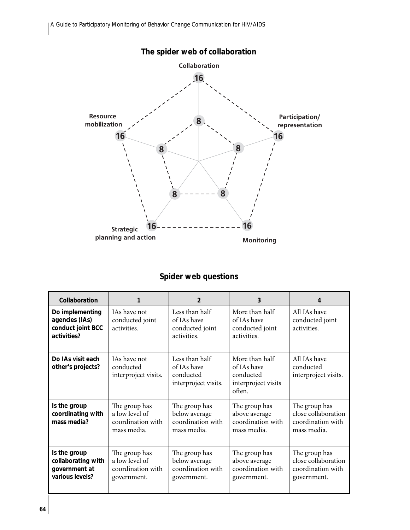

**Spider web questions**

| Collaboration                                                          |                                                                     | $\overline{2}$                                                     | 3                                                                           | 4                                                                        |
|------------------------------------------------------------------------|---------------------------------------------------------------------|--------------------------------------------------------------------|-----------------------------------------------------------------------------|--------------------------------------------------------------------------|
| Do implementing<br>agencies (IAs)<br>conduct joint BCC<br>activities?  | IAs have not<br>conducted joint<br>activities.                      | Less than half<br>of IAs have<br>conducted joint<br>activities.    | More than half<br>of IAs have<br>conducted joint<br>activities.             | All IAs have<br>conducted joint<br>activities.                           |
| Do IAs visit each<br>other's projects?                                 | IAs have not<br>conducted<br>interproject visits.                   | Less than half<br>of IAs have<br>conducted<br>interproject visits. | More than half<br>of IAs have<br>conducted<br>interproject visits<br>often. | All IAs have<br>conducted<br>interproject visits.                        |
| Is the group<br>coordinating with<br>mass media?                       | The group has<br>a low level of<br>coordination with<br>mass media. | The group has<br>below average<br>coordination with<br>mass media. | The group has<br>above average<br>coordination with<br>mass media.          | The group has<br>close collaboration<br>coordination with<br>mass media. |
| Is the group<br>collaborating with<br>government at<br>various levels? | The group has<br>a low level of<br>coordination with<br>government. | The group has<br>below average<br>coordination with<br>government. | The group has<br>above average<br>coordination with<br>government.          | The group has<br>close collaboration<br>coordination with<br>government. |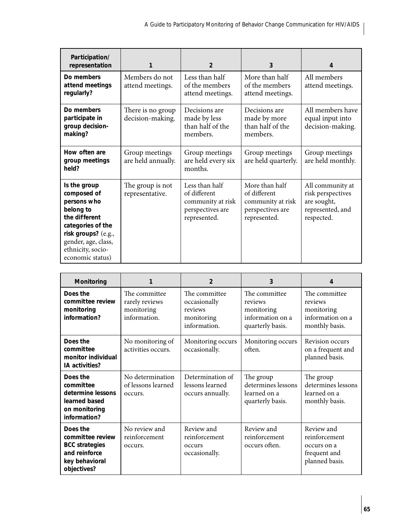| Participation/<br>representation                                                                                                                                                     |                                       | $\overline{2}$                                                                          | 3                                                                                       | 4                                                                                      |
|--------------------------------------------------------------------------------------------------------------------------------------------------------------------------------------|---------------------------------------|-----------------------------------------------------------------------------------------|-----------------------------------------------------------------------------------------|----------------------------------------------------------------------------------------|
| Do members<br>attend meetings<br>regularly?                                                                                                                                          | Members do not<br>attend meetings.    | Less than half<br>of the members<br>attend meetings.                                    | More than half<br>of the members<br>attend meetings.                                    | All members<br>attend meetings.                                                        |
| Do members<br>participate in<br>group decision-<br>making?                                                                                                                           | There is no group<br>decision-making. | Decisions are<br>made by less<br>than half of the<br>members.                           | Decisions are<br>made by more<br>than half of the<br>members.                           | All members have<br>equal input into<br>decision-making.                               |
| How often are<br>group meetings<br>held?                                                                                                                                             | Group meetings<br>are held annually.  | Group meetings<br>are held every six<br>months.                                         | Group meetings<br>are held quarterly.                                                   | Group meetings<br>are held monthly.                                                    |
| Is the group<br>composed of<br>persons who<br>belong to<br>the different<br>categories of the<br>risk groups? (e.g.,<br>gender, age, class,<br>ethnicity, socio-<br>economic status) | The group is not<br>representative.   | Less than half<br>of different<br>community at risk<br>perspectives are<br>represented. | More than half<br>of different<br>community at risk<br>perspectives are<br>represented. | All community at<br>risk perspectives<br>are sought,<br>represented, and<br>respected. |

| Monitoring                                                                                              | 1                                                             | $\overline{2}$                                                         | 3                                                                              | 4                                                                            |
|---------------------------------------------------------------------------------------------------------|---------------------------------------------------------------|------------------------------------------------------------------------|--------------------------------------------------------------------------------|------------------------------------------------------------------------------|
| Does the<br>committee review<br>monitoring<br>information?                                              | The committee<br>rarely reviews<br>monitoring<br>information. | The committee<br>occasionally<br>reviews<br>monitoring<br>information. | The committee<br>reviews<br>monitoring<br>information on a<br>quarterly basis. | The committee<br>reviews<br>monitoring<br>information on a<br>monthly basis. |
| Does the<br>committee<br>monitor individual<br>IA activities?                                           | No monitoring of<br>activities occurs.                        | Monitoring occurs<br>occasionally.                                     | Monitoring occurs<br>often.                                                    | Revision occurs<br>on a frequent and<br>planned basis.                       |
| Does the<br>committee<br>determine lessons<br>learned based<br>on monitoring<br>information?            | No determination<br>of lessons learned<br>occurs.             | Determination of<br>lessons learned<br>occurs annually.                | The group<br>determines lessons<br>learned on a<br>quarterly basis.            | The group<br>determines lessons<br>learned on a<br>monthly basis.            |
| Does the<br>committee review<br><b>BCC</b> strategies<br>and reinforce<br>key behavioral<br>objectives? | No review and<br>reinforcement<br>occurs.                     | Review and<br>reinforcement<br>occurs<br>occasionally.                 | Review and<br>reinforcement<br>occurs often.                                   | Review and<br>reinforcement<br>occurs on a<br>frequent and<br>planned basis. |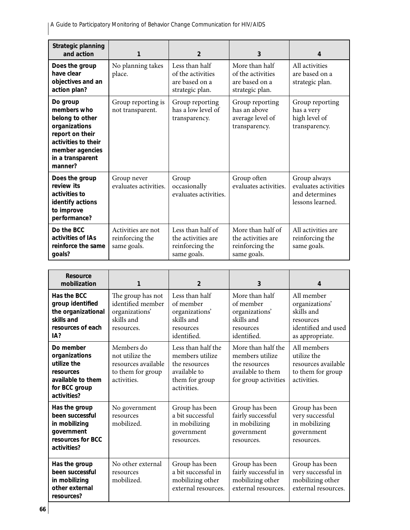A Guide to Participatory Monitoring of Behavior Change Communication for HIV/AIDS

| Strategic planning<br>and action                                                                                                                        | 1                                                    | $\overline{2}$                                                            | 3                                                                         | $\overline{4}$                                                             |
|---------------------------------------------------------------------------------------------------------------------------------------------------------|------------------------------------------------------|---------------------------------------------------------------------------|---------------------------------------------------------------------------|----------------------------------------------------------------------------|
| Does the group<br>have clear<br>objectives and an<br>action plan?                                                                                       | No planning takes<br>place.                          | Less than half<br>of the activities<br>are based on a<br>strategic plan.  | More than half<br>of the activities<br>are based on a<br>strategic plan.  | All activities<br>are based on a<br>strategic plan.                        |
| Do group<br>members who<br>belong to other<br>organizations<br>report on their<br>activities to their<br>member agencies<br>in a transparent<br>manner? | Group reporting is<br>not transparent.               | Group reporting<br>has a low level of<br>transparency.                    | Group reporting<br>has an above<br>average level of<br>transparency.      | Group reporting<br>has a very<br>high level of<br>transparency.            |
| Does the group<br>review its<br>activities to<br>identify actions<br>to improve<br>performance?                                                         | Group never<br>evaluates activities.                 | Group<br>occasionally<br>evaluates activities.                            | Group often<br>evaluates activities.                                      | Group always<br>evaluates activities<br>and determines<br>lessons learned. |
| Do the BCC<br>activities of IAs<br>reinforce the same<br>goals?                                                                                         | Activities are not<br>reinforcing the<br>same goals. | Less than half of<br>the activities are<br>reinforcing the<br>same goals. | More than half of<br>the activities are<br>reinforcing the<br>same goals. | All activities are<br>reinforcing the<br>same goals.                       |

| Resource<br>mobilization                                                                                    | 1                                                                                        | $\overline{2}$                                                                                          | 3                                                                                                   | 4                                                                                                 |
|-------------------------------------------------------------------------------------------------------------|------------------------------------------------------------------------------------------|---------------------------------------------------------------------------------------------------------|-----------------------------------------------------------------------------------------------------|---------------------------------------------------------------------------------------------------|
| Has the BCC<br>group identified<br>the organizational<br>skills and<br>resources of each<br>IA?             | The group has not<br>identified member<br>organizations'<br>skills and<br>resources.     | Less than half<br>of member<br>organizations'<br>skills and<br>resources<br>identified.                 | More than half<br>of member<br>organizations'<br>skills and<br>resources<br>identified.             | All member<br>organizations'<br>skills and<br>resources<br>identified and used<br>as appropriate. |
| Do member<br>organizations<br>utilize the<br>resources<br>available to them<br>for BCC group<br>activities? | Members do<br>not utilize the<br>resources available<br>to them for group<br>activities. | Less than half the<br>members utilize<br>the resources<br>available to<br>them for group<br>activities. | More than half the<br>members utilize<br>the resources<br>available to them<br>for group activities | All members<br>utilize the<br>resources available<br>to them for group<br>activities.             |
| Has the group<br>been successful<br>in mobilizing<br>government<br>resources for BCC<br>activities?         | No government<br>resources<br>mobilized.                                                 | Group has been<br>a bit successful<br>in mobilizing<br>government<br>resources.                         | Group has been<br>fairly successful<br>in mobilizing<br>government<br>resources.                    | Group has been<br>very successful<br>in mobilizing<br>government<br>resources.                    |
| Has the group<br>been successful<br>in mobilizing<br>other external<br>resources?                           | No other external<br>resources<br>mobilized.                                             | Group has been<br>a bit successful in<br>mobilizing other<br>external resources.                        | Group has been<br>fairly successful in<br>mobilizing other<br>external resources.                   | Group has been<br>very successful in<br>mobilizing other<br>external resources.                   |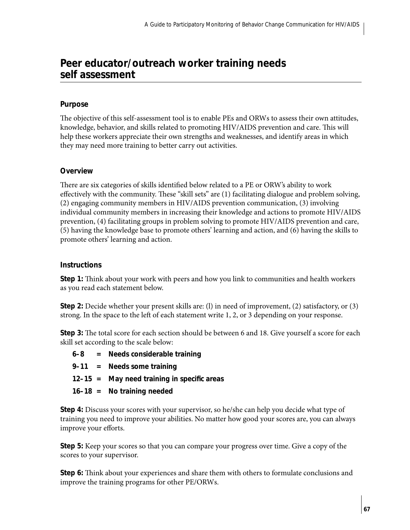## **Peer educator/outreach worker training needs self assessment**

### **Purpose**

The objective of this self-assessment tool is to enable PEs and ORWs to assess their own attitudes, knowledge, behavior, and skills related to promoting HIV/AIDS prevention and care. This will help these workers appreciate their own strengths and weaknesses, and identify areas in which they may need more training to better carry out activities.

## **Overview**

There are six categories of skills identified below related to a PE or ORW's ability to work effectively with the community. These "skill sets" are (1) facilitating dialogue and problem solving, (2) engaging community members in HIV/AIDS prevention communication, (3) involving individual community members in increasing their knowledge and actions to promote HIV/AIDS prevention, (4) facilitating groups in problem solving to promote HIV/AIDS prevention and care, (5) having the knowledge base to promote others' learning and action, and (6) having the skills to promote others' learning and action.

### **Instructions**

**Step 1:** Think about your work with peers and how you link to communities and health workers as you read each statement below.

**Step 2:** Decide whether your present skills are: (l) in need of improvement, (2) satisfactory, or (3) strong. In the space to the left of each statement write 1, 2, or 3 depending on your response.

**Step 3:** The total score for each section should be between 6 and 18. Give yourself a score for each skill set according to the scale below:

- **6–8 = Needs considerable training**
- **9–11 = Needs some training**
- 12–15 = May need training in specific areas
- **16–18 = No training needed**

**Step 4:** Discuss your scores with your supervisor, so he/she can help you decide what type of training you need to improve your abilities. No matter how good your scores are, you can always improve your efforts.

**Step 5:** Keep your scores so that you can compare your progress over time. Give a copy of the scores to your supervisor.

**Step 6:** Think about your experiences and share them with others to formulate conclusions and improve the training programs for other PE/ORWs.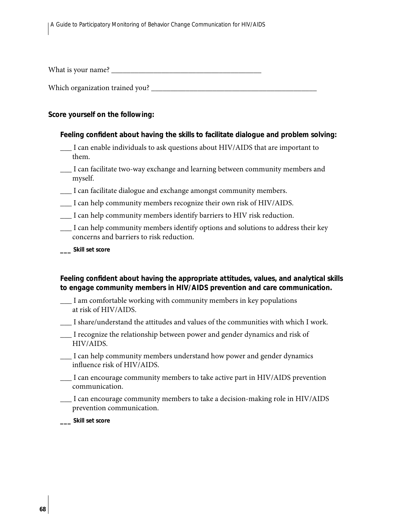A Guide to Participatory Monitoring of Behavior Change Communication for HIV/AIDS

What is your name? \_\_\_\_\_\_\_\_\_\_\_\_\_\_\_\_\_\_\_\_\_\_\_\_\_\_\_\_\_\_\_\_\_\_\_\_\_\_\_

Which organization trained you? \_\_\_\_\_\_\_\_\_\_\_\_\_\_\_\_\_\_\_\_\_\_\_\_\_\_\_\_\_\_\_\_\_\_\_\_\_\_\_\_\_\_\_

**Score yourself on the following:**

#### Feeling confident about having the skills to facilitate dialogue and problem solving:

- \_\_\_ I can enable individuals to ask questions about HIV/AIDS that are important to them.
- \_\_\_ I can facilitate two-way exchange and learning between community members and myself.
- \_\_\_ I can facilitate dialogue and exchange amongst community members.
- \_\_\_ I can help community members recognize their own risk of HIV/AIDS.
- \_\_\_ I can help community members identify barriers to HIV risk reduction.
- \_\_\_ I can help community members identify options and solutions to address their key concerns and barriers to risk reduction.
- **\_\_\_ Skill set score**

#### Feeling confident about having the appropriate attitudes, values, and analytical skills **to engage community members in HIV/AIDS prevention and care communication.**

- \_\_\_ I am comfortable working with community members in key populations at risk of HIV/AIDS.
- \_\_\_ I share/understand the attitudes and values of the communities with which I work.
- \_\_\_ I recognize the relationship between power and gender dynamics and risk of HIV/AIDS.
- \_\_\_ I can help community members understand how power and gender dynamics influence risk of HIV/AIDS.
- \_\_\_ I can encourage community members to take active part in HIV/AIDS prevention communication.
- \_\_\_ I can encourage community members to take a decision-making role in HIV/AIDS prevention communication.

**\_\_\_ Skill set score**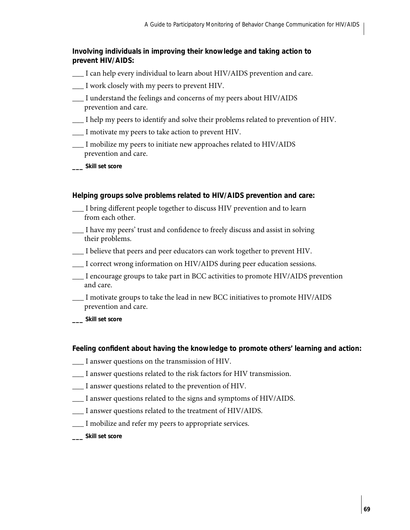### **Involving individuals in improving their knowledge and taking action to prevent HIV/AIDS:**

- \_\_\_ I can help every individual to learn about HIV/AIDS prevention and care.
- \_\_\_ I work closely with my peers to prevent HIV.
- \_\_\_ I understand the feelings and concerns of my peers about HIV/AIDS prevention and care.
- \_\_\_ I help my peers to identify and solve their problems related to prevention of HIV.
- \_\_\_ I motivate my peers to take action to prevent HIV.
- \_\_\_ I mobilize my peers to initiate new approaches related to HIV/AIDS prevention and care.
- **\_\_\_ Skill set score**

#### **Helping groups solve problems related to HIV/AIDS prevention and care:**

- \_\_ I bring different people together to discuss HIV prevention and to learn from each other.
- \_\_\_ I have my peers' trust and confi dence to freely discuss and assist in solving their problems.
- \_\_\_ I believe that peers and peer educators can work together to prevent HIV.
- \_\_\_ I correct wrong information on HIV/AIDS during peer education sessions.
- \_\_\_ I encourage groups to take part in BCC activities to promote HIV/AIDS prevention and care.
- \_\_\_ I motivate groups to take the lead in new BCC initiatives to promote HIV/AIDS prevention and care.
- **\_\_\_ Skill set score**

### Feeling confident about having the knowledge to promote others' learning and action:

- \_\_\_ I answer questions on the transmission of HIV.
- \_\_\_ I answer questions related to the risk factors for HIV transmission.
- \_\_\_ I answer questions related to the prevention of HIV.
- \_\_\_ I answer questions related to the signs and symptoms of HIV/AIDS.
- \_\_\_ I answer questions related to the treatment of HIV/AIDS.
- \_\_\_ I mobilize and refer my peers to appropriate services.
- **\_\_\_ Skill set score**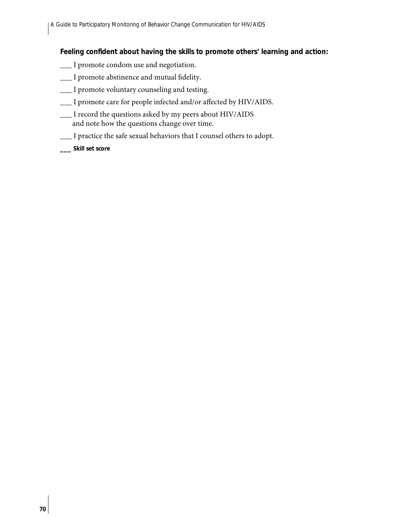# Feeling confident about having the skills to promote others' learning and action:

- \_\_\_ I promote condom use and negotiation.
- \_\_\_ I promote abstinence and mutual fidelity.
- \_\_\_ I promote voluntary counseling and testing.
- \_\_\_ I promote care for people infected and/or aff ected by HIV/AIDS.
- \_\_\_ I record the questions asked by my peers about HIV/AIDS and note how the questions change over time.
- \_\_\_ I practice the safe sexual behaviors that I counsel others to adopt.

### **\_\_\_ Skill set score**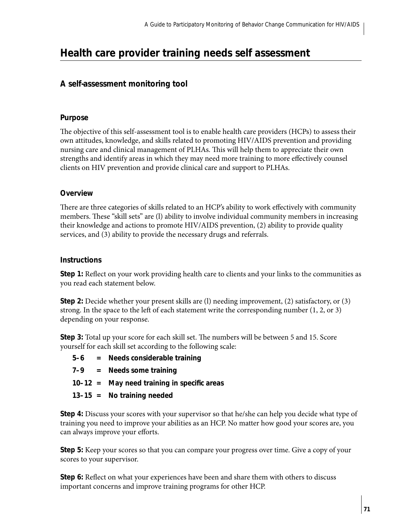# **Health care provider training needs self assessment**

# **A self-assessment monitoring tool**

# **Purpose**

The objective of this self-assessment tool is to enable health care providers (HCPs) to assess their own attitudes, knowledge, and skills related to promoting HIV/AIDS prevention and providing nursing care and clinical management of PLHAs. This will help them to appreciate their own strengths and identify areas in which they may need more training to more effectively counsel clients on HIV prevention and provide clinical care and support to PLHAs.

# **Overview**

There are three categories of skills related to an HCP's ability to work effectively with community members. These "skill sets" are (I) ability to involve individual community members in increasing their knowledge and actions to promote HIV/AIDS prevention, (2) ability to provide quality services, and (3) ability to provide the necessary drugs and referrals.

# **Instructions**

**Step 1:** Reflect on your work providing health care to clients and your links to the communities as you read each statement below.

**Step 2:** Decide whether your present skills are (l) needing improvement, (2) satisfactory, or (3) strong. In the space to the left of each statement write the corresponding number (1, 2, or 3) depending on your response.

**Step 3:** Total up your score for each skill set. The numbers will be between 5 and 15. Score yourself for each skill set according to the following scale:

- **5–6 = Needs considerable training**
- **7–9 = Needs some training**
- 10–12 = May need training in specific areas
- **13–15 = No training needed**

**Step 4:** Discuss your scores with your supervisor so that he/she can help you decide what type of training you need to improve your abilities as an HCP. No matter how good your scores are, you can always improve your efforts.

**Step 5:** Keep your scores so that you can compare your progress over time. Give a copy of your scores to your supervisor.

**Step 6:** Reflect on what your experiences have been and share them with others to discuss important concerns and improve training programs for other HCP.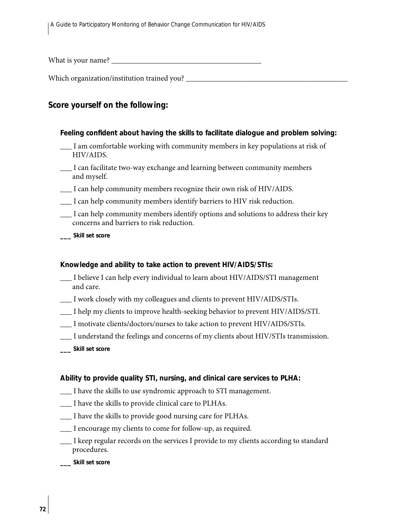A Guide to Participatory Monitoring of Behavior Change Communication for HIV/AIDS

What is your name? \_\_\_\_\_\_\_\_\_\_\_\_\_\_\_\_\_\_\_\_\_\_\_\_\_\_\_\_\_\_\_\_\_\_\_\_\_\_\_

Which organization/institution trained you? **\_\_\_\_\_\_\_\_\_\_\_\_\_\_\_\_\_\_\_\_\_\_\_\_\_\_\_\_\_\_\_\_\_\_\_\_\_\_\_\_\_\_**

# **Score yourself on the following:**

#### Feeling confident about having the skills to facilitate dialogue and problem solving:

- \_\_\_ I am comfortable working with community members in key populations at risk of HIV/AIDS.
- \_\_\_ I can facilitate two-way exchange and learning between community members and myself.
- \_\_\_ I can help community members recognize their own risk of HIV/AIDS.
- \_\_\_ I can help community members identify barriers to HIV risk reduction.
- \_\_\_ I can help community members identify options and solutions to address their key concerns and barriers to risk reduction.
- **\_\_\_ Skill set score**

#### **Knowledge and ability to take action to prevent HIV/AIDS/STIs:**

- \_\_\_ I believe I can help every individual to learn about HIV/AIDS/STI management and care.
- \_\_\_ I work closely with my colleagues and clients to prevent HIV/AIDS/STIs.
- \_\_\_ I help my clients to improve health-seeking behavior to prevent HIV/AIDS/STI.
- \_\_\_ I motivate clients/doctors/nurses to take action to prevent HIV/AIDS/STIs.
- \_\_\_ I understand the feelings and concerns of my clients about HIV/STIs transmission.
- **\_\_\_ Skill set score**

#### **Ability to provide quality STI, nursing, and clinical care services to PLHA:**

- \_\_\_ I have the skills to use syndromic approach to STI management.
- \_\_\_ I have the skills to provide clinical care to PLHAs.
- \_\_\_ I have the skills to provide good nursing care for PLHAs.
- \_\_\_ I encourage my clients to come for follow-up, as required.
- \_\_\_ I keep regular records on the services I provide to my clients according to standard procedures.
- **\_\_\_ Skill set score**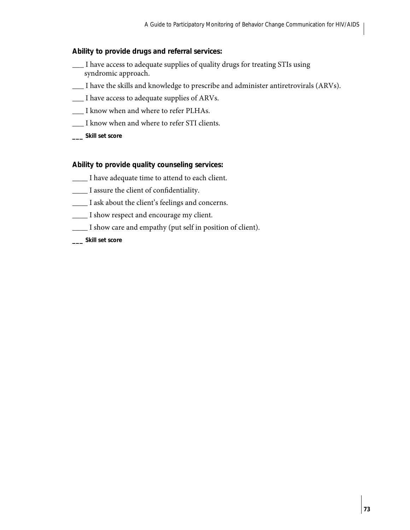#### **Ability to provide drugs and referral services:**

- \_\_\_ I have access to adequate supplies of quality drugs for treating STIs using syndromic approach.
- \_\_\_ I have the skills and knowledge to prescribe and administer antiretrovirals (ARVs).
- \_\_\_ I have access to adequate supplies of ARVs.
- \_\_\_ I know when and where to refer PLHAs.
- \_\_\_ I know when and where to refer STI clients.
- **\_\_\_ Skill set score**

#### **Ability to provide quality counseling services:**

- \_\_\_\_ I have adequate time to attend to each client.
- **I** assure the client of confidentiality.
- \_\_\_\_ I ask about the client's feelings and concerns.
- \_\_\_\_ I show respect and encourage my client.
- \_\_\_\_ I show care and empathy (put self in position of client).
- **\_\_\_ Skill set score**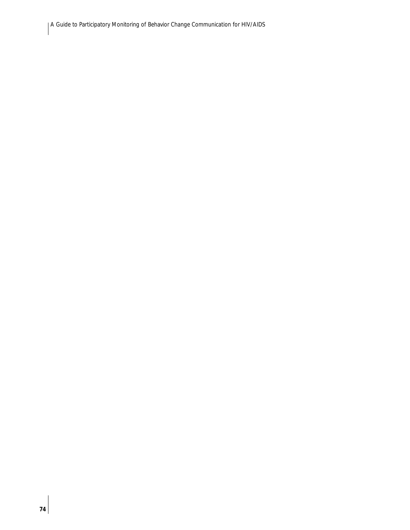A Guide to Participatory Monitoring of Behavior Change Communication for HIV/AIDS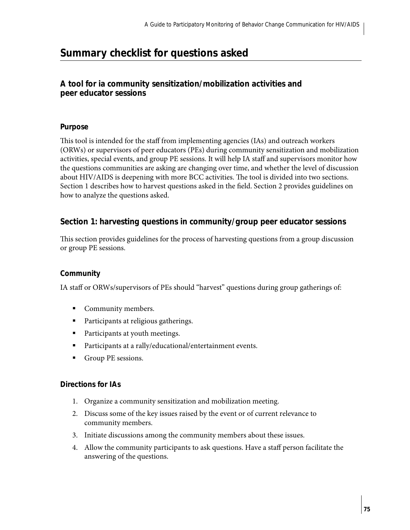# **Summary checklist for questions asked**

# **A tool for ia community sensitization/mobilization activities and peer educator sessions**

# **Purpose**

This tool is intended for the staff from implementing agencies (IAs) and outreach workers (ORWs) or supervisors of peer educators (PEs) during community sensitization and mobilization activities, special events, and group PE sessions. It will help IA staff and supervisors monitor how the questions communities are asking are changing over time, and whether the level of discussion about HIV/AIDS is deepening with more BCC activities. The tool is divided into two sections. Section 1 describes how to harvest questions asked in the field. Section 2 provides guidelines on how to analyze the questions asked.

# **Section 1: harvesting questions in community/group peer educator sessions**

This section provides guidelines for the process of harvesting questions from a group discussion or group PE sessions.

# **Community**

IA staff or ORWs/supervisors of PEs should "harvest" questions during group gatherings of:

- **•** Community members.
- ! Participants at religious gatherings.
- Participants at youth meetings.
- ! Participants at a rally/educational/entertainment events.
- ! Group PE sessions.

### **Directions for IAs**

- 1. Organize a community sensitization and mobilization meeting.
- 2. Discuss some of the key issues raised by the event or of current relevance to community members.
- 3. Initiate discussions among the community members about these issues.
- 4. Allow the community participants to ask questions. Have a staff person facilitate the answering of the questions.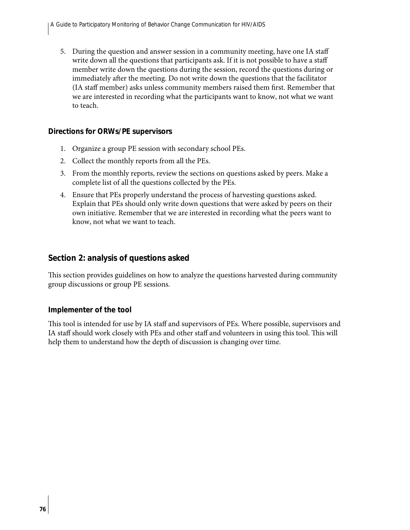5. During the question and answer session in a community meeting, have one IA staff write down all the questions that participants ask. If it is not possible to have a staff member write down the questions during the session, record the questions during or immediately after the meeting. Do not write down the questions that the facilitator (IA staff member) asks unless community members raised them first. Remember that we are interested in recording what the participants want to know, not what we want to teach.

#### **Directions for ORWs/PE supervisors**

- 1. Organize a group PE session with secondary school PEs.
- 2. Collect the monthly reports from all the PEs.
- 3. From the monthly reports, review the sections on questions asked by peers. Make a complete list of all the questions collected by the PEs.
- 4. Ensure that PEs properly understand the process of harvesting questions asked. Explain that PEs should only write down questions that were asked by peers on their own initiative. Remember that we are interested in recording what the peers want to know, not what we want to teach.

# **Section 2: analysis of questions asked**

This section provides guidelines on how to analyze the questions harvested during community group discussions or group PE sessions.

### **Implementer of the tool**

This tool is intended for use by IA staff and supervisors of PEs. Where possible, supervisors and IA staff should work closely with PEs and other staff and volunteers in using this tool. This will help them to understand how the depth of discussion is changing over time.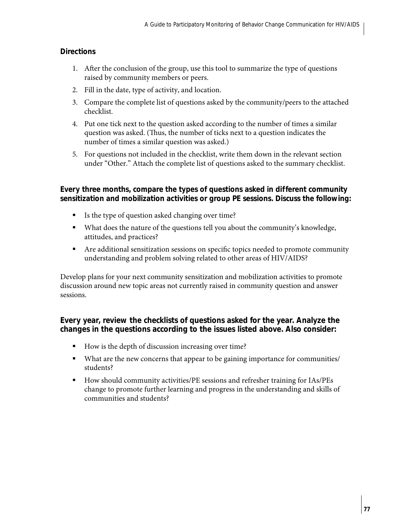# **Directions**

- 1. After the conclusion of the group, use this tool to summarize the type of questions raised by community members or peers.
- 2. Fill in the date, type of activity, and location.
- 3. Compare the complete list of questions asked by the community/peers to the attached checklist.
- 4. Put one tick next to the question asked according to the number of times a similar question was asked. (Thus, the number of ticks next to a question indicates the number of times a similar question was asked.)
- 5. For questions not included in the checklist, write them down in the relevant section under "Other." Attach the complete list of questions asked to the summary checklist.

**Every three months***,* **compare the types of questions asked in different community sensitization and mobilization activities or group PE sessions. Discuss the following:**

- ! Is the type of question asked changing over time?
- ! What does the nature of the questions tell you about the community's knowledge, attitudes, and practices?
- ! Are additional sensitization sessions on specifi c topics needed to promote community understanding and problem solving related to other areas of HIV/AIDS?

Develop plans for your next community sensitization and mobilization activities to promote discussion around new topic areas not currently raised in community question and answer sessions.

# **Every year, review the checklists of questions asked for the year. Analyze the changes in the questions according to the issues listed above. Also consider:**

- ! How is the depth of discussion increasing over time?
- ! What are the new concerns that appear to be gaining importance for communities/ students?
- ! How should community activities/PE sessions and refresher training for IAs/PEs change to promote further learning and progress in the understanding and skills of communities and students?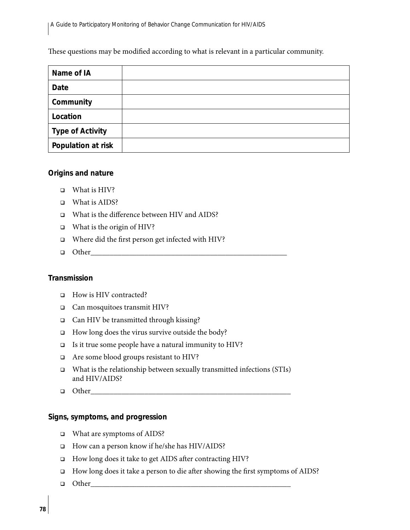A Guide to Participatory Monitoring of Behavior Change Communication for HIV/AIDS

These questions may be modified according to what is relevant in a particular community.

| Name of IA              |  |
|-------------------------|--|
| Date                    |  |
| Community               |  |
| Location                |  |
| <b>Type of Activity</b> |  |
| Population at risk      |  |

#### **Origins and nature**

- $\Box$  What is HIV?
- What is AIDS?
- $\Box$  What is the difference between HIV and AIDS?
- $\Box$  What is the origin of HIV?
- $\Box$  Where did the first person get infected with HIV?
- $\Box$  Other

#### **Transmission**

- How is HIV contracted?
- Can mosquitoes transmit HIV?
- □ Can HIV be transmitted through kissing?
- $\Box$  How long does the virus survive outside the body?
- $\Box$  <br>Is it true some people have a natural immunity to HIV?
- $\Box$  Are some blood groups resistant to HIV?
- $\Box$  What is the relationship between sexually transmitted infections (STIs) and HIV/AIDS?
- $\Box$  Other

#### **Signs, symptoms, and progression**

- $\Box$  What are symptoms of AIDS?
- $\Box$  How can a person know if he/she has HIV/AIDS?
- How long does it take to get AIDS after contracting HIV?
- $\Box$  How long does it take a person to die after showing the first symptoms of AIDS?
- $\Box$  Other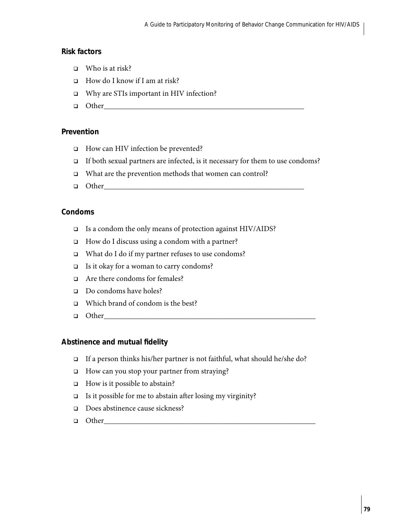### **Risk factors**

- $\Box$  Who is at risk?
- $\Box$  How do I know if I am at risk?
- $\Box$  Why are STIs important in HIV infection?
- # Other\_\_\_\_\_\_\_\_\_\_\_\_\_\_\_\_\_\_\_\_\_\_\_\_\_\_\_\_\_\_\_\_\_\_\_\_\_\_\_\_\_\_\_\_\_\_\_\_\_\_\_\_

#### **Prevention**

- $\Box$  How can HIV infection be prevented?
- $\Box$  If both sexual partners are infected, is it necessary for them to use condoms?
- $\Box$  What are the prevention methods that women can control?
- # Other\_\_\_\_\_\_\_\_\_\_\_\_\_\_\_\_\_\_\_\_\_\_\_\_\_\_\_\_\_\_\_\_\_\_\_\_\_\_\_\_\_\_\_\_\_\_\_\_\_\_\_\_

#### **Condoms**

- $\Box$  Is a condom the only means of protection against HIV/AIDS?
- $\Box$  How do I discuss using a condom with a partner?
- $\Box$  What do I do if my partner refuses to use condoms?
- $\Box$  Is it okay for a woman to carry condoms?
- $\Box$  Are there condoms for females?
- $\Box$  Do condoms have holes?
- $\Box$  Which brand of condom is the best?
- $\Box$  Other

### **Abstinence and mutual fidelity**

- If a person thinks his/her partner is not faithful, what should he/she do?
- □ How can you stop your partner from straying?
- $\Box$  How is it possible to abstain?
- $\Box$  Is it possible for me to abstain after losing my virginity?
- □ Does abstinence cause sickness?
- # Other\_\_\_\_\_\_\_\_\_\_\_\_\_\_\_\_\_\_\_\_\_\_\_\_\_\_\_\_\_\_\_\_\_\_\_\_\_\_\_\_\_\_\_\_\_\_\_\_\_\_\_\_\_\_\_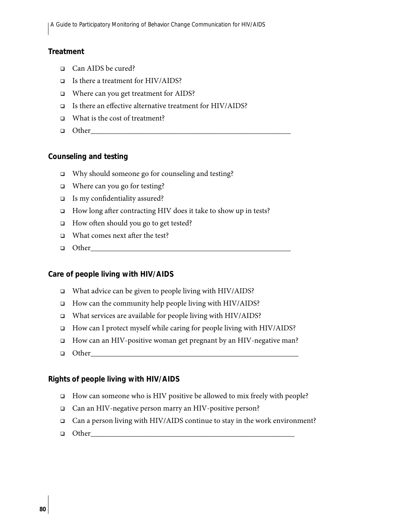A Guide to Participatory Monitoring of Behavior Change Communication for HIV/AIDS

### **Treatment**

- Can AIDS be cured?
- $\Box$  Is there a treatment for HIV/AIDS?
- □ Where can you get treatment for AIDS?
- $\Box$  Is there an effective alternative treatment for HIV/AIDS?
- $\Box$  What is the cost of treatment?
- # Other\_\_\_\_\_\_\_\_\_\_\_\_\_\_\_\_\_\_\_\_\_\_\_\_\_\_\_\_\_\_\_\_\_\_\_\_\_\_\_\_\_\_\_\_\_\_\_\_\_\_\_\_

# **Counseling and testing**

- □ Why should someone go for counseling and testing?
- $\Box$  Where can you go for testing?
- $\Box$  Is my confidentiality assured?
- $\Box$  How long after contracting HIV does it take to show up in tests?
- $\Box$  How often should you go to get tested?
- $\Box$  What comes next after the test?
- $\Box$  Other

### **Care of people living with HIV/AIDS**

- $\Box$  What advice can be given to people living with HIV/AIDS?
- $\Box$  How can the community help people living with HIV/AIDS?
- $\Box$  What services are available for people living with HIV/AIDS?
- $\Box$  How can I protect myself while caring for people living with HIV/AIDS?
- □ How can an HIV-positive woman get pregnant by an HIV-negative man?
- $\Box$  Other

### **Rights of people living with HIV/AIDS**

- $\Box$  How can someone who is HIV positive be allowed to mix freely with people?
- □ Can an HIV-negative person marry an HIV-positive person?
- $\Box$  Can a person living with HIV/AIDS continue to stay in the work environment?
- # Other\_\_\_\_\_\_\_\_\_\_\_\_\_\_\_\_\_\_\_\_\_\_\_\_\_\_\_\_\_\_\_\_\_\_\_\_\_\_\_\_\_\_\_\_\_\_\_\_\_\_\_\_\_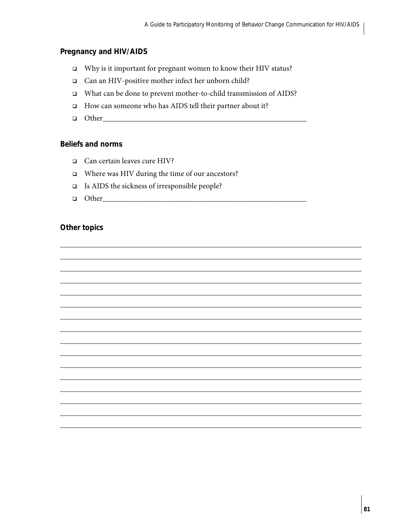# **Pregnancy and HIV/AIDS**

- $\Box$  Why is it important for pregnant women to know their HIV status?
- □ Can an HIV-positive mother infect her unborn child?
- □ What can be done to prevent mother-to-child transmission of AIDS?
- □ How can someone who has AIDS tell their partner about it?
- $\Box$  Other

# **Beliefs and norms**

- $\Box$  Can certain leaves cure HIV?
- $\Box$  Where was HIV during the time of our ancestors?
- $\Box$  Is AIDS the sickness of irresponsible people?
- # Other\_\_\_\_\_\_\_\_\_\_\_\_\_\_\_\_\_\_\_\_\_\_\_\_\_\_\_\_\_\_\_\_\_\_\_\_\_\_\_\_\_\_\_\_\_\_\_\_\_\_\_\_\_

# **Other topics**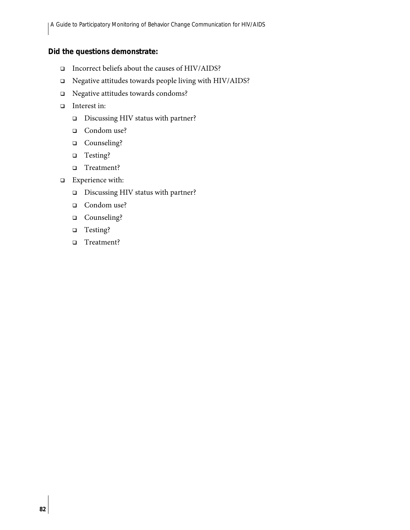#### **Did the questions demonstrate:**

- Incorrect beliefs about the causes of HIV/AIDS?
- □ Negative attitudes towards people living with HIV/AIDS?
- □ Negative attitudes towards condoms?
- $\Box$  Interest in:
	- Discussing HIV status with partner?
	- □ Condom use?
	- $\Box$  Counseling?
	- $\Box$  Testing?
	- □ Treatment?
- $\Box$  Experience with:
	- Discussing HIV status with partner?
	- □ Condom use?
	- $\Box$  Counseling?
	- $\Box$  Testing?
	- □ Treatment?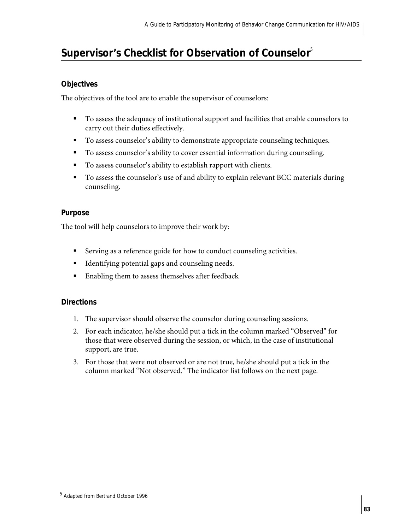# **Supervisor's Checklist for Observation of Counselor**<sup>5</sup>

# **Objectives**

The objectives of the tool are to enable the supervisor of counselors:

- ! To assess the adequacy of institutional support and facilities that enable counselors to carry out their duties effectively.
- ! To assess counselor's ability to demonstrate appropriate counseling techniques.
- ! To assess counselor's ability to cover essential information during counseling.
- ! To assess counselor's ability to establish rapport with clients.
- ! To assess the counselor's use of and ability to explain relevant BCC materials during counseling.

# **Purpose**

The tool will help counselors to improve their work by:

- ! Serving as a reference guide for how to conduct counseling activities.
- ! Identifying potential gaps and counseling needs.
- " Enabling them to assess themselves after feedback

- 1. The supervisor should observe the counselor during counseling sessions.
- 2. For each indicator, he/she should put a tick in the column marked "Observed" for those that were observed during the session, or which, in the case of institutional support, are true.
- 3. For those that were not observed or are not true, he/she should put a tick in the column marked "Not observed." The indicator list follows on the next page.

<sup>&</sup>lt;sup>5</sup> Adapted from Bertrand October 1996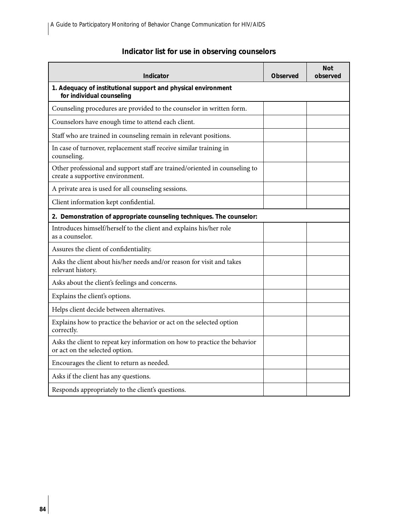# **Indicator list for use in observing counselors**

| Indicator                                                                                                      | Observed | <b>Not</b><br>observed |
|----------------------------------------------------------------------------------------------------------------|----------|------------------------|
| 1. Adequacy of institutional support and physical environment<br>for individual counseling                     |          |                        |
| Counseling procedures are provided to the counselor in written form.                                           |          |                        |
| Counselors have enough time to attend each client.                                                             |          |                        |
| Staff who are trained in counseling remain in relevant positions.                                              |          |                        |
| In case of turnover, replacement staff receive similar training in<br>counseling.                              |          |                        |
| Other professional and support staff are trained/oriented in counseling to<br>create a supportive environment. |          |                        |
| A private area is used for all counseling sessions.                                                            |          |                        |
| Client information kept confidential.                                                                          |          |                        |
| 2. Demonstration of appropriate counseling techniques. The counselor:                                          |          |                        |
| Introduces himself/herself to the client and explains his/her role<br>as a counselor.                          |          |                        |
| Assures the client of confidentiality.                                                                         |          |                        |
| Asks the client about his/her needs and/or reason for visit and takes<br>relevant history.                     |          |                        |
| Asks about the client's feelings and concerns.                                                                 |          |                        |
| Explains the client's options.                                                                                 |          |                        |
| Helps client decide between alternatives.                                                                      |          |                        |
| Explains how to practice the behavior or act on the selected option<br>correctly.                              |          |                        |
| Asks the client to repeat key information on how to practice the behavior<br>or act on the selected option.    |          |                        |
| Encourages the client to return as needed.                                                                     |          |                        |
| Asks if the client has any questions.                                                                          |          |                        |
| Responds appropriately to the client's questions.                                                              |          |                        |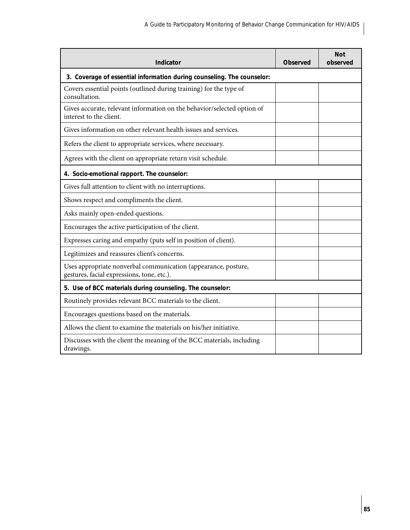| Indicator                                                                                                    | Observed | Not<br>observed |  |  |
|--------------------------------------------------------------------------------------------------------------|----------|-----------------|--|--|
| 3. Coverage of essential information during counseling. The counselor:                                       |          |                 |  |  |
| Covers essential points (outlined during training) for the type of<br>consultation.                          |          |                 |  |  |
| Gives accurate, relevant information on the behavior/selected option of<br>interest to the client.           |          |                 |  |  |
| Gives information on other relevant health issues and services.                                              |          |                 |  |  |
| Refers the client to appropriate services, where necessary.                                                  |          |                 |  |  |
| Agrees with the client on appropriate return visit schedule.                                                 |          |                 |  |  |
| 4. Socio-emotional rapport. The counselor:                                                                   |          |                 |  |  |
| Gives full attention to client with no interruptions.                                                        |          |                 |  |  |
| Shows respect and compliments the client.                                                                    |          |                 |  |  |
| Asks mainly open-ended questions.                                                                            |          |                 |  |  |
| Encourages the active participation of the client.                                                           |          |                 |  |  |
| Expresses caring and empathy (puts self in position of client).                                              |          |                 |  |  |
| Legitimizes and reassures client's concerns.                                                                 |          |                 |  |  |
| Uses appropriate nonverbal communication (appearance, posture,<br>gestures, facial expressions, tone, etc.). |          |                 |  |  |
| 5. Use of BCC materials during counseling. The counselor:                                                    |          |                 |  |  |
| Routinely provides relevant BCC materials to the client.                                                     |          |                 |  |  |
| Encourages questions based on the materials.                                                                 |          |                 |  |  |
| Allows the client to examine the materials on his/her initiative.                                            |          |                 |  |  |
| Discusses with the client the meaning of the BCC materials, including<br>drawings.                           |          |                 |  |  |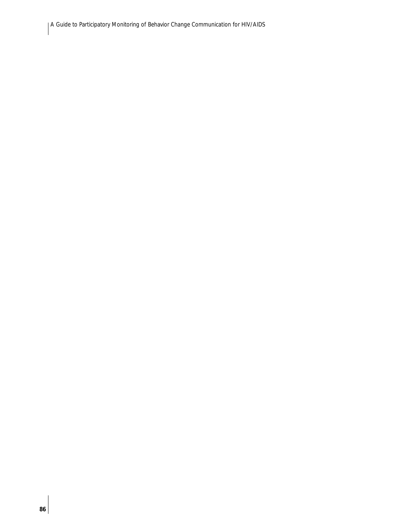A Guide to Participatory Monitoring of Behavior Change Communication for HIV/AIDS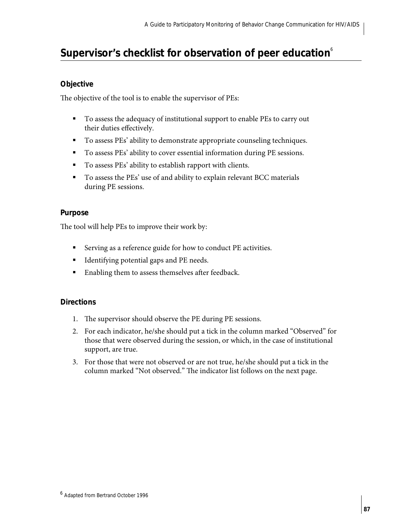# **Supervisor's checklist for observation of peer education**<sup>6</sup>

# **Objective**

The objective of the tool is to enable the supervisor of PEs:

- ! To assess the adequacy of institutional support to enable PEs to carry out their duties effectively.
- ! To assess PEs' ability to demonstrate appropriate counseling techniques.
- ! To assess PEs' ability to cover essential information during PE sessions.
- ! To assess PEs' ability to establish rapport with clients.
- ! To assess the PEs' use of and ability to explain relevant BCC materials during PE sessions.

# **Purpose**

The tool will help PEs to improve their work by:

- ! Serving as a reference guide for how to conduct PE activities.
- ! Identifying potential gaps and PE needs.
- " Enabling them to assess themselves after feedback.

- 1. The supervisor should observe the PE during PE sessions.
- 2. For each indicator, he/she should put a tick in the column marked "Observed" for those that were observed during the session, or which, in the case of institutional support, are true.
- 3. For those that were not observed or are not true, he/she should put a tick in the column marked "Not observed." The indicator list follows on the next page.

<sup>&</sup>lt;sup>6</sup> Adapted from Bertrand October 1996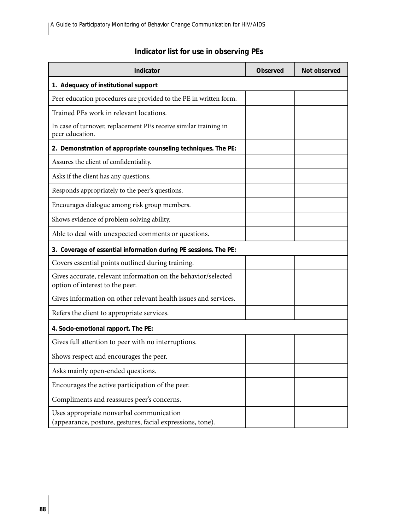# **Indicator list for use in observing PEs**

| <b>Indicator</b>                                                                                       | <b>Observed</b> | Not observed |
|--------------------------------------------------------------------------------------------------------|-----------------|--------------|
| 1. Adequacy of institutional support                                                                   |                 |              |
| Peer education procedures are provided to the PE in written form.                                      |                 |              |
| Trained PEs work in relevant locations.                                                                |                 |              |
| In case of turnover, replacement PEs receive similar training in<br>peer education.                    |                 |              |
| 2. Demonstration of appropriate counseling techniques. The PE:                                         |                 |              |
| Assures the client of confidentiality.                                                                 |                 |              |
| Asks if the client has any questions.                                                                  |                 |              |
| Responds appropriately to the peer's questions.                                                        |                 |              |
| Encourages dialogue among risk group members.                                                          |                 |              |
| Shows evidence of problem solving ability.                                                             |                 |              |
| Able to deal with unexpected comments or questions.                                                    |                 |              |
| 3. Coverage of essential information during PE sessions. The PE:                                       |                 |              |
| Covers essential points outlined during training.                                                      |                 |              |
| Gives accurate, relevant information on the behavior/selected<br>option of interest to the peer.       |                 |              |
| Gives information on other relevant health issues and services.                                        |                 |              |
| Refers the client to appropriate services.                                                             |                 |              |
| 4. Socio-emotional rapport. The PE:                                                                    |                 |              |
| Gives full attention to peer with no interruptions.                                                    |                 |              |
| Shows respect and encourages the peer.                                                                 |                 |              |
| Asks mainly open-ended questions.                                                                      |                 |              |
| Encourages the active participation of the peer.                                                       |                 |              |
| Compliments and reassures peer's concerns.                                                             |                 |              |
| Uses appropriate nonverbal communication<br>(appearance, posture, gestures, facial expressions, tone). |                 |              |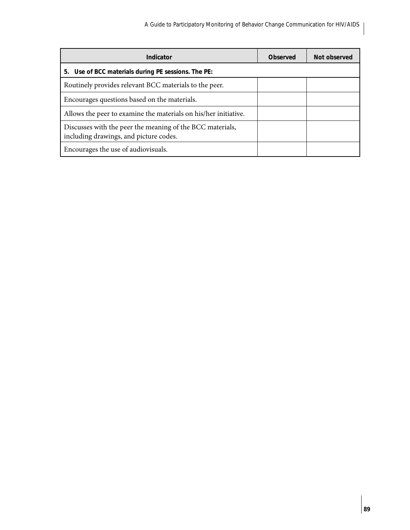| Indicator                                                                                           | Observed | Not observed |
|-----------------------------------------------------------------------------------------------------|----------|--------------|
| 5. Use of BCC materials during PE sessions. The PE:                                                 |          |              |
| Routinely provides relevant BCC materials to the peer.                                              |          |              |
| Encourages questions based on the materials.                                                        |          |              |
| Allows the peer to examine the materials on his/her initiative.                                     |          |              |
| Discusses with the peer the meaning of the BCC materials,<br>including drawings, and picture codes. |          |              |
| Encourages the use of audiovisuals.                                                                 |          |              |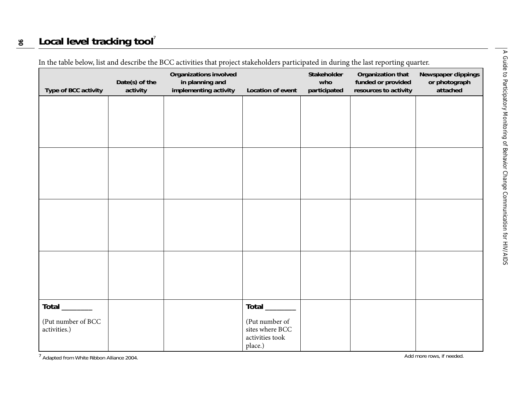# **<sup>90</sup>Local level tracking tool**<sup>7</sup>

| Type of BCC activity               | Date(s) of the<br>activity | th the twore below, hot and describe the DOO activities that project statementers participated in daring the hot reporting quarter.<br>Organizations involved<br>in planning and<br>implementing activity | Location of event                                               | Stakeholder<br>who<br>participated | Organization that<br>funded or provided<br>resources to activity | Newspaper clippings<br>or photograph<br>attached |
|------------------------------------|----------------------------|-----------------------------------------------------------------------------------------------------------------------------------------------------------------------------------------------------------|-----------------------------------------------------------------|------------------------------------|------------------------------------------------------------------|--------------------------------------------------|
|                                    |                            |                                                                                                                                                                                                           |                                                                 |                                    |                                                                  |                                                  |
|                                    |                            |                                                                                                                                                                                                           |                                                                 |                                    |                                                                  |                                                  |
|                                    |                            |                                                                                                                                                                                                           |                                                                 |                                    |                                                                  |                                                  |
|                                    |                            |                                                                                                                                                                                                           |                                                                 |                                    |                                                                  |                                                  |
|                                    |                            |                                                                                                                                                                                                           |                                                                 |                                    |                                                                  |                                                  |
|                                    |                            |                                                                                                                                                                                                           |                                                                 |                                    |                                                                  |                                                  |
|                                    |                            |                                                                                                                                                                                                           |                                                                 |                                    |                                                                  |                                                  |
|                                    |                            |                                                                                                                                                                                                           |                                                                 |                                    |                                                                  |                                                  |
| $Total$ <sub>_________</sub>       |                            |                                                                                                                                                                                                           | Total ______                                                    |                                    |                                                                  |                                                  |
| (Put number of BCC<br>activities.) |                            |                                                                                                                                                                                                           | (Put number of<br>sites where BCC<br>activities took<br>place.) |                                    |                                                                  |                                                  |

In the table below, list and describe the BCC activities that project stakeholders participated in during the last reporting quarter.

7 Add more rows, if needed. Adapted from White Ribbon Alliance 2004.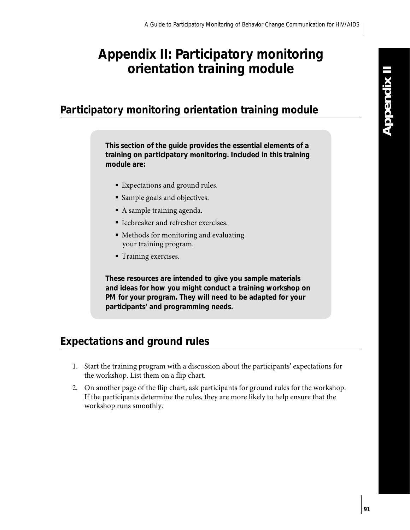# **Appendix II: Participatory monitoring orientation training module**

# **Participatory monitoring orientation training module**

**This section of the guide provides the essential elements of a training on participatory monitoring. Included in this training module are:**

- Expectations and ground rules.
- ! Sample goals and objectives.
- ! A sample training agenda.
- **EXECUTE:** Icebreaker and refresher exercises.
- ! Methods for monitoring and evaluating your training program.
- ! Training exercises.

**These resources are intended to give you sample materials and ideas for how you might conduct a training workshop on PM for your program. They will need to be adapted for your participants' and programming needs.**

# **Expectations and ground rules**

- 1. Start the training program with a discussion about the participants' expectations for the workshop. List them on a flip chart.
- 2. On another page of the flip chart, ask participants for ground rules for the workshop. If the participants determine the rules, they are more likely to help ensure that the workshop runs smoothly.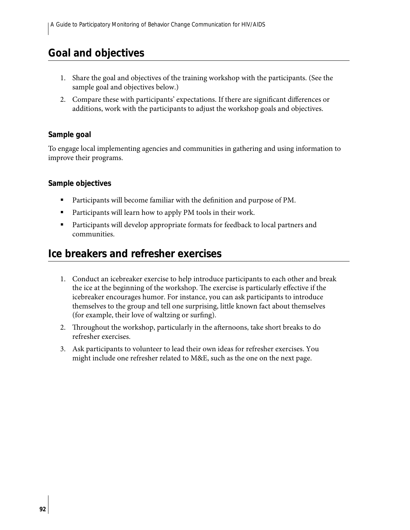# **Goal and objectives**

- 1. Share the goal and objectives of the training workshop with the participants. (See the sample goal and objectives below.)
- 2. Compare these with participants' expectations. If there are significant differences or additions, work with the participants to adjust the workshop goals and objectives.

# **Sample goal**

To engage local implementing agencies and communities in gathering and using information to improve their programs.

# **Sample objectives**

- **•** Participants will become familiar with the definition and purpose of PM.
- ! Participants will learn how to apply PM tools in their work.
- ! Participants will develop appropriate formats for feedback to local partners and communities.

# **Ice breakers and refresher exercises**

- 1. Conduct an icebreaker exercise to help introduce participants to each other and break the ice at the beginning of the workshop. The exercise is particularly effective if the icebreaker encourages humor. For instance, you can ask participants to introduce themselves to the group and tell one surprising, little known fact about themselves (for example, their love of waltzing or surfing).
- 2. Throughout the workshop, particularly in the afternoons, take short breaks to do refresher exercises.
- 3. Ask participants to volunteer to lead their own ideas for refresher exercises. You might include one refresher related to M&E, such as the one on the next page.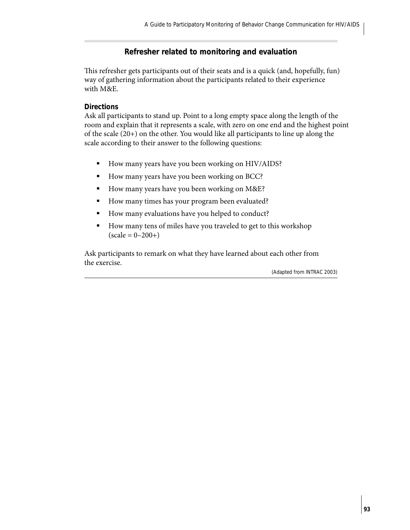# **Refresher related to monitoring and evaluation**

This refresher gets participants out of their seats and is a quick (and, hopefully, fun) way of gathering information about the participants related to their experience with M&E.

# **Directions**

Ask all participants to stand up. Point to a long empty space along the length of the room and explain that it represents a scale, with zero on one end and the highest point of the scale (20+) on the other. You would like all participants to line up along the scale according to their answer to the following questions:

- ! How many years have you been working on HIV/AIDS?
- ! How many years have you been working on BCC?
- ! How many years have you been working on M&E?
- ! How many times has your program been evaluated?
- ! How many evaluations have you helped to conduct?
- ! How many tens of miles have you traveled to get to this workshop  $(scale = 0-200+)$

Ask participants to remark on what they have learned about each other from the exercise.

(Adapted from INTRAC 2003)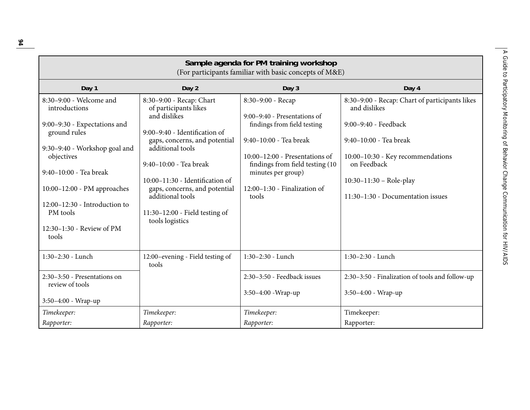| Sample agenda for PM training workshop<br>(For participants familiar with basic concepts of M&E) |                                                                   |                                                                      |                                                                |  |  |  |
|--------------------------------------------------------------------------------------------------|-------------------------------------------------------------------|----------------------------------------------------------------------|----------------------------------------------------------------|--|--|--|
| Day 1                                                                                            | Day 2                                                             | Day 3                                                                | Day 4                                                          |  |  |  |
| 8:30-9:00 - Welcome and<br>introductions                                                         | 8:30-9:00 - Recap: Chart<br>of participants likes<br>and dislikes | 8:30-9:00 - Recap<br>9:00-9:40 - Presentations of                    | 8:30-9:00 - Recap: Chart of participants likes<br>and dislikes |  |  |  |
| 9:00-9:30 - Expectations and<br>ground rules                                                     | 9:00-9:40 - Identification of                                     | findings from field testing                                          | 9:00-9:40 - Feedback                                           |  |  |  |
| 9:30-9:40 - Workshop goal and                                                                    | gaps, concerns, and potential<br>additional tools                 | 9:40-10:00 - Tea break                                               | 9:40-10:00 - Tea break                                         |  |  |  |
| objectives                                                                                       | 9:40-10:00 - Tea break                                            | $10:00-12:00$ - Presentations of<br>findings from field testing (10) | 10:00-10:30 - Key recommendations<br>on Feedback               |  |  |  |
| 9:40-10:00 - Tea break                                                                           | 10:00-11:30 - Identification of                                   | minutes per group)                                                   | $10:30-11:30$ – Role-play                                      |  |  |  |
| 10:00-12:00 - PM approaches                                                                      | gaps, concerns, and potential<br>additional tools                 | $12:00-1:30$ - Finalization of<br>tools                              | 11:30-1:30 - Documentation issues                              |  |  |  |
| 12:00-12:30 - Introduction to<br>PM tools                                                        | 11:30-12:00 - Field testing of<br>tools logistics                 |                                                                      |                                                                |  |  |  |
| $12:30-1:30$ - Review of PM<br>tools                                                             |                                                                   |                                                                      |                                                                |  |  |  |
| 1:30-2:30 - Lunch                                                                                | 12:00-evening - Field testing of<br>tools                         | 1:30-2:30 - Lunch                                                    | 1:30-2:30 - Lunch                                              |  |  |  |
| 2:30-3:50 - Presentations on<br>review of tools                                                  |                                                                   | 2:30-3:50 - Feedback issues                                          | 2:30-3:50 - Finalization of tools and follow-up                |  |  |  |
| 3:50-4:00 - Wrap-up                                                                              |                                                                   | 3:50-4:00 - Wrap-up                                                  | 3:50-4:00 - Wrap-up                                            |  |  |  |
| Timekeeper:                                                                                      | Timekeeper:                                                       | Timekeeper:                                                          | Timekeeper:                                                    |  |  |  |
| Rapporter:                                                                                       | Rapporter:                                                        | Rapporter:                                                           | Rapporter:                                                     |  |  |  |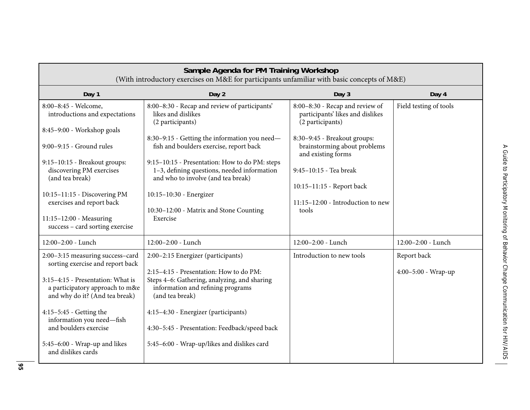| Sample Agenda for PM Training Workshop<br>(With introductory exercises on M&E for participants unfamiliar with basic concepts of M&E)                                                                                                                                                                                  |                                                                                                                                                                                                                                                                                                                               |                                                                                                                         |                                    |  |  |
|------------------------------------------------------------------------------------------------------------------------------------------------------------------------------------------------------------------------------------------------------------------------------------------------------------------------|-------------------------------------------------------------------------------------------------------------------------------------------------------------------------------------------------------------------------------------------------------------------------------------------------------------------------------|-------------------------------------------------------------------------------------------------------------------------|------------------------------------|--|--|
| Day 1                                                                                                                                                                                                                                                                                                                  | Day 2                                                                                                                                                                                                                                                                                                                         | Day 3                                                                                                                   | Day 4                              |  |  |
| 8:00-8:45 - Welcome,<br>introductions and expectations<br>8:45-9:00 - Workshop goals                                                                                                                                                                                                                                   | 8:00-8:30 - Recap and review of participants'<br>likes and dislikes<br>(2 participants)<br>8:30-9:15 - Getting the information you need-                                                                                                                                                                                      | 8:00-8:30 - Recap and review of<br>participants' likes and dislikes<br>(2 participants)<br>8:30-9:45 - Breakout groups: | Field testing of tools             |  |  |
| 9:00-9:15 - Ground rules                                                                                                                                                                                                                                                                                               | fish and boulders exercise, report back                                                                                                                                                                                                                                                                                       | brainstorming about problems<br>and existing forms                                                                      |                                    |  |  |
| 9:15-10:15 - Breakout groups:<br>discovering PM exercises<br>(and tea break)                                                                                                                                                                                                                                           | 9:15-10:15 - Presentation: How to do PM: steps<br>1-3, defining questions, needed information<br>and who to involve (and tea break)                                                                                                                                                                                           | 9:45-10:15 - Tea break                                                                                                  |                                    |  |  |
| 10:15-11:15 - Discovering PM<br>exercises and report back<br>11:15-12:00 - Measuring<br>success – card sorting exercise                                                                                                                                                                                                | 10:15-10:30 - Energizer<br>10:30-12:00 - Matrix and Stone Counting<br>Exercise                                                                                                                                                                                                                                                | 10:15-11:15 - Report back<br>$11:15-12:00$ - Introduction to new<br>tools                                               |                                    |  |  |
| 12:00-2:00 - Lunch                                                                                                                                                                                                                                                                                                     | 12:00-2:00 - Lunch                                                                                                                                                                                                                                                                                                            | 12:00-2:00 - Lunch                                                                                                      | 12:00-2:00 - Lunch                 |  |  |
| 2:00-3:15 measuring success-card<br>sorting exercise and report back<br>3:15-4:15 - Presentation: What is<br>a participatory approach to m&e<br>and why do it? (And tea break)<br>4:15-5:45 - Getting the<br>information you need-fish<br>and boulders exercise<br>5:45-6:00 - Wrap-up and likes<br>and dislikes cards | 2:00-2:15 Energizer (participants)<br>2:15-4:15 - Presentation: How to do PM:<br>Steps 4-6: Gathering, analyzing, and sharing<br>information and refining programs<br>(and tea break)<br>4:15-4:30 - Energizer (participants)<br>4:30-5:45 - Presentation: Feedback/speed back<br>5:45-6:00 - Wrap-up/likes and dislikes card | Introduction to new tools                                                                                               | Report back<br>4:00-5:00 - Wrap-up |  |  |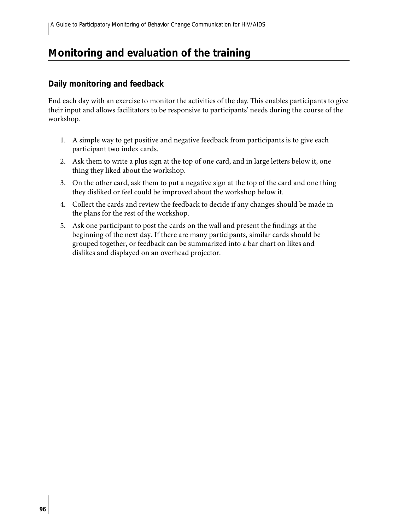# **Monitoring and evaluation of the training**

# **Daily monitoring and feedback**

End each day with an exercise to monitor the activities of the day. This enables participants to give their input and allows facilitators to be responsive to participants' needs during the course of the workshop.

- 1. A simple way to get positive and negative feedback from participants is to give each participant two index cards.
- 2. Ask them to write a plus sign at the top of one card, and in large letters below it, one thing they liked about the workshop.
- 3. On the other card, ask them to put a negative sign at the top of the card and one thing they disliked or feel could be improved about the workshop below it.
- 4. Collect the cards and review the feedback to decide if any changes should be made in the plans for the rest of the workshop.
- 5. Ask one participant to post the cards on the wall and present the findings at the beginning of the next day. If there are many participants, similar cards should be grouped together, or feedback can be summarized into a bar chart on likes and dislikes and displayed on an overhead projector.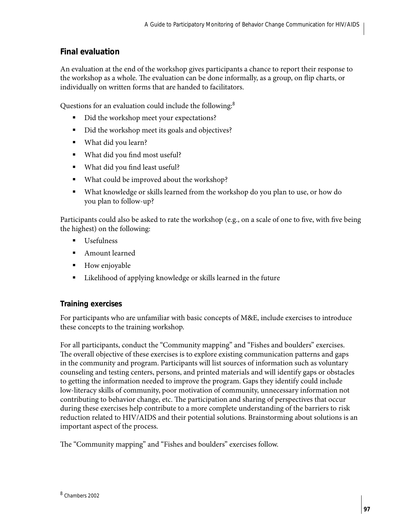# **Final evaluation**

An evaluation at the end of the workshop gives participants a chance to report their response to the workshop as a whole. The evaluation can be done informally, as a group, on flip charts, or individually on written forms that are handed to facilitators.

Questions for an evaluation could include the following:<sup>8</sup>

- ! Did the workshop meet your expectations?
- Did the workshop meet its goals and objectives?
- ! What did you learn?
- . What did you find most useful?
- " What did you find least useful?
- ! What could be improved about the workshop?
- ! What knowledge or skills learned from the workshop do you plan to use, or how do you plan to follow-up?

Participants could also be asked to rate the workshop (e.g., on a scale of one to five, with five being the highest) on the following:

- **Usefulness**
- ! Amount learned
- ! How enjoyable
- ! Likelihood of applying knowledge or skills learned in the future

### **Training exercises**

For participants who are unfamiliar with basic concepts of M&E, include exercises to introduce these concepts to the training workshop.

For all participants, conduct the "Community mapping" and "Fishes and boulders" exercises. The overall objective of these exercises is to explore existing communication patterns and gaps in the community and program. Participants will list sources of information such as voluntary counseling and testing centers, persons, and printed materials and will identify gaps or obstacles to getting the information needed to improve the program. Gaps they identify could include low-literacy skills of community, poor motivation of community, unnecessary information not contributing to behavior change, etc. The participation and sharing of perspectives that occur during these exercises help contribute to a more complete understanding of the barriers to risk reduction related to HIV/AIDS and their potential solutions. Brainstorming about solutions is an important aspect of the process.

The "Community mapping" and "Fishes and boulders" exercises follow.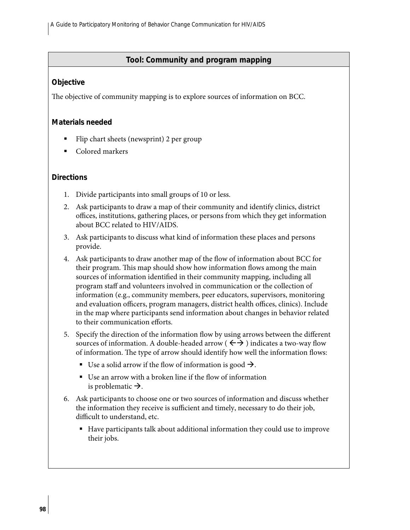# **Tool: Community and program mapping**

# **Objective**

The objective of community mapping is to explore sources of information on BCC.

# **Materials needed**

- ! Flip chart sheets (newsprint) 2 per group
- Colored markers

- 1. Divide participants into small groups of 10 or less.
- 2. Ask participants to draw a map of their community and identify clinics, district offices, institutions, gathering places, or persons from which they get information about BCC related to HIV/AIDS.
- 3. Ask participants to discuss what kind of information these places and persons provide.
- 4. Ask participants to draw another map of the flow of information about BCC for their program. This map should show how information flows among the main sources of information identified in their community mapping, including all program staff and volunteers involved in communication or the collection of information (e.g., community members, peer educators, supervisors, monitoring and evaluation officers, program managers, district health offices, clinics). Include in the map where participants send information about changes in behavior related to their communication efforts.
- 5. Specify the direction of the information flow by using arrows between the different sources of information. A double-headed arrow ( $\leftrightarrow$ ) indicates a two-way flow of information. The type of arrow should identify how well the information flows:
	- Use a solid arrow if the flow of information is good  $\rightarrow$ .
	- $\blacksquare$  Use an arrow with a broken line if the flow of information is problematic  $\rightarrow$ .
- 6. Ask participants to choose one or two sources of information and discuss whether the information they receive is sufficient and timely, necessary to do their job, difficult to understand, etc.
	- ! Have participants talk about additional information they could use to improve their jobs.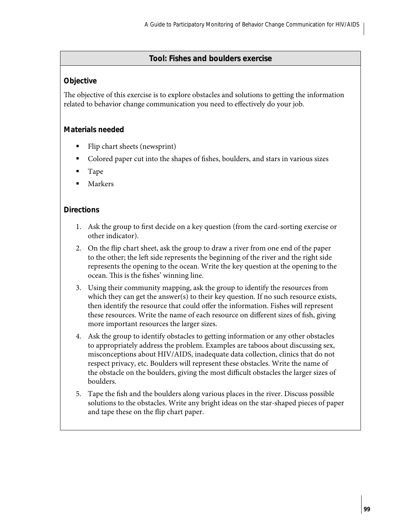# **Tool: Fishes and boulders exercise**

# **Objective**

The objective of this exercise is to explore obstacles and solutions to getting the information related to behavior change communication you need to effectively do your job.

# **Materials needed**

- ! Flip chart sheets (newsprint)
- Colored paper cut into the shapes of fishes, boulders, and stars in various sizes
- ! Tape
- **Markers**

- 1. Ask the group to first decide on a key question (from the card-sorting exercise or other indicator).
- 2. On the flip chart sheet, ask the group to draw a river from one end of the paper to the other; the left side represents the beginning of the river and the right side represents the opening to the ocean. Write the key question at the opening to the ocean. This is the fishes' winning line.
- 3. Using their community mapping, ask the group to identify the resources from which they can get the answer(s) to their key question. If no such resource exists, then identify the resource that could offer the information. Fishes will represent these resources. Write the name of each resource on different sizes of fish, giving more important resources the larger sizes.
- 4. Ask the group to identify obstacles to getting information or any other obstacles to appropriately address the problem. Examples are taboos about discussing sex, misconceptions about HIV/AIDS, inadequate data collection, clinics that do not respect privacy, etc. Boulders will represent these obstacles. Write the name of the obstacle on the boulders, giving the most difficult obstacles the larger sizes of boulders.
- 5. Tape the fish and the boulders along various places in the river. Discuss possible solutions to the obstacles. Write any bright ideas on the star-shaped pieces of paper and tape these on the flip chart paper.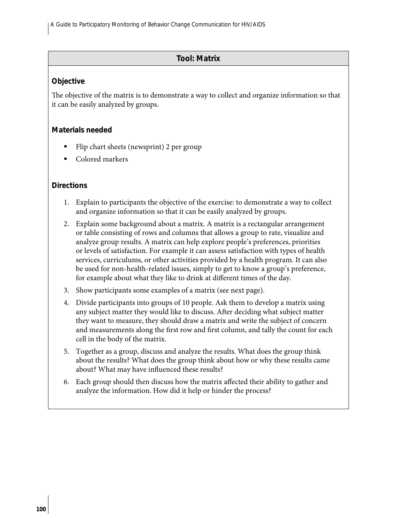# **Tool: Matrix**

# **Objective**

The objective of the matrix is to demonstrate a way to collect and organize information so that it can be easily analyzed by groups.

# **Materials needed**

- ! Flip chart sheets (newsprint) 2 per group
- Colored markers

- 1. Explain to participants the objective of the exercise: to demonstrate a way to collect and organize information so that it can be easily analyzed by groups.
- 2. Explain some background about a matrix. A matrix is a rectangular arrangement or table consisting of rows and columns that allows a group to rate, visualize and analyze group results. A matrix can help explore people's preferences, priorities or levels of satisfaction. For example it can assess satisfaction with types of health services, curriculums, or other activities provided by a health program. It can also be used for non-health-related issues, simply to get to know a group's preference, for example about what they like to drink at different times of the day.
- 3. Show participants some examples of a matrix (see next page).
- 4. Divide participants into groups of 10 people. Ask them to develop a matrix using any subject matter they would like to discuss. After deciding what subject matter they want to measure, they should draw a matrix and write the subject of concern and measurements along the first row and first column, and tally the count for each cell in the body of the matrix.
- 5. Together as a group, discuss and analyze the results. What does the group think about the results? What does the group think about how or why these results came about? What may have influenced these results?
- 6. Each group should then discuss how the matrix affected their ability to gather and analyze the information. How did it help or hinder the process?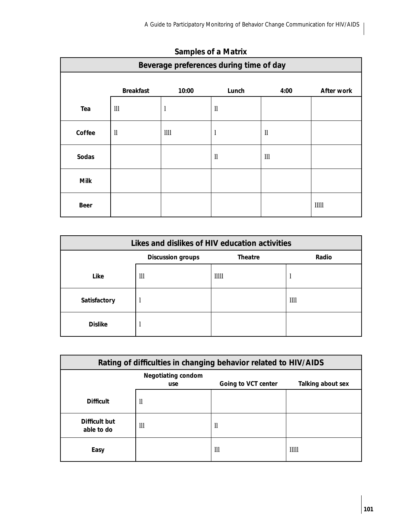| ---- p<br>Beverage preferences during time of day |                      |        |              |           |            |
|---------------------------------------------------|----------------------|--------|--------------|-----------|------------|
|                                                   | <b>Breakfast</b>     | 10:00  | Lunch        | 4:00      | After work |
| Tea                                               | 111                  | 1      | $\mathbf l$  |           |            |
| Coffee                                            | $\mathop{\text{ll}}$ | $1111$ | $\mathbf{1}$ | $\rm ll$  |            |
| Sodas                                             |                      |        | $\mathbf l$  | $\rm lll$ |            |
| <b>Milk</b>                                       |                      |        |              |           |            |
| Beer                                              |                      |        |              |           | $11111$    |

# **Samples of a Matrix**

| Likes and dislikes of HIV education activities |                                                     |       |     |  |  |  |
|------------------------------------------------|-----------------------------------------------------|-------|-----|--|--|--|
|                                                | <b>Theatre</b><br>Radio<br><b>Discussion groups</b> |       |     |  |  |  |
| Like                                           | 111                                                 | 11111 |     |  |  |  |
| Satisfactory                                   |                                                     |       | III |  |  |  |
| <b>Dislike</b>                                 |                                                     |       |     |  |  |  |

| Rating of difficulties in changing behavior related to HIV/AIDS |                           |                     |                   |  |
|-----------------------------------------------------------------|---------------------------|---------------------|-------------------|--|
|                                                                 | Negotiating condom<br>use | Going to VCT center | Talking about sex |  |
| <b>Difficult</b>                                                | $\mathbf{1}$              |                     |                   |  |
| Difficult but<br>able to do                                     | 111                       | $\mathbf l$         |                   |  |
| Easy                                                            |                           | 111                 | 11111             |  |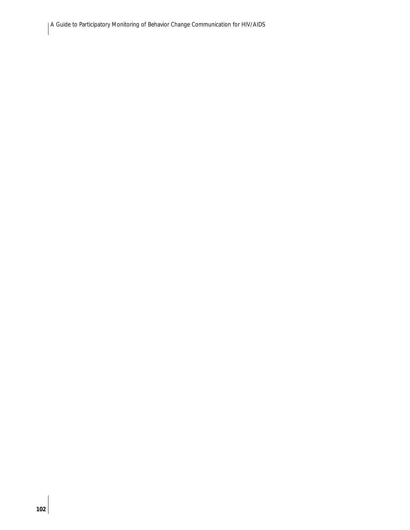A Guide to Participatory Monitoring of Behavior Change Communication for HIV/AIDS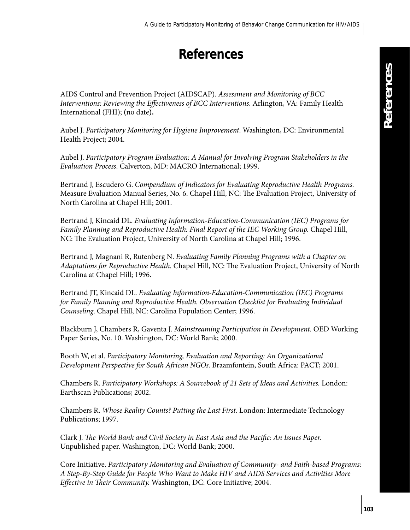# **References**

AIDS Control and Prevention Project (AIDSCAP). *Assessment and Monitoring of BCC Interventions: Reviewing the Effectiveness of BCC Interventions. Arlington, VA: Family Health* International (FHI); **(**no date**).**

Aubel J. *Participatory Monitoring for Hygiene Improvement*. Washington, DC: Environmental Health Project; 2004.

Aubel J. *Participatory Program Evaluation: A Manual for Involving Program Stakeholders in the Evaluation Process*. Calverton, MD: MACRO International; 1999.

Bertrand J, Escudero G. *Compendium of Indicators for Evaluating Reproductive Health Programs.* Measure Evaluation Manual Series, No. 6. Chapel Hill, NC: The Evaluation Project, University of North Carolina at Chapel Hill; 2001.

Bertrand J, Kincaid DL. *Evaluating Information-Education-Communication (IEC) Programs for Family Planning and Reproductive Health: Final Report of the IEC Working Group.* Chapel Hill, NC: The Evaluation Project, University of North Carolina at Chapel Hill; 1996.

Bertrand J, Magnani R, Rutenberg N. *Evaluating Family Planning Programs with a Chapter on*  Adaptations for Reproductive Health. Chapel Hill, NC: The Evaluation Project, University of North Carolina at Chapel Hill; 1996.

Bertrand JT, Kincaid DL. *Evaluating Information-Education-Communication (IEC) Programs for Family Planning and Reproductive Health. Observation Checklist for Evaluating Individual Counseling*. Chapel Hill, NC: Carolina Population Center; 1996.

Blackburn J, Chambers R, Gaventa J. *Mainstreaming Participation in Development.* OED Working Paper Series, No. 10. Washington, DC: World Bank; 2000.

Booth W, et al. *Participatory Monitoring, Evaluation and Reporting: An Organizational Development Perspective for South African NGOs.* Braamfontein, South Africa: PACT; 2001.

Chambers R. *Participatory Workshops: A Sourcebook of 21 Sets of Ideas and Activities.* London: Earthscan Publications; 2002.

Chambers R. *Whose Reality Counts? Putting the Last First.* London: Intermediate Technology Publications; 1997.

Clark J. *The World Bank and Civil Society in East Asia and the Pacific: An Issues Paper.* Unpublished paper. Washington, DC: World Bank; 2000.

Core Initiative. *Participatory Monitoring and Evaluation of Community- and Faith-based Programs: A Step-By-Step Guide for People Who Want to Make HIV and AIDS Services and Activities More Effective in Their Community.* Washington, DC: Core Initiative; 2004.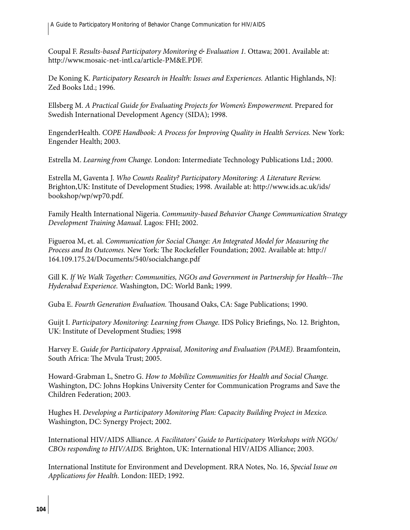Coupal F. *Results-based Participatory Monitoring & Evaluation 1.* Ottawa; 2001. Available at: http://www.mosaic-net-intl.ca/article-PM&E.PDF.

De Koning K. *Participatory Research in Health: Issues and Experiences.* Atlantic Highlands, NJ: Zed Books Ltd.; 1996.

Ellsberg M. *A Practical Guide for Evaluating Projects for Women's Empowerment.* Prepared for Swedish International Development Agency (SIDA); 1998.

EngenderHealth. *COPE Handbook: A Process for Improving Quality in Health Services.* New York: Engender Health; 2003.

Estrella M. *Learning from Change.* London: Intermediate Technology Publications Ltd.; 2000.

Estrella M, Gaventa J. *Who Counts Reality? Participatory Monitoring: A Literature Review.* Brighton,UK: Institute of Development Studies; 1998. Available at: http://www.ids.ac.uk/ids/ bookshop/wp/wp70.pdf.

Family Health International Nigeria. *Community-based Behavior Change Communication Strategy Development Training Manual.* Lagos: FHI; 2002.

Figueroa M, et. al. *Communication for Social Change: An Integrated Model for Measuring the Process and Its Outcomes.* New York: The Rockefeller Foundation; 2002. Available at: http:// 164.109.175.24/Documents/540/socialchange.pdf

Gill K. *If We Walk Together: Communities, NGOs and Government in Partnership for Health--The Hyderabad Experience.* Washington, DC: World Bank; 1999.

Guba E. *Fourth Generation Evaluation*. Thousand Oaks, CA: Sage Publications; 1990.

Guijt I. *Participatory Monitoring: Learning from Change.* IDS Policy Briefings, No. 12. Brighton, UK: Institute of Development Studies; 1998

Harvey E. *Guide for Participatory Appraisal, Monitoring and Evaluation (PAME).* Braamfontein, South Africa: The Mvula Trust; 2005.

Howard-Grabman L, Snetro G. *How to Mobilize Communities for Health and Social Change.*  Washington, DC: Johns Hopkins University Center for Communication Programs and Save the Children Federation; 2003.

Hughes H. *Developing a Participatory Monitoring Plan: Capacity Building Project in Mexico.* Washington, DC: Synergy Project; 2002.

International HIV/AIDS Alliance. *A Facilitators' Guide to Participatory Workshops with NGOs/ CBOs responding to HIV/AIDS.* Brighton, UK: International HIV/AIDS Alliance; 2003.

International Institute for Environment and Development. RRA Notes, No. 16, *Special Issue on Applications for Health.* London: IIED; 1992.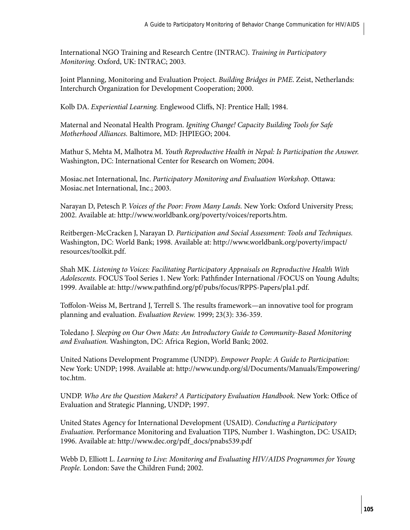International NGO Training and Research Centre (INTRAC). *Training in Participatory Monitoring*. Oxford, UK: INTRAC; 2003.

Joint Planning, Monitoring and Evaluation Project. *Building Bridges in PME*. Zeist, Netherlands: Interchurch Organization for Development Cooperation; 2000.

Kolb DA. *Experiential Learning*. Englewood Cliffs, NJ: Prentice Hall; 1984.

Maternal and Neonatal Health Program. *Igniting Change! Capacity Building Tools for Safe Motherhood Alliances.* Baltimore, MD: JHPIEGO; 2004.

Mathur S, Mehta M, Malhotra M. *Youth Reproductive Health in Nepal: Is Participation the Answer.*  Washington, DC: International Center for Research on Women; 2004.

Mosiac.net International, Inc. *Participatory Monitoring and Evaluation Workshop*. Ottawa: Mosiac.net International, Inc.; 2003.

Narayan D, Petesch P. *Voices of the Poor: From Many Lands.* New York: Oxford University Press; 2002. Available at: http://www.worldbank.org/poverty/voices/reports.htm.

Reitbergen-McCracken J, Narayan D. *Participation and Social Assessment: Tools and Techniques.* Washington, DC: World Bank; 1998. Available at: http://www.worldbank.org/poverty/impact/ resources/toolkit.pdf.

Shah MK. *Listening to Voices: Facilitating Participatory Appraisals on Reproductive Health With*  Adolescents. FOCUS Tool Series 1. New York: Pathfinder International /FOCUS on Young Adults; 1999. Available at: http://www.pathfind.org/pf/pubs/focus/RPPS-Papers/pla1.pdf.

Toffolon-Weiss M, Bertrand J, Terrell S. The results framework—an innovative tool for program planning and evaluation. *Evaluation Review.* 1999; 23(3): 336-359.

Toledano J. *Sleeping on Our Own Mats: An Introductory Guide to Community-Based Monitoring and Evaluation.* Washington, DC: Africa Region, World Bank; 2002.

United Nations Development Programme (UNDP). *Empower People: A Guide to Participation*: New York: UNDP; 1998. Available at: http://www.undp.org/sl/Documents/Manuals/Empowering/ toc.htm.

UNDP. Who Are the Question Makers? A Participatory Evaluation Handbook. New York: Office of Evaluation and Strategic Planning, UNDP; 1997.

United States Agency for International Development (USAID). *Conducting a Participatory Evaluation.* Performance Monitoring and Evaluation TIPS, Number 1. Washington, DC: USAID; 1996. Available at: http://www.dec.org/pdf\_docs/pnabs539.pdf

Webb D, Elliott L. *Learning to Live: Monitoring and Evaluating HIV/AIDS Programmes for Young People.* London: Save the Children Fund; 2002.